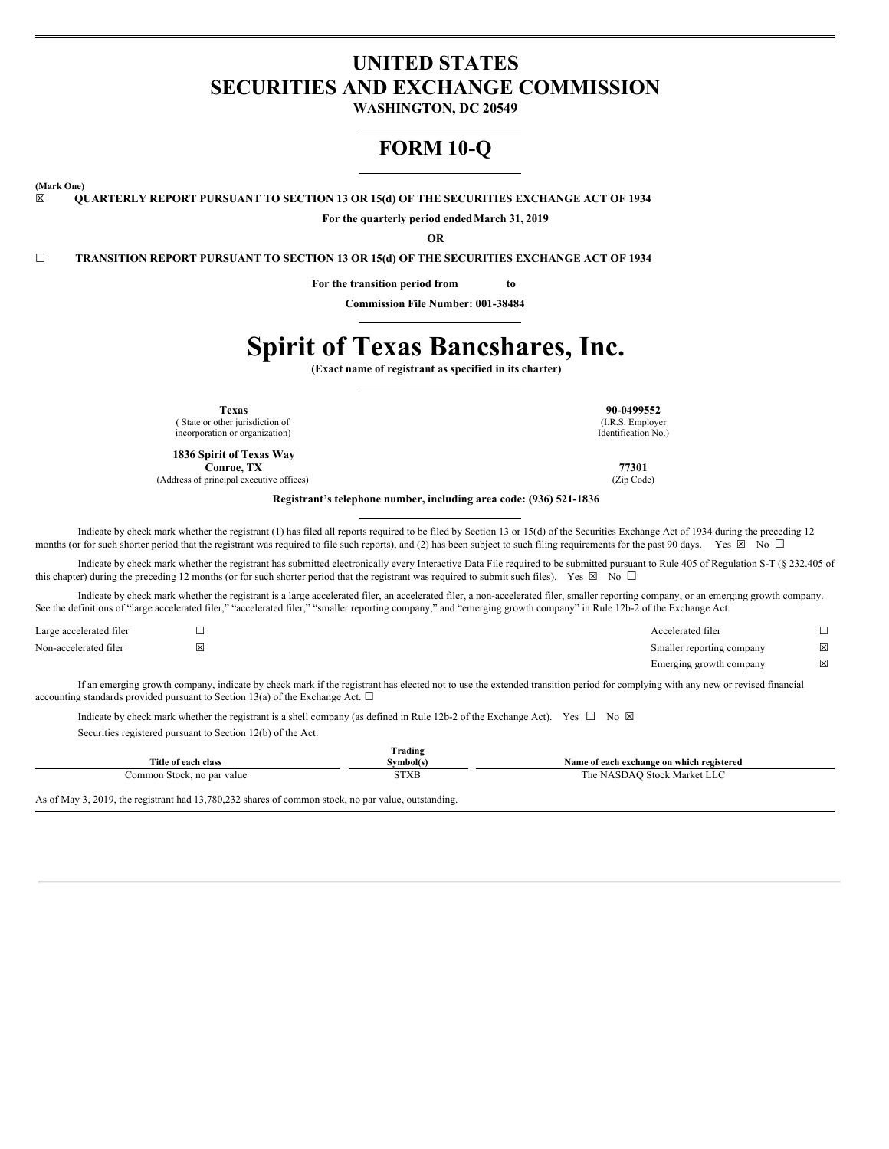## **UNITED STATES SECURITIES AND EXCHANGE COMMISSION**

**WASHINGTON, DC 20549**

# **FORM 10-Q**

**(Mark One)**

**☒ QUARTERLY REPORT PURSUANT TO SECTION 13 OR 15(d) OF THE SECURITIES EXCHANGE ACT OF 1934**

**For the quarterly period endedMarch 31, 2019**

**OR**

**☐ TRANSITION REPORT PURSUANT TO SECTION 13 OR 15(d) OF THE SECURITIES EXCHANGE ACT OF 1934**

**For the transition period from to**

**Commission File Number: 001-38484**

# **Spirit of Texas Bancshares, Inc.**

**(Exact name of registrant as specified in its charter)**

( State or other jurisdiction of incorporation or organization)

**1836 Spirit of Texas Way Conroe, TX 77301**

(Address of principal executive offices) (Zip Code)

**Texas 90-0499552** (I.R.S. Employer Identification No.)

**Registrant's telephone number, including area code: (936) 521-1836**

Indicate by check mark whether the registrant (1) has filed all reports required to be filed by Section 13 or 15(d) of the Securities Exchange Act of 1934 during the preceding 12 months (or for such shorter period that the registrant was required to file such reports), and (2) has been subject to such filing requirements for the past 90 days. Yes  $\boxtimes$  No  $\Box$ 

Indicate by check mark whether the registrant has submitted electronically every Interactive Data File required to be submitted pursuant to Rule 405 of Regulation S-T (§ 232.405 of this chapter) during the preceding 12 months (or for such shorter period that the registrant was required to submit such files). Yes  $\boxtimes$  No  $\Box$ 

Indicate by check mark whether the registrant is a large accelerated filer, an accelerated filer, a non-accelerated filer, smaller reporting company, or an emerging growth company. See the definitions of "large accelerated filer," "accelerated filer," "smaller reporting company," and "emerging growth company" in Rule 12b-2 of the Exchange Act.

| Large accelerated filer |   | Accelerated filer         |   |
|-------------------------|---|---------------------------|---|
| Non-accelerated filer   | ⊠ | Smaller reporting company | X |
|                         |   | Emerging growth company   | X |

If an emerging growth company, indicate by check mark if the registrant has elected not to use the extended transition period for complying with any new or revised financial accounting standards provided pursuant to Section 13(a) of the Exchange Act.  $\Box$ 

Indicate by check mark whether the registrant is a shell company (as defined in Rule 12b-2 of the Exchange Act). Yes  $\Box$  No  $\boxtimes$ Securities registered pursuant to Section 12(b) of the Act:

|                                                                                                   | Trading   |                                           |
|---------------------------------------------------------------------------------------------------|-----------|-------------------------------------------|
| Title of each class                                                                               | Symbol(s) | Name of each exchange on which registered |
| Common Stock, no par value                                                                        | STXB      | The NASDAQ Stock Market LLC               |
| As of May 2, 2010, the registrant had 12,790,222 shares of common stools no new volve outstanding |           |                                           |

As of May 3, 2019, the registrant had 13,780,232 shares of common stock, no par value, outstanding.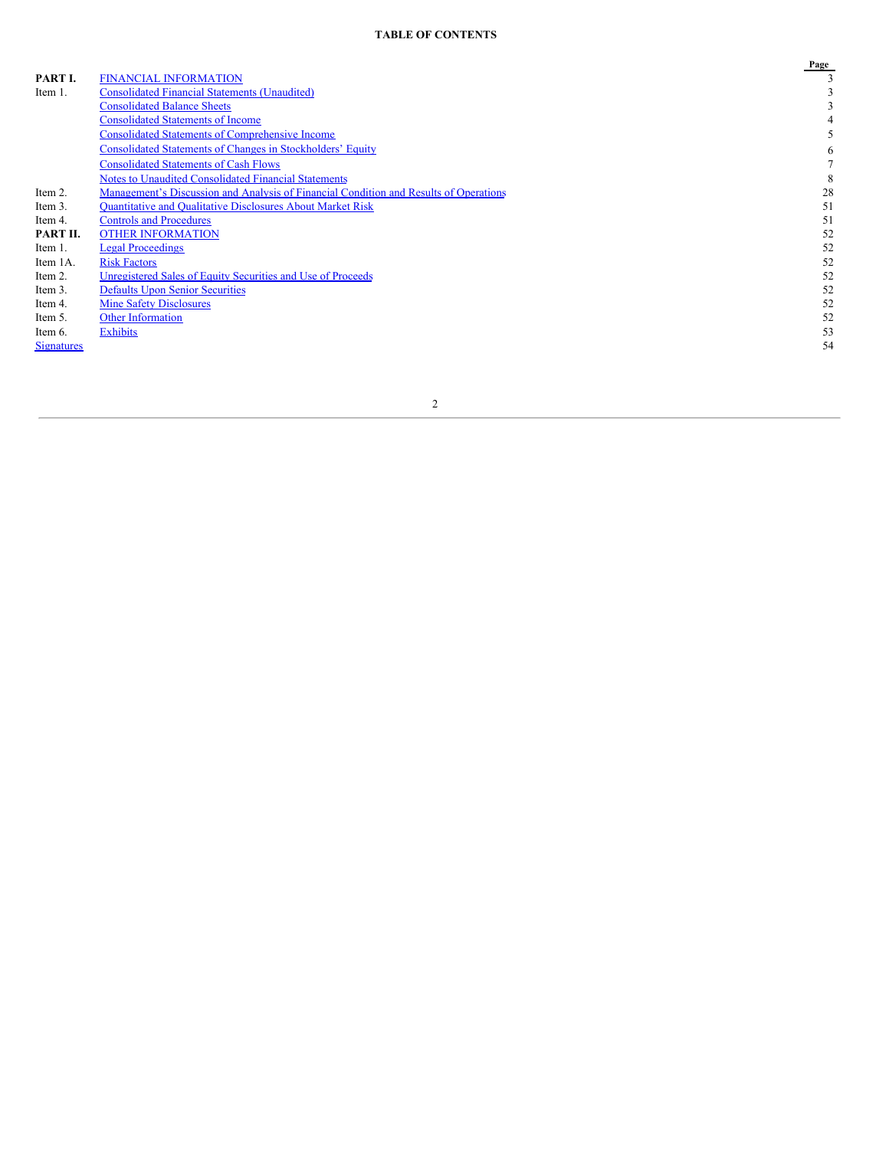## **TABLE OF CONTENTS**

|                   |                                                                                       | Page |
|-------------------|---------------------------------------------------------------------------------------|------|
| PART I.           | <b>FINANCIAL INFORMATION</b>                                                          |      |
| Item 1.           | <b>Consolidated Financial Statements (Unaudited)</b>                                  |      |
|                   | <b>Consolidated Balance Sheets</b>                                                    |      |
|                   | <b>Consolidated Statements of Income</b>                                              |      |
|                   | <b>Consolidated Statements of Comprehensive Income</b>                                |      |
|                   | <b>Consolidated Statements of Changes in Stockholders' Equity</b>                     | 6    |
|                   | <b>Consolidated Statements of Cash Flows</b>                                          |      |
|                   | <b>Notes to Unaudited Consolidated Financial Statements</b>                           | 8    |
| Item 2.           | Management's Discussion and Analysis of Financial Condition and Results of Operations | 28   |
| Item 3.           | <b>Ouantitative and Oualitative Disclosures About Market Risk</b>                     | 51   |
| Item 4.           | <b>Controls and Procedures</b>                                                        | 51   |
| PART II.          | <b>OTHER INFORMATION</b>                                                              | 52   |
| Item 1.           | <b>Legal Proceedings</b>                                                              | 52   |
| Item 1A.          | <b>Risk Factors</b>                                                                   | 52   |
| Item 2.           | Unregistered Sales of Equity Securities and Use of Proceeds                           | 52   |
| Item 3.           | <b>Defaults Upon Senior Securities</b>                                                | 52   |
| Item 4.           | <b>Mine Safety Disclosures</b>                                                        | 52   |
| Item 5.           | <b>Other Information</b>                                                              | 52   |
| Item 6.           | Exhibits                                                                              | 53   |
| <b>Signatures</b> |                                                                                       | 54   |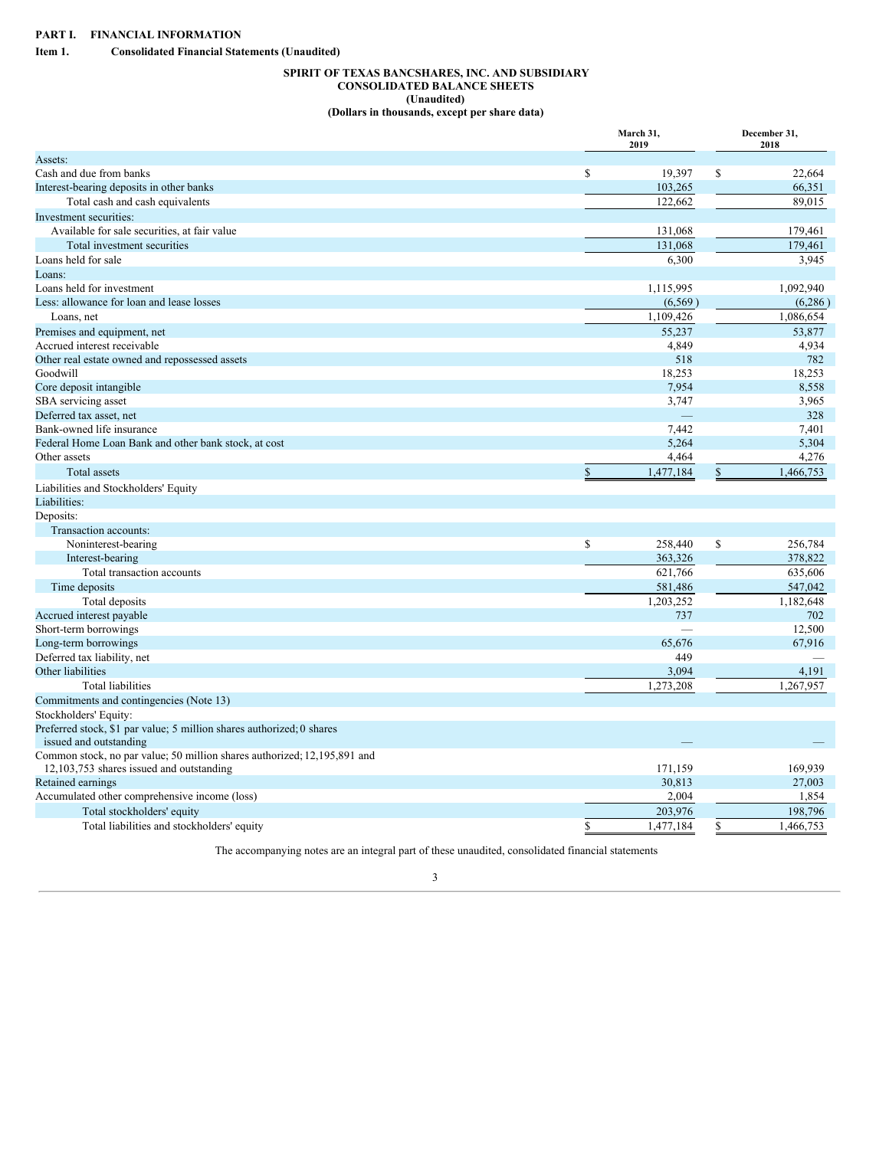<span id="page-2-2"></span><span id="page-2-1"></span><span id="page-2-0"></span>**Item 1. Consolidated Financial Statements (Unaudited)**

## **SPIRIT OF TEXAS BANCSHARES, INC. AND SUBSIDIARY CONSOLIDATED BALANCE SHEETS (Unaudited) (Dollars in thousands, except per share data)**

|                                                                          | March 31,<br>2019 | December 31,<br>2018 |
|--------------------------------------------------------------------------|-------------------|----------------------|
| Assets:                                                                  |                   |                      |
| Cash and due from banks                                                  | \$<br>19,397      | \$<br>22.664         |
| Interest-bearing deposits in other banks                                 | 103,265           | 66,351               |
| Total cash and cash equivalents                                          | 122,662           | 89,015               |
| Investment securities:                                                   |                   |                      |
| Available for sale securities, at fair value                             | 131,068           | 179,461              |
| Total investment securities                                              | 131,068           | 179,461              |
| Loans held for sale                                                      | 6,300             | 3,945                |
| Loans:                                                                   |                   |                      |
| Loans held for investment                                                | 1,115,995         | 1,092,940            |
| Less: allowance for loan and lease losses                                | (6, 569)          | (6, 286)             |
| Loans, net                                                               | 1,109,426         | 1,086,654            |
| Premises and equipment, net                                              | 55,237            | 53,877               |
| Accrued interest receivable                                              | 4,849             | 4,934                |
| Other real estate owned and repossessed assets                           | 518               | 782                  |
| Goodwill                                                                 | 18,253            | 18,253               |
| Core deposit intangible                                                  | 7,954             | 8,558                |
| SBA servicing asset                                                      | 3,747             | 3,965                |
| Deferred tax asset, net                                                  |                   | 328                  |
| Bank-owned life insurance                                                | 7,442             | 7,401                |
| Federal Home Loan Bank and other bank stock, at cost                     | 5,264             | 5,304                |
| Other assets                                                             | 4,464             | 4,276                |
| Total assets                                                             | \$<br>1,477,184   | \$<br>1,466,753      |
| Liabilities and Stockholders' Equity                                     |                   |                      |
| Liabilities:                                                             |                   |                      |
| Deposits:                                                                |                   |                      |
| Transaction accounts:                                                    |                   |                      |
| Noninterest-bearing                                                      | \$<br>258,440     | \$<br>256,784        |
| Interest-bearing                                                         | 363,326           | 378,822              |
| Total transaction accounts                                               | 621,766           | 635,606              |
| Time deposits                                                            | 581,486           | 547,042              |
| Total deposits                                                           | 1,203,252         | 1,182,648            |
| Accrued interest payable                                                 | 737               | 702                  |
| Short-term borrowings                                                    |                   | 12,500               |
| Long-term borrowings                                                     | 65,676            | 67,916               |
| Deferred tax liability, net                                              | 449               |                      |
| Other liabilities                                                        | 3,094             | 4,191                |
| <b>Total liabilities</b>                                                 | 1,273,208         | 1,267,957            |
| Commitments and contingencies (Note 13)                                  |                   |                      |
| Stockholders' Equity:                                                    |                   |                      |
| Preferred stock, \$1 par value; 5 million shares authorized; 0 shares    |                   |                      |
| issued and outstanding                                                   |                   |                      |
| Common stock, no par value; 50 million shares authorized; 12,195,891 and |                   |                      |
| 12,103,753 shares issued and outstanding                                 | 171,159           | 169,939              |
| Retained earnings                                                        | 30,813            | 27,003               |
| Accumulated other comprehensive income (loss)                            | 2,004             | 1,854                |
| Total stockholders' equity                                               | 203,976           | 198,796              |
| Total liabilities and stockholders' equity                               | \$<br>1,477,184   | \$<br>1,466,753      |
|                                                                          |                   |                      |

The accompanying notes are an integral part of these unaudited, consolidated financial statements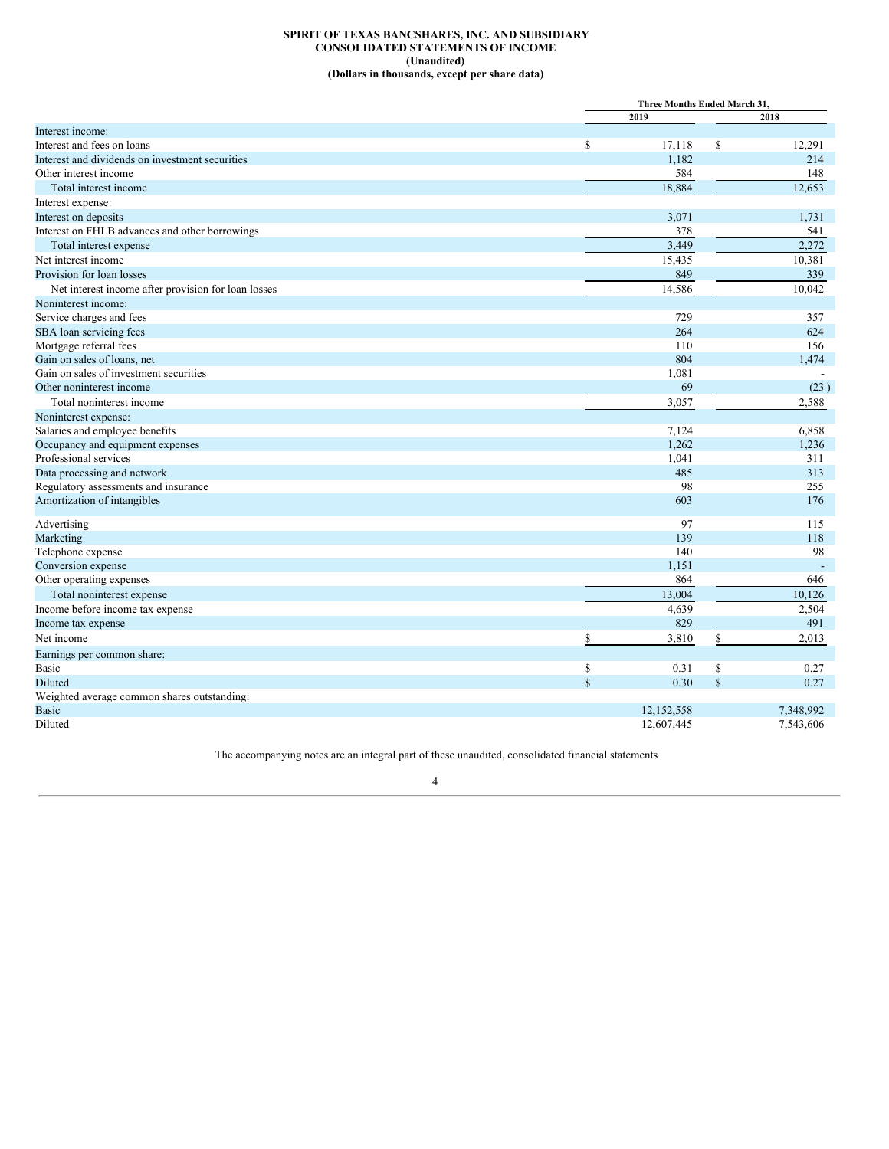## **SPIRIT OF TEXAS BANCSHARES, INC. AND SUBSIDIARY CONSOLIDATED STATEMENTS OF INCOME (Unaudited) (Dollars in thousands, except per share data)**

<span id="page-3-0"></span>

|                                                     |             | Three Months Ended March 31. |           |  |
|-----------------------------------------------------|-------------|------------------------------|-----------|--|
|                                                     | 2019        |                              | 2018      |  |
| Interest income:                                    |             |                              |           |  |
| Interest and fees on loans                          | \$          | $\mathbb{S}$<br>17,118       | 12,291    |  |
| Interest and dividends on investment securities     |             | 1,182                        | 214       |  |
| Other interest income                               |             | 584                          | 148       |  |
| Total interest income                               |             | 18,884                       | 12,653    |  |
| Interest expense:                                   |             |                              |           |  |
| Interest on deposits                                |             | 3,071                        | 1,731     |  |
| Interest on FHLB advances and other borrowings      |             | 378                          | 541       |  |
| Total interest expense                              |             | 3,449                        | 2,272     |  |
| Net interest income                                 |             | 15,435                       | 10,381    |  |
| Provision for loan losses                           |             | 849                          | 339       |  |
| Net interest income after provision for loan losses |             | 14,586                       | 10,042    |  |
| Noninterest income:                                 |             |                              |           |  |
| Service charges and fees                            |             | 729                          | 357       |  |
| SBA loan servicing fees                             |             | 264                          | 624       |  |
| Mortgage referral fees                              |             | 110                          | 156       |  |
| Gain on sales of loans, net                         |             | 804                          | 1,474     |  |
| Gain on sales of investment securities              |             | 1,081                        |           |  |
| Other noninterest income                            |             | 69                           | (23)      |  |
| Total noninterest income                            |             | 3.057                        | 2,588     |  |
| Noninterest expense:                                |             |                              |           |  |
| Salaries and employee benefits                      |             | 7,124                        | 6,858     |  |
| Occupancy and equipment expenses                    |             | 1,262                        | 1,236     |  |
| Professional services                               |             | 1,041                        | 311       |  |
| Data processing and network                         |             | 485                          | 313       |  |
| Regulatory assessments and insurance                |             | 98                           | 255       |  |
| Amortization of intangibles                         |             | 603                          | 176       |  |
| Advertising                                         |             | 97                           | 115       |  |
| Marketing                                           |             | 139                          | 118       |  |
| Telephone expense                                   |             | 140                          | 98        |  |
| Conversion expense                                  |             | 1,151                        |           |  |
| Other operating expenses                            |             | 864                          | 646       |  |
| Total noninterest expense                           |             | 13,004                       | 10,126    |  |
| Income before income tax expense                    |             | 4,639                        | 2,504     |  |
| Income tax expense                                  |             | 829                          | 491       |  |
| Net income                                          | \$          | \$<br>3,810                  | 2,013     |  |
| Earnings per common share:                          |             |                              |           |  |
| Basic                                               | \$          | \$<br>0.31                   | 0.27      |  |
| Diluted                                             | $\mathbf S$ | \$<br>0.30                   | 0.27      |  |
| Weighted average common shares outstanding:         |             |                              |           |  |
| <b>Basic</b>                                        |             | 12,152,558                   | 7,348,992 |  |
| Diluted                                             |             | 12,607,445                   | 7,543,606 |  |

The accompanying notes are an integral part of these unaudited, consolidated financial statements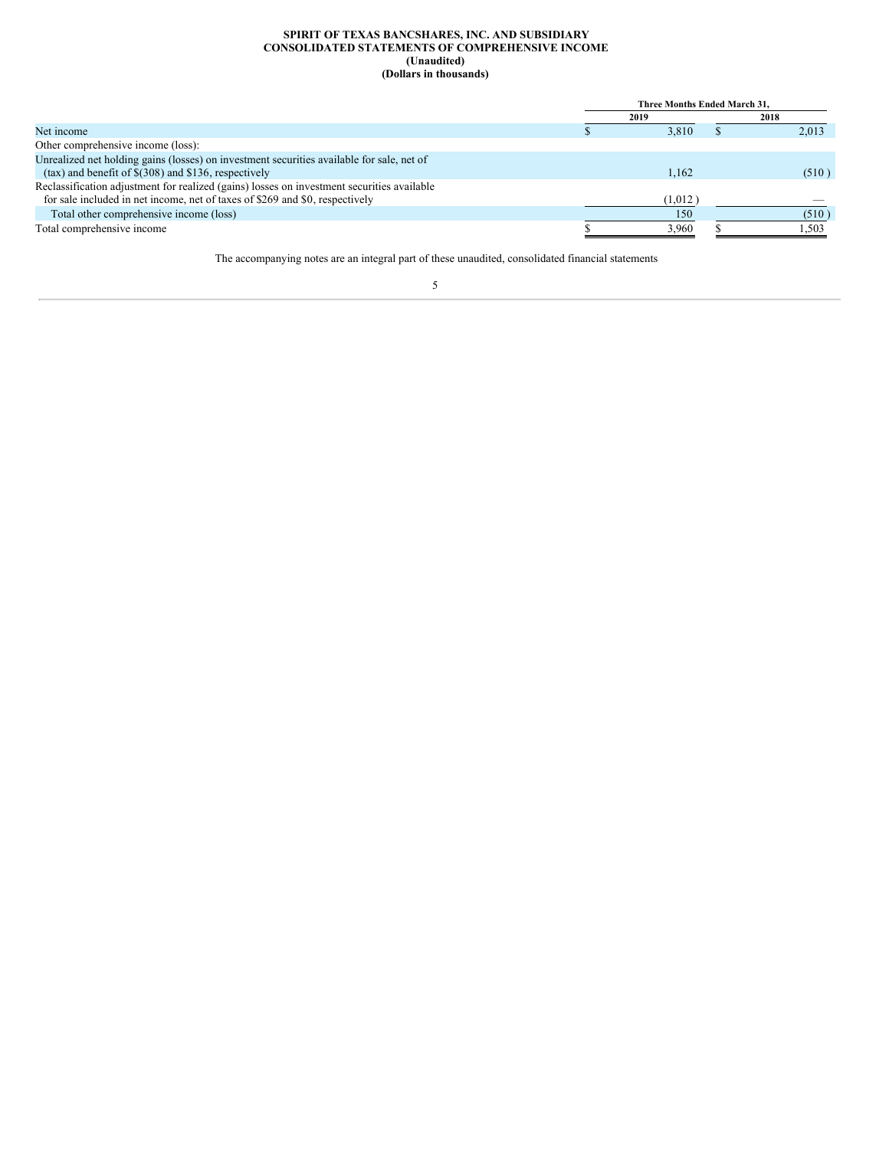#### **SPIRIT OF TEXAS BANCSHARES, INC. AND SUBSIDIARY CONSOLIDATED STATEMENTS OF COMPREHENSIVE INCOME (Unaudited) (Dollars in thousands)**

<span id="page-4-0"></span>

|                                                                                            | Three Months Ended March 31. |         |  |       |
|--------------------------------------------------------------------------------------------|------------------------------|---------|--|-------|
|                                                                                            |                              | 2019    |  | 2018  |
| Net income                                                                                 |                              | 3.810   |  | 2,013 |
| Other comprehensive income (loss):                                                         |                              |         |  |       |
| Unrealized net holding gains (losses) on investment securities available for sale, net of  |                              |         |  |       |
| $(tax)$ and benefit of $\$(308)$ and $\$136$ , respectively                                |                              | 1.162   |  | (510) |
| Reclassification adjustment for realized (gains) losses on investment securities available |                              |         |  |       |
| for sale included in net income, net of taxes of \$269 and \$0, respectively               |                              | (1,012) |  |       |
| Total other comprehensive income (loss)                                                    |                              | 150     |  | (510) |
| Total comprehensive income                                                                 |                              | 3.960   |  | 1.503 |

The accompanying notes are an integral part of these unaudited, consolidated financial statements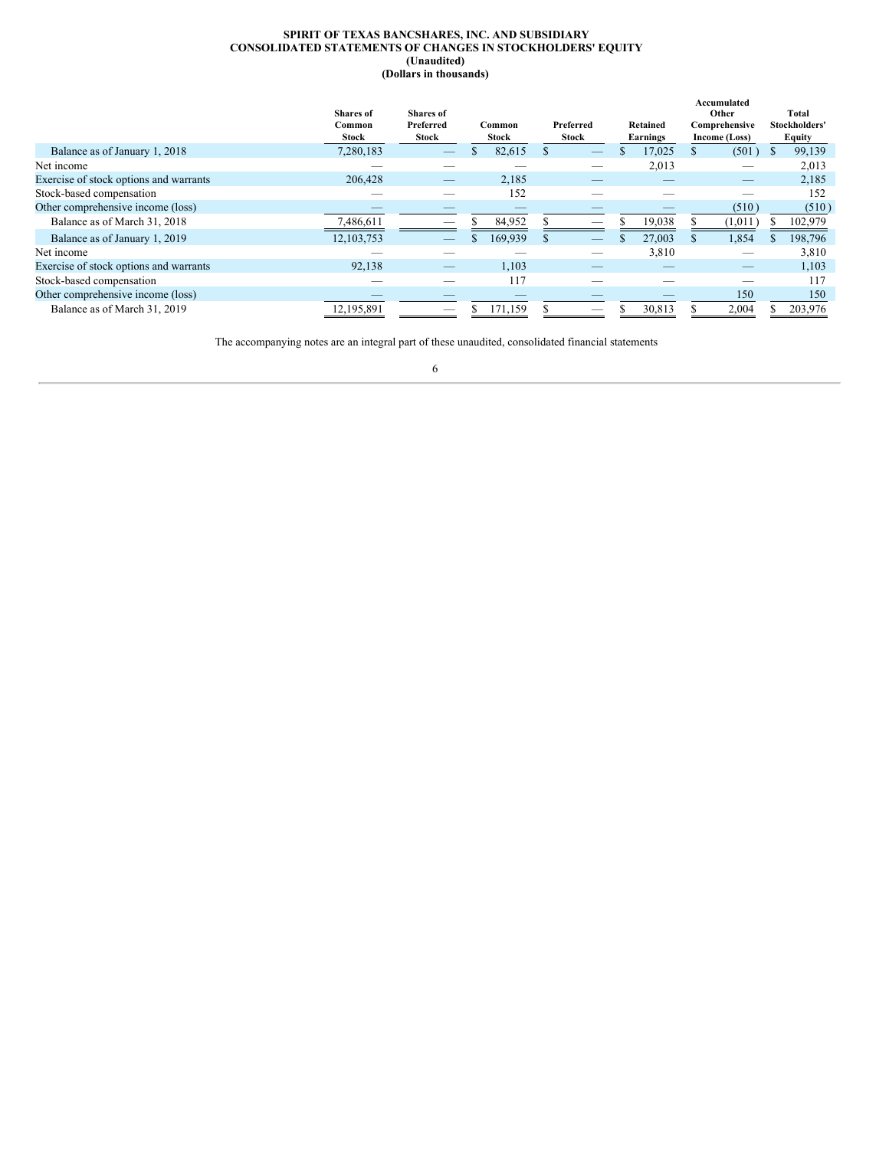#### **SPIRIT OF TEXAS BANCSHARES, INC. AND SUBSIDIARY CONSOLIDATED STATEMENTS OF CHANGES IN STOCKHOLDERS' EQUITY (Unaudited) (Dollars in thousands)**

<span id="page-5-0"></span>

|                                        | <b>Shares</b> of | <b>Shares</b> of |   |         |          |                          |                 | Accumulated<br>Other |    | Total         |
|----------------------------------------|------------------|------------------|---|---------|----------|--------------------------|-----------------|----------------------|----|---------------|
|                                        | Common           | Preferred        |   | Common  |          | Preferred                | Retained        | Comprehensive        |    | Stockholders' |
|                                        | Stock            | <b>Stock</b>     |   | Stock   |          | <b>Stock</b>             | <b>Earnings</b> | Income (Loss)        |    | Equity        |
| Balance as of January 1, 2018          | 7,280,183        |                  | S | 82,615  |          |                          | 17.025          | (501)                | S  | 99,139        |
| Net income                             |                  |                  |   |         |          |                          | 2,013           |                      |    | 2,013         |
| Exercise of stock options and warrants | 206,428          |                  |   | 2,185   |          |                          |                 |                      |    | 2,185         |
| Stock-based compensation               |                  |                  |   | 152     |          |                          |                 |                      |    | 152           |
| Other comprehensive income (loss)      |                  |                  |   |         |          |                          |                 | (510)                |    | (510)         |
| Balance as of March 31, 2018           | 7,486,611        |                  |   | 84,952  |          | _                        | 19,038          | (1,011)              |    | 102,979       |
| Balance as of January 1, 2019          | 12, 103, 753     |                  |   | 169,939 | <b>S</b> | $\overline{\phantom{a}}$ | \$<br>27,003    | 1,854                | S. | 198,796       |
| Net income                             |                  |                  |   |         |          |                          | 3,810           |                      |    | 3,810         |
| Exercise of stock options and warrants | 92,138           |                  |   | 1,103   |          |                          |                 |                      |    | 1,103         |
| Stock-based compensation               |                  |                  |   | 117     |          |                          |                 |                      |    | 117           |
| Other comprehensive income (loss)      |                  |                  |   |         |          |                          |                 | 150                  |    | 150           |
| Balance as of March 31, 2019           | 12,195,891       | _                |   | 171,159 |          |                          | 30,813          | 2,004                |    | 203,976       |

The accompanying notes are an integral part of these unaudited, consolidated financial statements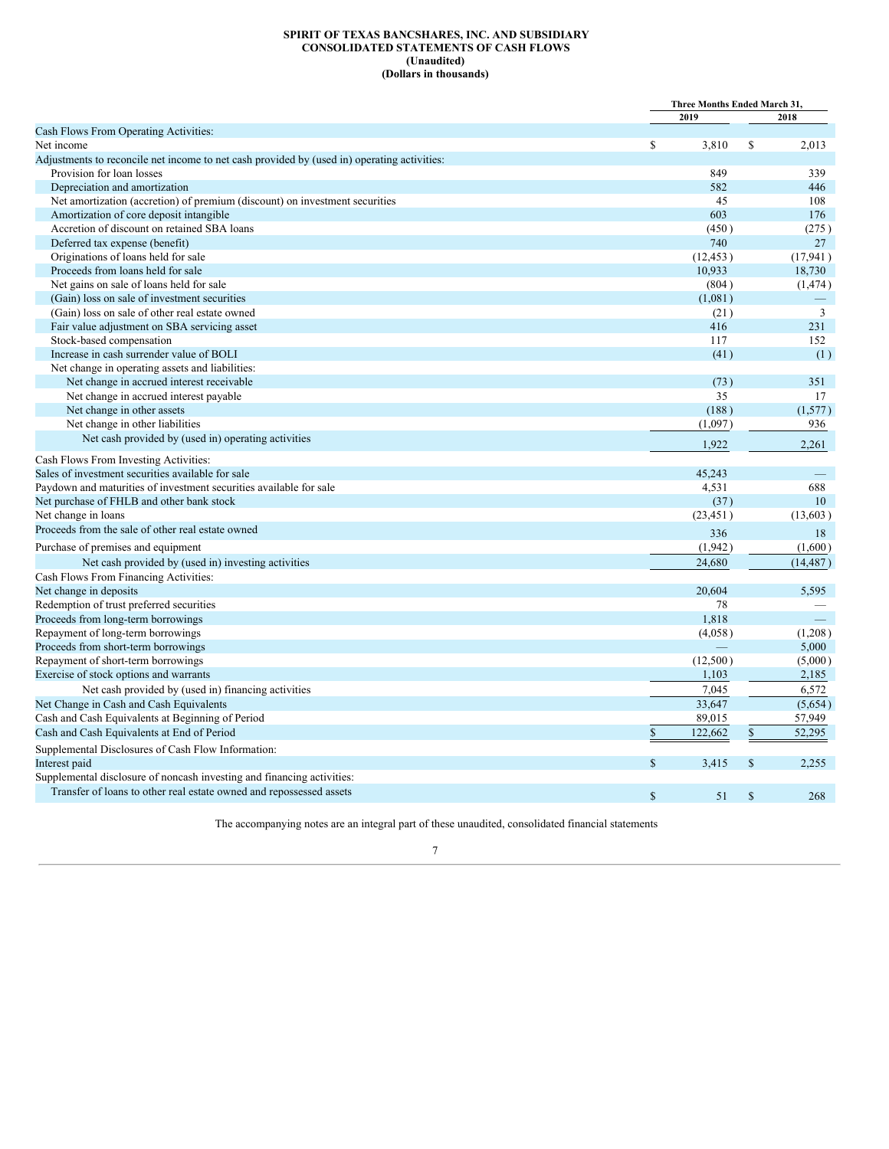#### **SPIRIT OF TEXAS BANCSHARES, INC. AND SUBSIDIARY CONSOLIDATED STATEMENTS OF CASH FLOWS (Unaudited) (Dollars in thousands)**

<span id="page-6-0"></span>

|                                                                                             |                      | Three Months Ended March 31, |           |  |
|---------------------------------------------------------------------------------------------|----------------------|------------------------------|-----------|--|
|                                                                                             | 2019                 |                              | 2018      |  |
| Cash Flows From Operating Activities:                                                       |                      |                              |           |  |
| Net income                                                                                  | $\mathbf S$<br>3.810 | S.                           | 2.013     |  |
| Adjustments to reconcile net income to net cash provided by (used in) operating activities: |                      |                              |           |  |
| Provision for loan losses                                                                   | 849                  |                              | 339       |  |
| Depreciation and amortization                                                               | 582                  |                              | 446       |  |
| Net amortization (accretion) of premium (discount) on investment securities                 | 45                   |                              | 108       |  |
| Amortization of core deposit intangible                                                     | 603                  |                              | 176       |  |
| Accretion of discount on retained SBA loans                                                 | (450)                |                              | (275)     |  |
| Deferred tax expense (benefit)                                                              | 740                  |                              | 27        |  |
| Originations of loans held for sale                                                         | (12, 453)            |                              | (17, 941) |  |
| Proceeds from loans held for sale                                                           | 10,933               |                              | 18,730    |  |
| Net gains on sale of loans held for sale                                                    | (804)                |                              | (1, 474)  |  |
| (Gain) loss on sale of investment securities                                                | (1,081)              |                              |           |  |
| (Gain) loss on sale of other real estate owned                                              | (21)                 |                              | 3         |  |
| Fair value adjustment on SBA servicing asset                                                | 416                  |                              | 231       |  |
| Stock-based compensation                                                                    | 117                  |                              | 152       |  |
| Increase in cash surrender value of BOLI                                                    | (41)                 |                              | (1)       |  |
| Net change in operating assets and liabilities:                                             |                      |                              |           |  |
| Net change in accrued interest receivable                                                   | (73)                 |                              | 351       |  |
| Net change in accrued interest payable                                                      | 35                   |                              | 17        |  |
| Net change in other assets                                                                  | (188)                |                              | (1,577)   |  |
| Net change in other liabilities                                                             | (1,097)              |                              | 936       |  |
| Net cash provided by (used in) operating activities                                         | 1,922                |                              | 2,261     |  |
| Cash Flows From Investing Activities:                                                       |                      |                              |           |  |
| Sales of investment securities available for sale                                           | 45.243               |                              |           |  |
| Paydown and maturities of investment securities available for sale                          | 4,531                |                              | 688       |  |
| Net purchase of FHLB and other bank stock                                                   | (37)                 |                              | 10        |  |
| Net change in loans                                                                         | (23, 451)            |                              | (13, 603) |  |
| Proceeds from the sale of other real estate owned                                           | 336                  |                              | 18        |  |
| Purchase of premises and equipment                                                          | (1,942)              |                              | (1,600)   |  |
| Net cash provided by (used in) investing activities                                         | 24,680               |                              | (14, 487) |  |
| Cash Flows From Financing Activities:                                                       |                      |                              |           |  |
| Net change in deposits                                                                      | 20,604               |                              | 5,595     |  |
| Redemption of trust preferred securities                                                    | 78                   |                              |           |  |
| Proceeds from long-term borrowings                                                          | 1,818                |                              |           |  |
| Repayment of long-term borrowings                                                           | (4.058)              |                              | (1,208)   |  |
| Proceeds from short-term borrowings                                                         |                      |                              | 5,000     |  |
| Repayment of short-term borrowings                                                          | (12,500)             |                              | (5,000)   |  |
| Exercise of stock options and warrants                                                      | 1,103                |                              | 2,185     |  |
| Net cash provided by (used in) financing activities                                         | 7,045                |                              | 6.572     |  |
| Net Change in Cash and Cash Equivalents                                                     | 33,647               |                              | (5,654)   |  |
| Cash and Cash Equivalents at Beginning of Period                                            | 89.015               |                              | 57,949    |  |
| Cash and Cash Equivalents at End of Period                                                  | $\$$<br>122,662      | $\mathbb S$                  | 52,295    |  |
| Supplemental Disclosures of Cash Flow Information:                                          |                      |                              |           |  |
|                                                                                             | $\mathbf S$<br>3,415 | $\mathbb{S}$                 | 2,255     |  |
| Interest paid                                                                               |                      |                              |           |  |
| Supplemental disclosure of noncash investing and financing activities:                      |                      |                              |           |  |
| Transfer of loans to other real estate owned and repossessed assets                         | $\mathbf S$<br>51    | $\mathbb{S}$                 | 268       |  |

The accompanying notes are an integral part of these unaudited, consolidated financial statements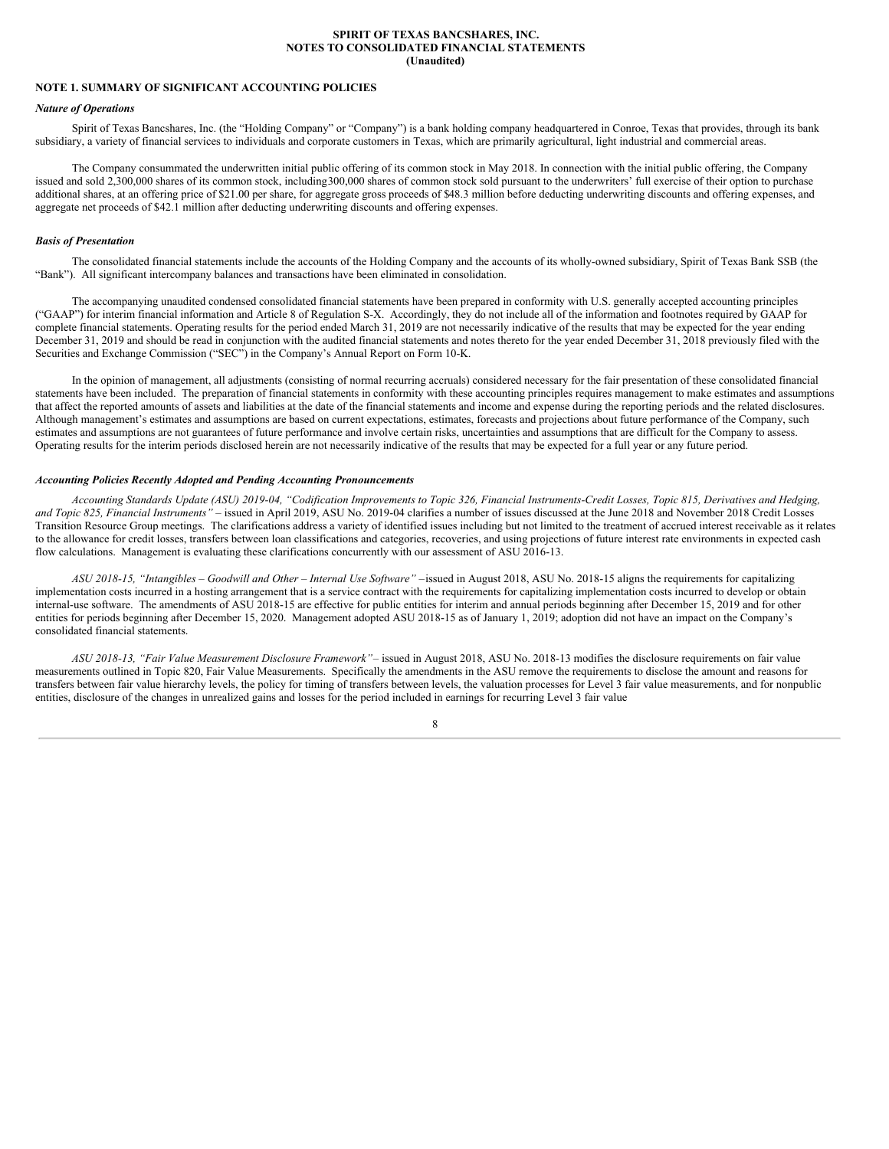#### **SPIRIT OF TEXAS BANCSHARES, INC. NOTES TO CONSOLIDATED FINANCIAL STATEMENTS (Unaudited)**

## <span id="page-7-0"></span>**NOTE 1. SUMMARY OF SIGNIFICANT ACCOUNTING POLICIES**

#### *Nature of Operations*

Spirit of Texas Bancshares, Inc. (the "Holding Company" or "Company") is a bank holding company headquartered in Conroe, Texas that provides, through its bank subsidiary, a variety of financial services to individuals and corporate customers in Texas, which are primarily agricultural, light industrial and commercial areas.

The Company consummated the underwritten initial public offering of its common stock in May 2018. In connection with the initial public offering, the Company issued and sold 2,300,000 shares of its common stock, including 300,000 shares of common stock sold pursuant to the underwriters' full exercise of their option to purchase additional shares, at an offering price of \$21.00 per share, for aggregate gross proceeds of \$48.3 million before deducting underwriting discounts and offering expenses, and aggregate net proceeds of \$42.1 million after deducting underwriting discounts and offering expenses.

## *Basis of Presentation*

The consolidated financial statements include the accounts of the Holding Company and the accounts of its wholly-owned subsidiary, Spirit of Texas Bank SSB (the "Bank"). All significant intercompany balances and transactions have been eliminated in consolidation.

The accompanying unaudited condensed consolidated financial statements have been prepared in conformity with U.S. generally accepted accounting principles ("GAAP") for interim financial information and Article 8 of Regulation S-X. Accordingly, they do not include all of the information and footnotes required by GAAP for complete financial statements. Operating results for the period ended March 31, 2019 are not necessarily indicative of the results that may be expected for the year ending December 31, 2019 and should be read in conjunction with the audited financial statements and notes thereto for the year ended December 31, 2018 previously filed with the Securities and Exchange Commission ("SEC") in the Company's Annual Report on Form 10-K.

In the opinion of management, all adjustments (consisting of normal recurring accruals) considered necessary for the fair presentation of these consolidated financial statements have been included. The preparation of financial statements in conformity with these accounting principles requires management to make estimates and assumptions that affect the reported amounts of assets and liabilities at the date of the financial statements and income and expense during the reporting periods and the related disclosures. Although management's estimates and assumptions are based on current expectations, estimates, forecasts and projections about future performance of the Company, such estimates and assumptions are not guarantees of future performance and involve certain risks, uncertainties and assumptions that are difficult for the Company to assess. Operating results for the interim periods disclosed herein are not necessarily indicative of the results that may be expected for a full year or any future period.

## *Accounting Policies Recently Adopted and Pending Accounting Pronouncements*

Accounting Standards Update (ASU) 2019-04, "Codification Improvements to Topic 326, Financial Instruments-Credit Losses, Topic 815, Derivatives and Hedging, *and Topic 825, Financial Instruments" –* issued in April 2019, ASU No. 2019-04 clarifies a number of issues discussed at the June 2018 and November 2018 Credit Losses Transition Resource Group meetings. The clarifications address a variety of identified issues including but not limited to the treatment of accrued interest receivable as it relates to the allowance for credit losses, transfers between loan classifications and categories, recoveries, and using projections of future interest rate environments in expected cash flow calculations. Management is evaluating these clarifications concurrently with our assessment of ASU 2016-13.

ASU 2018-15, "Intangibles - Goodwill and Other - Internal Use Software" - issued in August 2018, ASU No. 2018-15 aligns the requirements for capitalizing implementation costs incurred in a hosting arrangement that is a service contract with the requirements for capitalizing implementation costs incurred to develop or obtain internal-use software. The amendments of ASU 2018-15 are effective for public entities for interim and annual periods beginning after December 15, 2019 and for other entities for periods beginning after December 15, 2020. Management adopted ASU 2018-15 as of January 1, 2019; adoption did not have an impact on the Company's consolidated financial statements.

*ASU 2018-13, "Fair Value Measurement Disclosure Framework"*– issued in August 2018, ASU No. 2018-13 modifies the disclosure requirements on fair value measurements outlined in Topic 820, Fair Value Measurements. Specifically the amendments in the ASU remove the requirements to disclose the amount and reasons for transfers between fair value hierarchy levels, the policy for timing of transfers between levels, the valuation processes for Level 3 fair value measurements, and for nonpublic entities, disclosure of the changes in unrealized gains and losses for the period included in earnings for recurring Level 3 fair value

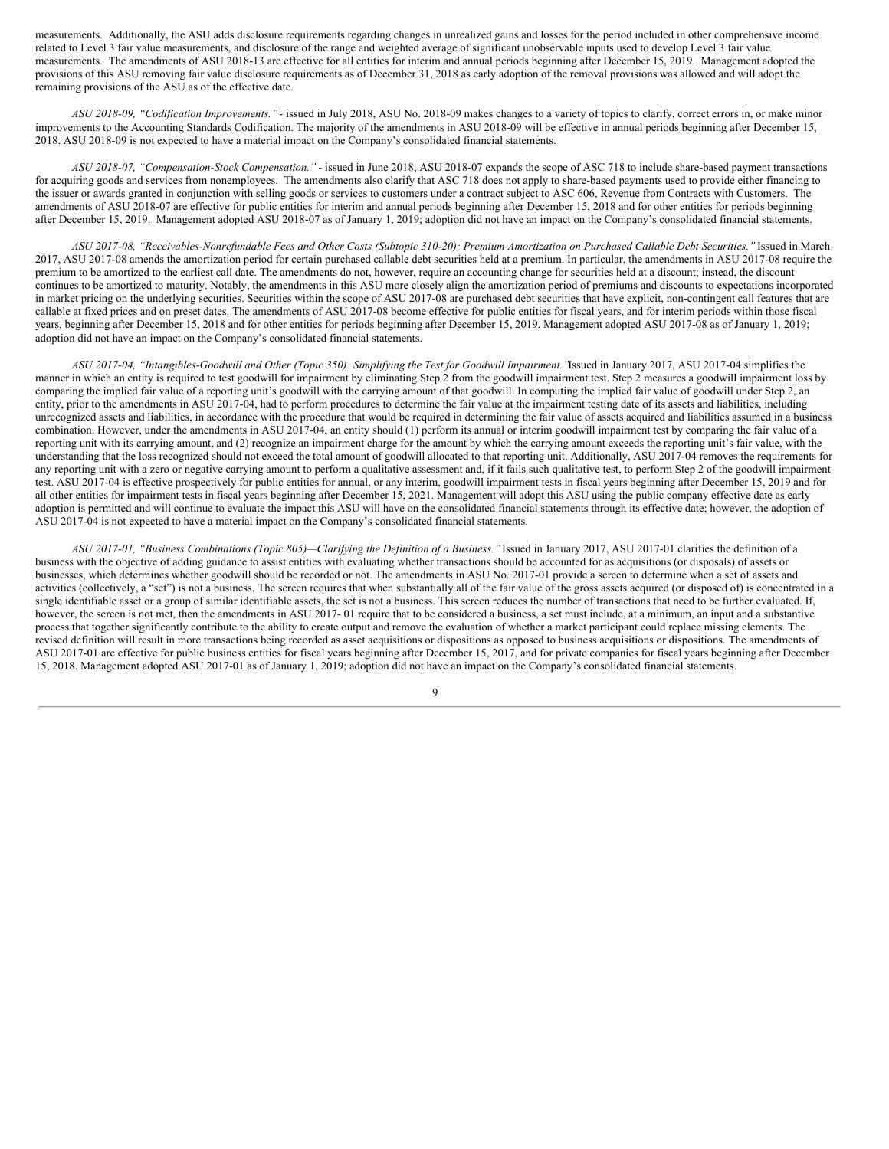measurements. Additionally, the ASU adds disclosure requirements regarding changes in unrealized gains and losses for the period included in other comprehensive income related to Level 3 fair value measurements, and disclosure of the range and weighted average of significant unobservable inputs used to develop Level 3 fair value measurements. The amendments of ASU 2018-13 are effective for all entities for interim and annual periods beginning after December 15, 2019. Management adopted the provisions of this ASU removing fair value disclosure requirements as of December 31, 2018 as early adoption of the removal provisions was allowed and will adopt the remaining provisions of the ASU as of the effective date.

*ASU 2018-09, "Codification Improvements."* - issued in July 2018, ASU No. 2018-09 makes changes to a variety of topics to clarify, correct errors in, or make minor improvements to the Accounting Standards Codification. The majority of the amendments in ASU 2018-09 will be effective in annual periods beginning after December 15, 2018. ASU 2018-09 is not expected to have a material impact on the Company's consolidated financial statements.

*ASU 2018-07, "Compensation-Stock Compensation."* - issued in June 2018, ASU 2018-07 expands the scope of ASC 718 to include share-based payment transactions for acquiring goods and services from nonemployees. The amendments also clarify that ASC 718 does not apply to share-based payments used to provide either financing to the issuer or awards granted in conjunction with selling goods or services to customers under a contract subject to ASC 606, Revenue from Contracts with Customers. The amendments of ASU 2018-07 are effective for public entities for interim and annual periods beginning after December 15, 2018 and for other entities for periods beginning after December 15, 2019. Management adopted ASU 2018-07 as of January 1, 2019; adoption did not have an impact on the Company's consolidated financial statements.

ASU 2017-08, "Receivables-Nonrefundable Fees and Other Costs (Subtopic 310-20): Premium Amortization on Purchased Callable Debt Securities." Issued in March 2017, ASU 2017-08 amends the amortization period for certain purchased callable debt securities held at a premium. In particular, the amendments in ASU 2017-08 require the premium to be amortized to the earliest call date. The amendments do not, however, require an accounting change for securities held at a discount; instead, the discount continues to be amortized to maturity. Notably, the amendments in this ASU more closely align the amortization period of premiums and discounts to expectations incorporated in market pricing on the underlying securities. Securities within the scope of ASU 2017-08 are purchased debt securities that have explicit, non-contingent call features that are callable at fixed prices and on preset dates. The amendments of ASU 2017-08 become effective for public entities for fiscal years, and for interim periods within those fiscal years, beginning after December 15, 2018 and for other entities for periods beginning after December 15, 2019. Management adopted ASU 2017-08 as of January 1, 2019; adoption did not have an impact on the Company's consolidated financial statements.

ASU 2017-04, "Intangibles-Goodwill and Other (Topic 350): Simplifying the Test for Goodwill Impairment. 'Issued in January 2017, ASU 2017-04 simplifies the manner in which an entity is required to test goodwill for impairment by eliminating Step 2 from the goodwill impairment test. Step 2 measures a goodwill impairment loss by comparing the implied fair value of a reporting unit's goodwill with the carrying amount of that goodwill. In computing the implied fair value of goodwill under Step 2, an entity, prior to the amendments in ASU 2017-04, had to perform procedures to determine the fair value at the impairment testing date of its assets and liabilities, including unrecognized assets and liabilities, in accordance with the procedure that would be required in determining the fair value of assets acquired and liabilities assumed in a business combination. However, under the amendments in ASU 2017-04, an entity should (1) perform its annual or interim goodwill impairment test by comparing the fair value of a reporting unit with its carrying amount, and (2) recognize an impairment charge for the amount by which the carrying amount exceeds the reporting unit's fair value, with the understanding that the loss recognized should not exceed the total amount of goodwill allocated to that reporting unit. Additionally, ASU 2017-04 removes the requirements for any reporting unit with a zero or negative carrying amount to perform a qualitative assessment and, if it fails such qualitative test, to perform Step 2 of the goodwill impairment test. ASU 2017-04 is effective prospectively for public entities for annual, or any interim, goodwill impairment tests in fiscal years beginning after December 15, 2019 and for all other entities for impairment tests in fiscal years beginning after December 15, 2021. Management will adopt this ASU using the public company effective date as early adoption is permitted and will continue to evaluate the impact this ASU will have on the consolidated financial statements through its effective date; however, the adoption of ASU 2017-04 is not expected to have a material impact on the Company's consolidated financial statements.

ASU 2017-01, "Business Combinations (Topic 805)-Clarifying the Definition of a Business." Issued in January 2017, ASU 2017-01 clarifies the definition of a business with the objective of adding guidance to assist entities with evaluating whether transactions should be accounted for as acquisitions (or disposals) of assets or businesses, which determines whether goodwill should be recorded or not. The amendments in ASU No. 2017-01 provide a screen to determine when a set of assets and activities (collectively, a "set") is not a business. The screen requires that when substantially all of the fair value of the gross assets acquired (or disposed of) is concentrated in a single identifiable asset or a group of similar identifiable assets, the set is not a business. This screen reduces the number of transactions that need to be further evaluated. If, however, the screen is not met, then the amendments in ASU 2017-01 require that to be considered a business, a set must include, at a minimum, an input and a substantive process that together significantly contribute to the ability to create output and remove the evaluation of whether a market participant could replace missing elements. The revised definition will result in more transactions being recorded as asset acquisitions or dispositions as opposed to business acquisitions or dispositions. The amendments of ASU 2017-01 are effective for public business entities for fiscal years beginning after December 15, 2017, and for private companies for fiscal years beginning after December 15, 2018. Management adopted ASU 2017-01 as of January 1, 2019; adoption did not have an impact on the Company's consolidated financial statements.

 $\overline{Q}$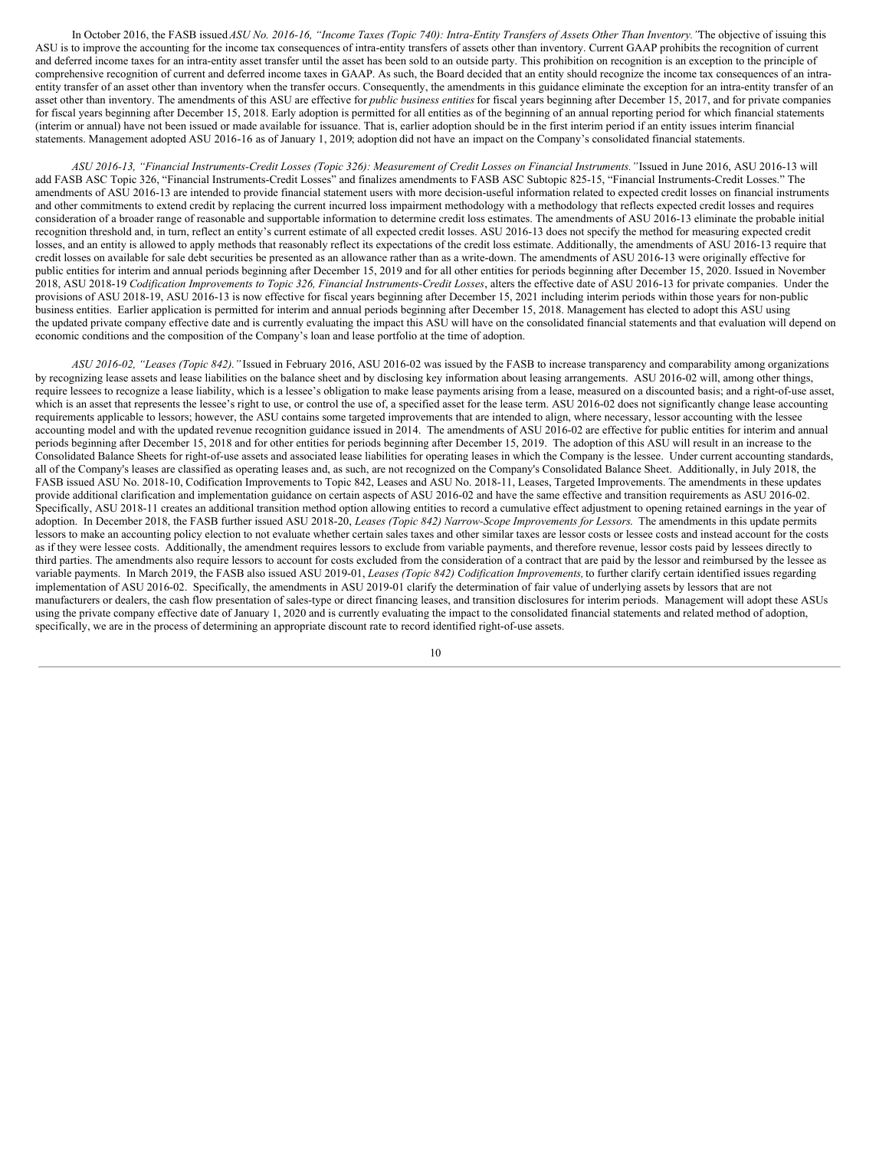In October 2016, the FASB issued ASU No. 2016-16, "Income Taxes (Topic 740): Intra-Entity Transfers of Assets Other Than Inventory. 'The objective of issuing this ASU is to improve the accounting for the income tax consequences of intra-entity transfers of assets other than inventory. Current GAAP prohibits the recognition of current and deferred income taxes for an intra-entity asset transfer until the asset has been sold to an outside party. This prohibition on recognition is an exception to the principle of comprehensive recognition of current and deferred income taxes in GAAP. As such, the Board decided that an entity should recognize the income tax consequences of an intraentity transfer of an asset other than inventory when the transfer occurs. Consequently, the amendments in this guidance eliminate the exception for an intra-entity transfer of an asset other than inventory. The amendments of this ASU are effective for *public business entities* for fiscal years beginning after December 15, 2017, and for private companies for fiscal years beginning after December 15, 2018. Early adoption is permitted for all entities as of the beginning of an annual reporting period for which financial statements (interim or annual) have not been issued or made available for issuance. That is, earlier adoption should be in the first interim period if an entity issues interim financial statements. Management adopted ASU 2016-16 as of January 1, 2019; adoption did not have an impact on the Company's consolidated financial statements.

ASU 2016-13, "Financial Instruments-Credit Losses (Topic 326): Measurement of Credit Losses on Financial Instruments."Issued in June 2016, ASU 2016-13 will add FASB ASC Topic 326, "Financial Instruments-Credit Losses" and finalizes amendments to FASB ASC Subtopic 825-15, "Financial Instruments-Credit Losses." The amendments of ASU 2016-13 are intended to provide financial statement users with more decision-useful information related to expected credit losses on financial instruments and other commitments to extend credit by replacing the current incurred loss impairment methodology with a methodology that reflects expected credit losses and requires consideration of a broader range of reasonable and supportable information to determine credit loss estimates. The amendments of ASU 2016-13 eliminate the probable initial recognition threshold and, in turn, reflect an entity's current estimate of all expected credit losses. ASU 2016-13 does not specify the method for measuring expected credit losses, and an entity is allowed to apply methods that reasonably reflect its expectations of the credit loss estimate. Additionally, the amendments of ASU 2016-13 require that credit losses on available for sale debt securities be presented as an allowance rather than as a write-down. The amendments of ASU 2016-13 were originally effective for public entities for interim and annual periods beginning after December 15, 2019 and for all other entities for periods beginning after December 15, 2020. Issued in November 2018, ASU 2018-19 *Codification Improvements to Topic 326, Financial Instruments-Credit Losses*, alters the effective date of ASU 2016-13 for private companies. Under the provisions of ASU 2018-19, ASU 2016-13 is now effective for fiscal years beginning after December 15, 2021 including interim periods within those years for non-public business entities. Earlier application is permitted for interim and annual periods beginning after December 15, 2018. Management has elected to adopt this ASU using the updated private company effective date and is currently evaluating the impact this ASU will have on the consolidated financial statements and that evaluation will depend on economic conditions and the composition of the Company's loan and lease portfolio at the time of adoption.

*ASU 2016-02, "Leases (Topic 842)."* Issued in February 2016, ASU 2016-02 was issued by the FASB to increase transparency and comparability among organizations by recognizing lease assets and lease liabilities on the balance sheet and by disclosing key information about leasing arrangements. ASU 2016-02 will, among other things, require lessees to recognize a lease liability, which is a lessee's obligation to make lease payments arising from a lease, measured on a discounted basis; and a right-of-use asset, which is an asset that represents the lessee's right to use, or control the use of, a specified asset for the lease term. ASU 2016-02 does not significantly change lease accounting requirements applicable to lessors; however, the ASU contains some targeted improvements that are intended to align, where necessary, lessor accounting with the lessee accounting model and with the updated revenue recognition guidance issued in 2014. The amendments of ASU 2016-02 are effective for public entities for interim and annual periods beginning after December 15, 2018 and for other entities for periods beginning after December 15, 2019. The adoption of this ASU will result in an increase to the Consolidated Balance Sheets for right-of-use assets and associated lease liabilities for operating leases in which the Company is the lessee. Under current accounting standards, all of the Company's leases are classified as operating leases and, as such, are not recognized on the Company's Consolidated Balance Sheet. Additionally, in July 2018, the FASB issued ASU No. 2018-10, Codification Improvements to Topic 842, Leases and ASU No. 2018-11, Leases, Targeted Improvements. The amendments in these updates provide additional clarification and implementation guidance on certain aspects of ASU 2016-02 and have the same effective and transition requirements as ASU 2016-02. Specifically, ASU 2018-11 creates an additional transition method option allowing entities to record a cumulative effect adjustment to opening retained earnings in the year of adoption. In December 2018, the FASB further issued ASU 2018-20, *Leases (Topic 842) Narrow-Scope Improvements for Lessors*. The amendments in this update permits lessors to make an accounting policy election to not evaluate whether certain sales taxes and other similar taxes are lessor costs or lessee costs and instead account for the costs as if they were lessee costs. Additionally, the amendment requires lessors to exclude from variable payments, and therefore revenue, lessor costs paid by lessees directly to third parties. The amendments also require lessors to account for costs excluded from the consideration of a contract that are paid by the lessor and reimbursed by the lessee as variable payments. In March 2019, the FASB also issued ASU 2019-01, *Leases (Topic 842) Codification Improvements,* to further clarify certain identified issues regarding implementation of ASU 2016-02. Specifically, the amendments in ASU 2019-01 clarify the determination of fair value of underlying assets by lessors that are not manufacturers or dealers, the cash flow presentation of sales-type or direct financing leases, and transition disclosures for interim periods. Management will adopt these ASUs using the private company effective date of January 1, 2020 and is currently evaluating the impact to the consolidated financial statements and related method of adoption, specifically, we are in the process of determining an appropriate discount rate to record identified right-of-use assets.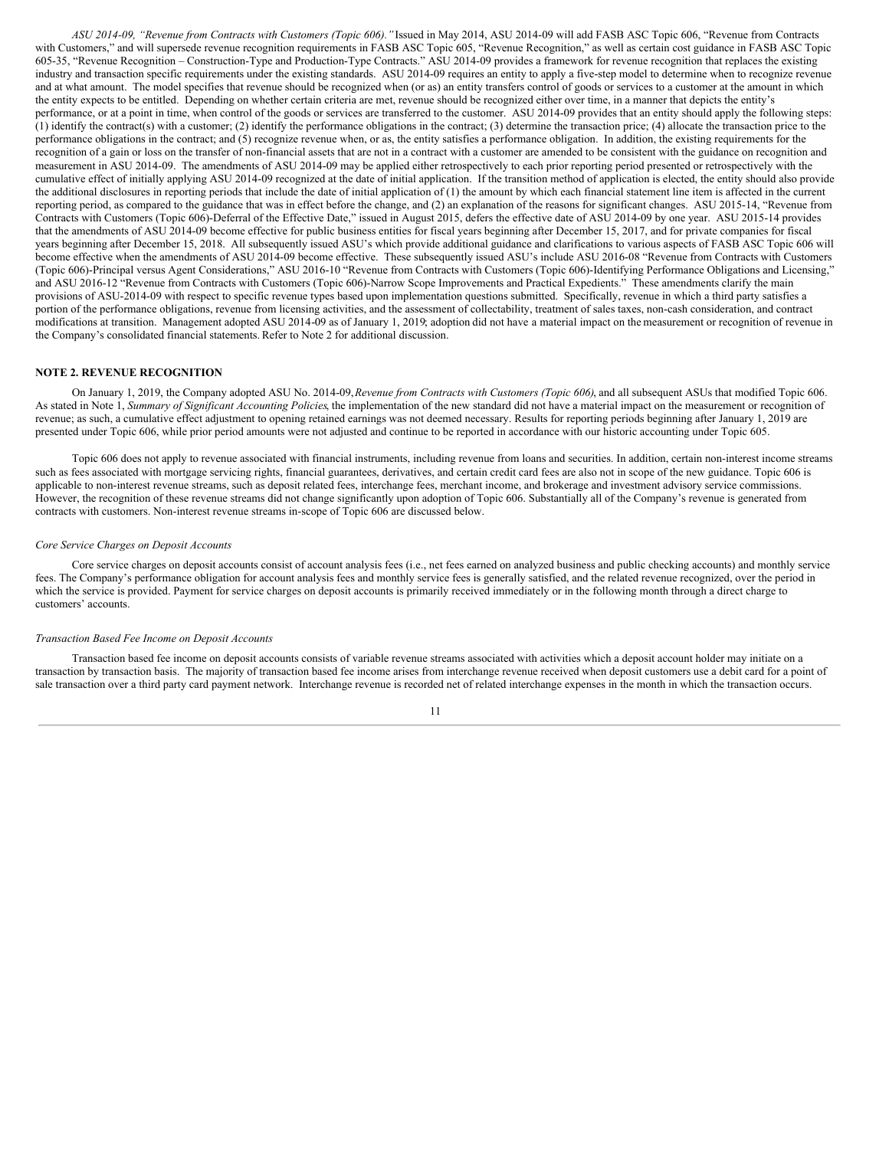*ASU 2014-09, "Revenue from Contracts with Customers (Topic 606)."*Issued in May 2014, ASU 2014-09 will add FASB ASC Topic 606, "Revenue from Contracts with Customers," and will supersede revenue recognition requirements in FASB ASC Topic 605, "Revenue Recognition," as well as certain cost guidance in FASB ASC Topic 605-35, "Revenue Recognition – Construction-Type and Production-Type Contracts." ASU 2014-09 provides a framework for revenue recognition that replaces the existing industry and transaction specific requirements under the existing standards. ASU 2014-09 requires an entity to apply a five-step model to determine when to recognize revenue and at what amount. The model specifies that revenue should be recognized when (or as) an entity transfers control of goods or services to a customer at the amount in which the entity expects to be entitled. Depending on whether certain criteria are met, revenue should be recognized either over time, in a manner that depicts the entity's performance, or at a point in time, when control of the goods or services are transferred to the customer. ASU 2014-09 provides that an entity should apply the following steps: (1) identify the contract(s) with a customer; (2) identify the performance obligations in the contract; (3) determine the transaction price; (4) allocate the transaction price to the performance obligations in the contract; and (5) recognize revenue when, or as, the entity satisfies a performance obligation. In addition, the existing requirements for the recognition of a gain or loss on the transfer of non-financial assets that are not in a contract with a customer are amended to be consistent with the guidance on recognition and measurement in ASU 2014-09. The amendments of ASU 2014-09 may be applied either retrospectively to each prior reporting period presented or retrospectively with the cumulative effect of initially applying ASU 2014-09 recognized at the date of initial application. If the transition method of application is elected, the entity should also provide the additional disclosures in reporting periods that include the date of initial application of (1) the amount by which each financial statement line item is affected in the current reporting period, as compared to the guidance that was in effect before the change, and (2) an explanation of the reasons for significant changes. ASU 2015-14, "Revenue from Contracts with Customers (Topic 606)-Deferral of the Effective Date," issued in August 2015, defers the effective date of ASU 2014-09 by one year. ASU 2015-14 provides that the amendments of ASU 2014-09 become effective for public business entities for fiscal years beginning after December 15, 2017, and for private companies for fiscal years beginning after December 15, 2018. All subsequently issued ASU's which provide additional guidance and clarifications to various aspects of FASB ASC Topic 606 will become effective when the amendments of ASU 2014-09 become effective. These subsequently issued ASU's include ASU 2016-08 "Revenue from Contracts with Customers (Topic 606)-Principal versus Agent Considerations," ASU 2016-10 "Revenue from Contracts with Customers (Topic 606)-Identifying Performance Obligations and Licensing," and ASU 2016-12 "Revenue from Contracts with Customers (Topic 606)-Narrow Scope Improvements and Practical Expedients." These amendments clarify the main provisions of ASU-2014-09 with respect to specific revenue types based upon implementation questions submitted. Specifically, revenue in which a third party satisfies a portion of the performance obligations, revenue from licensing activities, and the assessment of collectability, treatment of sales taxes, non-cash consideration, and contract modifications at transition. Management adopted ASU 2014-09 as of January 1, 2019; adoption did not have a material impact on the measurement or recognition of revenue in the Company's consolidated financial statements. Refer to Note 2 for additional discussion.

#### **NOTE 2. REVENUE RECOGNITION**

On January 1, 2019, the Company adopted ASU No. 2014-09,*Revenue from Contracts with Customers (Topic 606)*, and all subsequent ASUs that modified Topic 606. As stated in Note 1, *Summary of Significant Accounting Policies*, the implementation of the new standard did not have a material impact on the measurement or recognition of revenue; as such, a cumulative effect adjustment to opening retained earnings was not deemed necessary. Results for reporting periods beginning after January 1, 2019 are presented under Topic 606, while prior period amounts were not adjusted and continue to be reported in accordance with our historic accounting under Topic 605.

Topic 606 does not apply to revenue associated with financial instruments, including revenue from loans and securities. In addition, certain non-interest income streams such as fees associated with mortgage servicing rights, financial guarantees, derivatives, and certain credit card fees are also not in scope of the new guidance. Topic 606 is applicable to non-interest revenue streams, such as deposit related fees, interchange fees, merchant income, and brokerage and investment advisory service commissions. However, the recognition of these revenue streams did not change significantly upon adoption of Topic 606. Substantially all of the Company's revenue is generated from contracts with customers. Non-interest revenue streams in-scope of Topic 606 are discussed below.

#### *Core Service Charges on Deposit Accounts*

Core service charges on deposit accounts consist of account analysis fees (i.e., net fees earned on analyzed business and public checking accounts) and monthly service fees. The Company's performance obligation for account analysis fees and monthly service fees is generally satisfied, and the related revenue recognized, over the period in which the service is provided. Payment for service charges on deposit accounts is primarily received immediately or in the following month through a direct charge to customers' accounts.

#### *Transaction Based Fee Income on Deposit Accounts*

Transaction based fee income on deposit accounts consists of variable revenue streams associated with activities which a deposit account holder may initiate on a transaction by transaction basis. The majority of transaction based fee income arises from interchange revenue received when deposit customers use a debit card for a point of sale transaction over a third party card payment network. Interchange revenue is recorded net of related interchange expenses in the month in which the transaction occurs.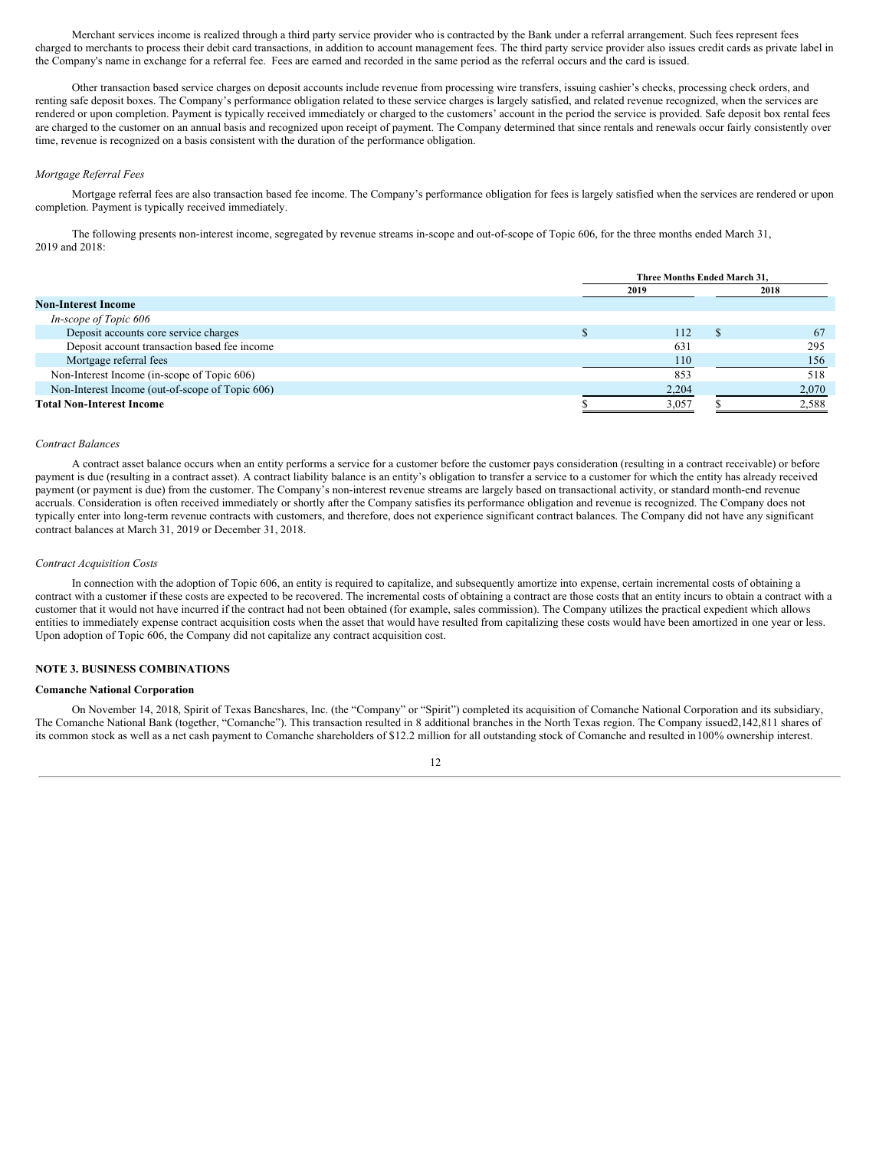Merchant services income is realized through a third party service provider who is contracted by the Bank under a referral arrangement. Such fees represent fees charged to merchants to process their debit card transactions, in addition to account management fees. The third party service provider also issues credit cards as private label in the Company's name in exchange for a referral fee. Fees are earned and recorded in the same period as the referral occurs and the card is issued.

Other transaction based service charges on deposit accounts include revenue from processing wire transfers, issuing cashier's checks, processing check orders, and renting safe deposit boxes. The Company's performance obligation related to these service charges is largely satisfied, and related revenue recognized, when the services are rendered or upon completion. Payment is typically received immediately or charged to the customers' account in the period the service is provided. Safe deposit box rental fees are charged to the customer on an annual basis and recognized upon receipt of payment. The Company determined that since rentals and renewals occur fairly consistently over time, revenue is recognized on a basis consistent with the duration of the performance obligation.

#### *Mortgage Referral Fees*

Mortgage referral fees are also transaction based fee income. The Company's performance obligation for fees is largely satisfied when the services are rendered or upon completion. Payment is typically received immediately.

The following presents non-interest income, segregated by revenue streams in-scope and out-of-scope of Topic 606, for the three months ended March 31, 2019 and 2018:

|                                                 | Three Months Ended March 31. |       |  |       |  |  |  |
|-------------------------------------------------|------------------------------|-------|--|-------|--|--|--|
|                                                 | 2019                         |       |  | 2018  |  |  |  |
| <b>Non-Interest Income</b>                      |                              |       |  |       |  |  |  |
| In-scope of Topic 606                           |                              |       |  |       |  |  |  |
| Deposit accounts core service charges           |                              | 112   |  | 67    |  |  |  |
| Deposit account transaction based fee income    |                              | 631   |  | 295   |  |  |  |
| Mortgage referral fees                          |                              | 110   |  | 156   |  |  |  |
| Non-Interest Income (in-scope of Topic 606)     |                              | 853   |  | 518   |  |  |  |
| Non-Interest Income (out-of-scope of Topic 606) |                              | 2,204 |  | 2,070 |  |  |  |
| <b>Total Non-Interest Income</b>                |                              | 3,057 |  | 2,588 |  |  |  |

#### *Contract Balances*

A contract asset balance occurs when an entity performs a service for a customer before the customer pays consideration (resulting in a contract receivable) or before payment is due (resulting in a contract asset). A contract liability balance is an entity's obligation to transfer a service to a customer for which the entity has already received payment (or payment is due) from the customer. The Company's non-interest revenue streams are largely based on transactional activity, or standard month-end revenue accruals. Consideration is often received immediately or shortly after the Company satisfies its performance obligation and revenue is recognized. The Company does not typically enter into long-term revenue contracts with customers, and therefore, does not experience significant contract balances. The Company did not have any significant contract balances at March 31, 2019 or December 31, 2018.

#### *Contract Acquisition Costs*

In connection with the adoption of Topic 606, an entity is required to capitalize, and subsequently amortize into expense, certain incremental costs of obtaining a contract with a customer if these costs are expected to be recovered. The incremental costs of obtaining a contract are those costs that an entity incurs to obtain a contract with a customer that it would not have incurred if the contract had not been obtained (for example, sales commission). The Company utilizes the practical expedient which allows entities to immediately expense contract acquisition costs when the asset that would have resulted from capitalizing these costs would have been amortized in one year or less. Upon adoption of Topic 606, the Company did not capitalize any contract acquisition cost.

## **NOTE 3. BUSINESS COMBINATIONS**

## **Comanche National Corporation**

On November 14, 2018, Spirit of Texas Bancshares, Inc. (the "Company" or "Spirit") completed its acquisition of Comanche National Corporation and its subsidiary, The Comanche National Bank (together, "Comanche"). This transaction resulted in 8 additional branches in the North Texas region. The Company issued2,142,811 shares of its common stock as well as a net cash payment to Comanche shareholders of \$12.2 million for all outstanding stock of Comanche and resulted in100% ownership interest.

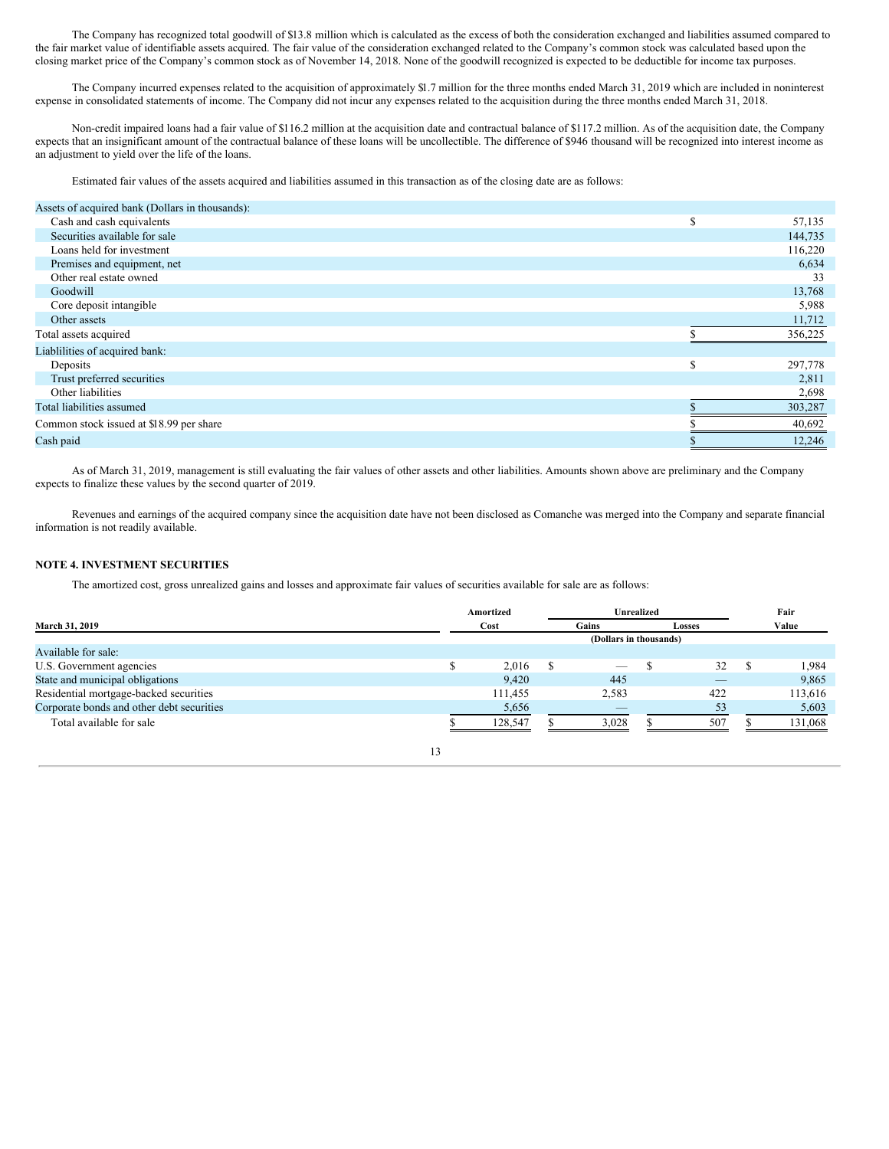The Company has recognized total goodwill of \$13.8 million which is calculated as the excess of both the consideration exchanged and liabilities assumed compared to the fair market value of identifiable assets acquired. The fair value of the consideration exchanged related to the Company's common stock was calculated based upon the closing market price of the Company's common stock as of November 14, 2018. None of the goodwill recognized is expected to be deductible for income tax purposes.

The Company incurred expenses related to the acquisition of approximately \$1.7 million for the three months ended March 31, 2019 which are included in noninterest expense in consolidated statements of income. The Company did not incur any expenses related to the acquisition during the three months ended March 31, 2018.

Non-credit impaired loans had a fair value of \$116.2 million at the acquisition date and contractual balance of \$117.2 million. As of the acquisition date, the Company expects that an insignificant amount of the contractual balance of these loans will be uncollectible. The difference of \$946 thousand will be recognized into interest income as an adjustment to yield over the life of the loans.

Estimated fair values of the assets acquired and liabilities assumed in this transaction as of the closing date are as follows:

| Assets of acquired bank (Dollars in thousands): |    |         |
|-------------------------------------------------|----|---------|
| Cash and cash equivalents                       | \$ | 57,135  |
| Securities available for sale                   |    | 144,735 |
| Loans held for investment                       |    | 116,220 |
| Premises and equipment, net                     |    | 6,634   |
| Other real estate owned                         |    | 33      |
| Goodwill                                        |    | 13,768  |
| Core deposit intangible                         |    | 5,988   |
| Other assets                                    |    | 11,712  |
| Total assets acquired                           |    | 356,225 |
| Liablilities of acquired bank:                  |    |         |
| Deposits                                        | S  | 297,778 |
| Trust preferred securities                      |    | 2,811   |
| Other liabilities                               |    | 2,698   |
| Total liabilities assumed                       |    | 303,287 |
| Common stock issued at \$18.99 per share        |    | 40,692  |
| Cash paid                                       | ٠D | 12.246  |

As of March 31, 2019, management is still evaluating the fair values of other assets and other liabilities. Amounts shown above are preliminary and the Company expects to finalize these values by the second quarter of 2019.

Revenues and earnings of the acquired company since the acquisition date have not been disclosed as Comanche was merged into the Company and separate financial information is not readily available.

## **NOTE 4. INVESTMENT SECURITIES**

The amortized cost, gross unrealized gains and losses and approximate fair values of securities available for sale are as follows:

| March 31, 2019                            |  | Amortized              | Unrealized |                          |  |               |  | Fair    |  |  |
|-------------------------------------------|--|------------------------|------------|--------------------------|--|---------------|--|---------|--|--|
|                                           |  | Cost                   | Gains      |                          |  | <b>Losses</b> |  | Value   |  |  |
|                                           |  | (Dollars in thousands) |            |                          |  |               |  |         |  |  |
| Available for sale:                       |  |                        |            |                          |  |               |  |         |  |  |
| U.S. Government agencies                  |  | 2.016                  |            | $\overline{\phantom{a}}$ |  | 32            |  | 1,984   |  |  |
| State and municipal obligations           |  | 9.420                  |            | 445                      |  | _             |  | 9,865   |  |  |
| Residential mortgage-backed securities    |  | 111,455                |            | 2,583                    |  | 422           |  | 113,616 |  |  |
| Corporate bonds and other debt securities |  | 5,656                  |            | $\overline{\phantom{a}}$ |  | 53            |  | 5,603   |  |  |
| Total available for sale                  |  | 128,547                |            | 3.028                    |  | 507           |  | 131,068 |  |  |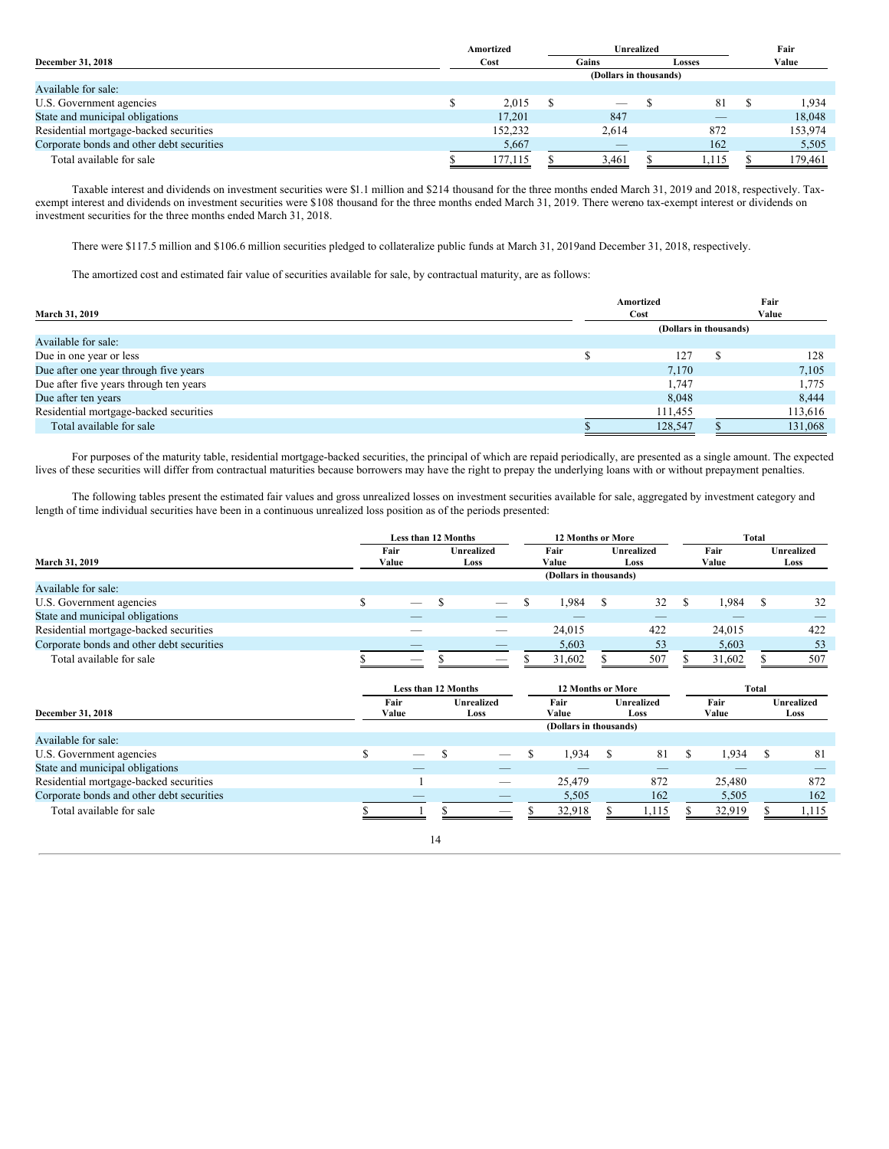| December 31, 2018                         |  | Amortized              |  | Unrealized                     |               |      |  | Fair    |
|-------------------------------------------|--|------------------------|--|--------------------------------|---------------|------|--|---------|
|                                           |  | Cost                   |  | Gains                          | <b>Losses</b> |      |  | Value   |
|                                           |  | (Dollars in thousands) |  |                                |               |      |  |         |
| Available for sale:                       |  |                        |  |                                |               |      |  |         |
| U.S. Government agencies                  |  | 2.015                  |  | $\overbrace{\hspace{25mm}}^{}$ |               | 81   |  | 1,934   |
| State and municipal obligations           |  | 17.201                 |  | 847                            |               | $-$  |  | 18.048  |
| Residential mortgage-backed securities    |  | 152.232                |  | 2,614                          |               | 872  |  | 153,974 |
| Corporate bonds and other debt securities |  | 5,667                  |  |                                |               | 162  |  | 5,505   |
| Total available for sale                  |  | 177.115                |  | 3.461                          |               | .115 |  | 179.461 |

Taxable interest and dividends on investment securities were \$1.1 million and \$214 thousand for the three months ended March 31, 2019 and 2018, respectively. Taxexempt interest and dividends on investment securities were \$108 thousand for the three months ended March 31, 2019. There wereno tax-exempt interest or dividends on investment securities for the three months ended March 31, 2018.

There were \$117.5 million and \$106.6 million securities pledged to collateralize public funds at March 31, 2019and December 31, 2018, respectively.

The amortized cost and estimated fair value of securities available for sale, by contractual maturity, are as follows:

| <b>March 31, 2019</b>                  | Amortized<br>Cost      |  | Fair<br>Value |
|----------------------------------------|------------------------|--|---------------|
|                                        | (Dollars in thousands) |  |               |
| Available for sale:                    |                        |  |               |
| Due in one year or less                | 127                    |  | 128           |
| Due after one year through five years  | 7,170                  |  | 7,105         |
| Due after five years through ten years | 1,747                  |  | 1,775         |
| Due after ten years                    | 8,048                  |  | 8,444         |
| Residential mortgage-backed securities | 111,455                |  | 113,616       |
| Total available for sale               | 128,547                |  | 131,068       |

For purposes of the maturity table, residential mortgage-backed securities, the principal of which are repaid periodically, are presented as a single amount. The expected lives of these securities will differ from contractual maturities because borrowers may have the right to prepay the underlying loans with or without prepayment penalties.

The following tables present the estimated fair values and gross unrealized losses on investment securities available for sale, aggregated by investment category and length of time individual securities have been in a continuous unrealized loss position as of the periods presented:

|                                           |                     | Less than 12 Months |               | <b>12 Months or More</b>  |                                            |                        |                    |     | Total         |               |                           |                           |
|-------------------------------------------|---------------------|---------------------|---------------|---------------------------|--------------------------------------------|------------------------|--------------------|-----|---------------|---------------|---------------------------|---------------------------|
| March 31, 2019                            |                     | Fair<br>Value       |               | Unrealized<br>Loss        |                                            | Fair<br>Value          | Unrealized<br>Loss |     | Fair<br>Value |               |                           | <b>Unrealized</b><br>Loss |
|                                           |                     |                     |               |                           |                                            | (Dollars in thousands) |                    |     |               |               |                           |                           |
| Available for sale:                       |                     |                     |               |                           |                                            |                        |                    |     |               |               |                           |                           |
| U.S. Government agencies                  | \$                  |                     | <sup>\$</sup> |                           | \$                                         | 1,984                  | \$                 | 32  | S             | 1,984         | S                         | 32                        |
| State and municipal obligations           |                     |                     |               |                           |                                            |                        |                    |     |               |               |                           |                           |
| Residential mortgage-backed securities    |                     |                     |               |                           |                                            | 24,015                 |                    | 422 |               | 24,015        |                           | 422                       |
| Corporate bonds and other debt securities |                     |                     |               |                           |                                            | 5,603                  |                    | 53  |               | 5,603         |                           | 53                        |
| Total available for sale                  |                     | -                   | S             |                           |                                            | 31,602                 |                    | 507 |               | 31,602        | S                         | 507                       |
|                                           | Less than 12 Months |                     |               |                           | <b>12 Months or More</b>                   |                        |                    |     |               |               | Total                     |                           |
| December 31, 2018                         |                     | Fair<br>Value       |               | <b>Unrealized</b><br>Loss | <b>Unrealized</b><br>Fair<br>Value<br>Loss |                        |                    |     |               | Fair<br>Value | <b>Unrealized</b><br>Loss |                           |
|                                           |                     |                     |               |                           |                                            | (Dollars in thousands) |                    |     |               |               |                           |                           |
| Available for sale:                       |                     |                     |               |                           |                                            |                        |                    |     |               |               |                           |                           |
|                                           |                     |                     |               |                           |                                            |                        |                    |     |               | 1,934         | S                         | 81                        |
| U.S. Government agencies                  | \$                  |                     | S             |                           | \$                                         | 1,934                  | \$                 | 81  | S             |               |                           |                           |
| State and municipal obligations           |                     |                     |               |                           |                                            |                        |                    |     |               |               |                           |                           |
| Residential mortgage-backed securities    |                     |                     |               |                           |                                            | 25,479                 |                    | 872 |               | 25,480        |                           | 872                       |
| Corporate bonds and other debt securities |                     |                     |               |                           |                                            | 5,505                  |                    | 162 |               | 5,505         |                           | 162                       |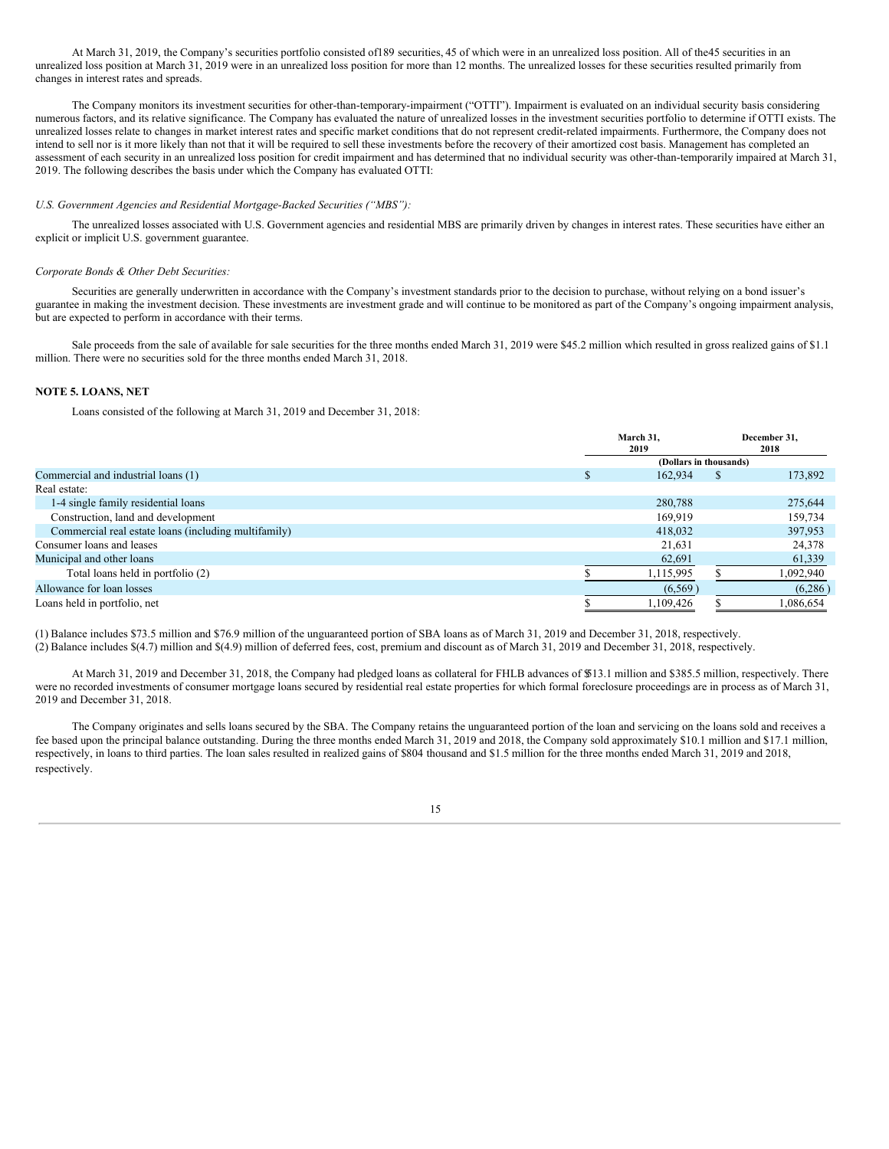At March 31, 2019, the Company's securities portfolio consisted of189 securities, 45 of which were in an unrealized loss position. All of the45 securities in an unrealized loss position at March 31, 2019 were in an unrealized loss position for more than 12 months. The unrealized losses for these securities resulted primarily from changes in interest rates and spreads.

The Company monitors its investment securities for other-than-temporary-impairment ("OTTI"). Impairment is evaluated on an individual security basis considering numerous factors, and its relative significance. The Company has evaluated the nature of unrealized losses in the investment securities portfolio to determine if OTTI exists. The unrealized losses relate to changes in market interest rates and specific market conditions that do not represent credit-related impairments. Furthermore, the Company does not intend to sell nor is it more likely than not that it will be required to sell these investments before the recovery of their amortized cost basis. Management has completed an assessment of each security in an unrealized loss position for credit impairment and has determined that no individual security was other-than-temporarily impaired at March 31, 2019. The following describes the basis under which the Company has evaluated OTTI:

## *U.S. Government Agencies and Residential Mortgage-Backed Securities ("MBS"):*

The unrealized losses associated with U.S. Government agencies and residential MBS are primarily driven by changes in interest rates. These securities have either an explicit or implicit U.S. government guarantee.

### *Corporate Bonds & Other Debt Securities:*

Securities are generally underwritten in accordance with the Company's investment standards prior to the decision to purchase, without relying on a bond issuer's guarantee in making the investment decision. These investments are investment grade and will continue to be monitored as part of the Company's ongoing impairment analysis, but are expected to perform in accordance with their terms.

Sale proceeds from the sale of available for sale securities for the three months ended March 31, 2019 were \$45.2 million which resulted in gross realized gains of \$1.1 million. There were no securities sold for the three months ended March 31, 2018.

## **NOTE 5. LOANS, NET**

Loans consisted of the following at March 31, 2019 and December 31, 2018:

|                                                      | March 31.<br>2019      |    | December 31,<br>2018 |
|------------------------------------------------------|------------------------|----|----------------------|
|                                                      | (Dollars in thousands) |    |                      |
| Commercial and industrial loans (1)                  | 162,934                | S. | 173,892              |
| Real estate:                                         |                        |    |                      |
| 1-4 single family residential loans                  | 280,788                |    | 275,644              |
| Construction, land and development                   | 169,919                |    | 159,734              |
| Commercial real estate loans (including multifamily) | 418,032                |    | 397,953              |
| Consumer loans and leases                            | 21,631                 |    | 24,378               |
| Municipal and other loans                            | 62,691                 |    | 61,339               |
| Total loans held in portfolio (2)                    | 1,115,995              |    | 1,092,940            |
| Allowance for loan losses                            | (6, 569)               |    | (6,286)              |
| Loans held in portfolio, net                         | 1,109,426              |    | 1,086,654            |

(1) Balance includes \$73.5 million and \$76.9 million of the unguaranteed portion of SBA loans as of March 31, 2019 and December 31, 2018, respectively. (2) Balance includes \$(4.7) million and \$(4.9) million of deferred fees, cost, premium and discount as of March 31, 2019 and December 31, 2018, respectively.

At March 31, 2019 and December 31, 2018, the Company had pledged loans as collateral for FHLB advances of \$513.1 million and \$385.5 million, respectively. There were no recorded investments of consumer mortgage loans secured by residential real estate properties for which formal foreclosure proceedings are in process as of March 31, 2019 and December 31, 2018.

The Company originates and sells loans secured by the SBA. The Company retains the unguaranteed portion of the loan and servicing on the loans sold and receives a fee based upon the principal balance outstanding. During the three months ended March 31, 2019 and 2018, the Company sold approximately \$10.1 million and \$17.1 million, respectively, in loans to third parties. The loan sales resulted in realized gains of \$804 thousand and \$1.5 million for the three months ended March 31, 2019 and 2018, respectively.

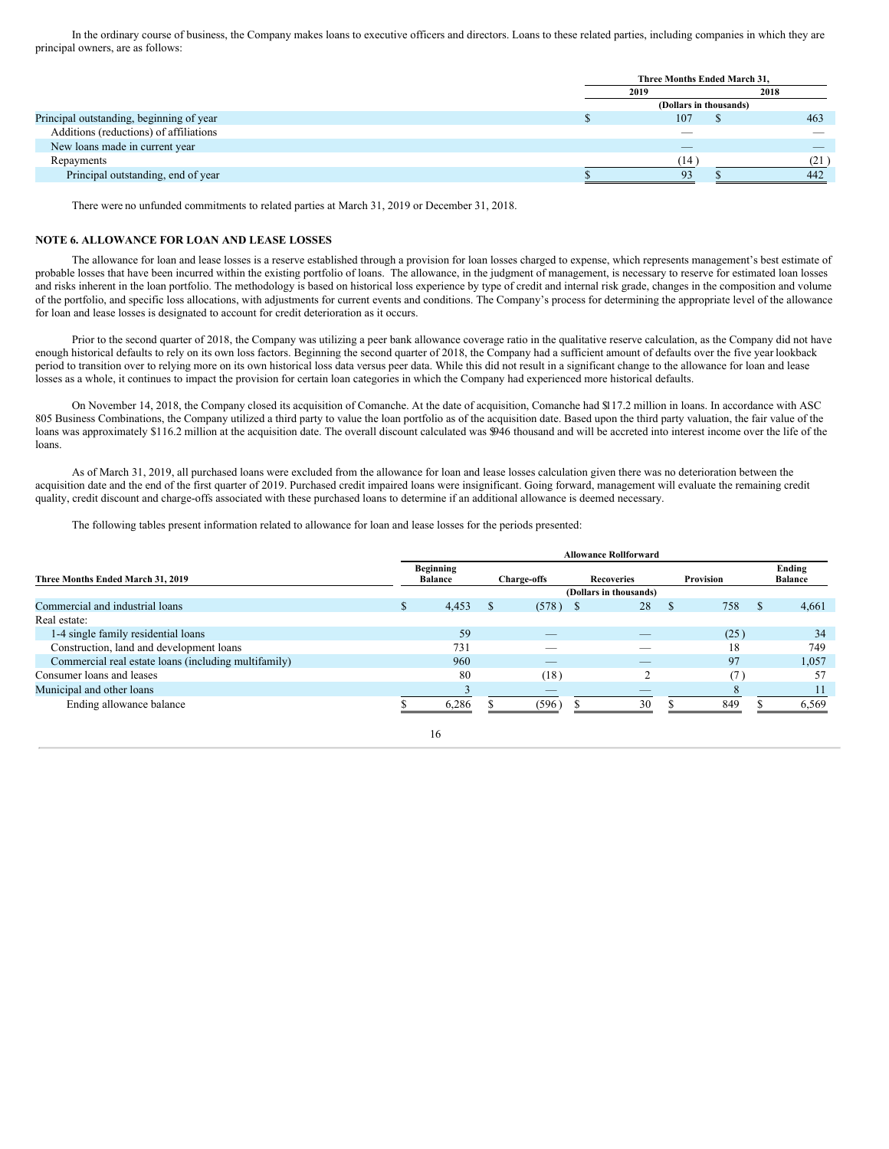In the ordinary course of business, the Company makes loans to executive officers and directors. Loans to these related parties, including companies in which they are principal owners, are as follows:

|                                          | Three Months Ended March 31. |      |  |  |  |  |  |  |
|------------------------------------------|------------------------------|------|--|--|--|--|--|--|
|                                          | 2019                         | 2018 |  |  |  |  |  |  |
|                                          | (Dollars in thousands)       |      |  |  |  |  |  |  |
| Principal outstanding, beginning of year | 107                          | 463  |  |  |  |  |  |  |
| Additions (reductions) of affiliations   |                              |      |  |  |  |  |  |  |
| New loans made in current year           |                              |      |  |  |  |  |  |  |
| Repayments                               | (14                          | (21  |  |  |  |  |  |  |
| Principal outstanding, end of year       |                              | 442  |  |  |  |  |  |  |

There were no unfunded commitments to related parties at March 31, 2019 or December 31, 2018.

## **NOTE 6. ALLOWANCE FOR LOAN AND LEASE LOSSES**

The allowance for loan and lease losses is a reserve established through a provision for loan losses charged to expense, which represents management's best estimate of probable losses that have been incurred within the existing portfolio of loans. The allowance, in the judgment of management, is necessary to reserve for estimated loan losses and risks inherent in the loan portfolio. The methodology is based on historical loss experience by type of credit and internal risk grade, changes in the composition and volume of the portfolio, and specific loss allocations, with adjustments for current events and conditions. The Company's process for determining the appropriate level of the allowance for loan and lease losses is designated to account for credit deterioration as it occurs.

Prior to the second quarter of 2018, the Company was utilizing a peer bank allowance coverage ratio in the qualitative reserve calculation, as the Company did not have enough historical defaults to rely on its own loss factors. Beginning the second quarter of 2018, the Company had a sufficient amount of defaults over the five year lookback period to transition over to relying more on its own historical loss data versus peer data. While this did not result in a significant change to the allowance for loan and lease losses as a whole, it continues to impact the provision for certain loan categories in which the Company had experienced more historical defaults.

On November 14, 2018, the Company closed its acquisition of Comanche. At the date of acquisition, Comanche had \$117.2 million in loans. In accordance with ASC 805 Business Combinations, the Company utilized a third party to value the loan portfolio as of the acquisition date. Based upon the third party valuation, the fair value of the loans was approximately \$116.2 million at the acquisition date. The overall discount calculated was \$946 thousand and will be accreted into interest income over the life of the loans.

As of March 31, 2019, all purchased loans were excluded from the allowance for loan and lease losses calculation given there was no deterioration between the acquisition date and the end of the first quarter of 2019. Purchased credit impaired loans were insignificant. Going forward, management will evaluate the remaining credit quality, credit discount and charge-offs associated with these purchased loans to determine if an additional allowance is deemed necessary.

The following tables present information related to allowance for loan and lease losses for the periods presented:

| Three Months Ended March 31, 2019                    |    | <b>Beginning</b><br><b>Balance</b> |                        | <b>Charge-offs</b> | <b>Recoveries</b> |    | Provision |          | Ending<br><b>Balance</b> |
|------------------------------------------------------|----|------------------------------------|------------------------|--------------------|-------------------|----|-----------|----------|--------------------------|
|                                                      |    |                                    | (Dollars in thousands) |                    |                   |    |           |          |                          |
| Commercial and industrial loans                      | \$ | 4,453                              |                        | $(578)$ \$         | 28                | S. | 758       | <b>S</b> | 4,661                    |
| Real estate:                                         |    |                                    |                        |                    |                   |    |           |          |                          |
| 1-4 single family residential loans                  |    | 59                                 |                        |                    |                   |    | (25)      |          | 34                       |
| Construction, land and development loans             |    | 731                                |                        | __                 |                   |    | 18        |          | 749                      |
| Commercial real estate loans (including multifamily) |    | 960                                |                        | _                  |                   |    | 97        |          | 1,057                    |
| Consumer loans and leases                            |    | 80                                 |                        | (18)               |                   |    |           |          | 57                       |
| Municipal and other loans                            |    |                                    |                        | _                  |                   |    | 8         |          |                          |
| Ending allowance balance                             |    | 6.286                              |                        | (596)              | 30                |    | 849       |          | 6.569                    |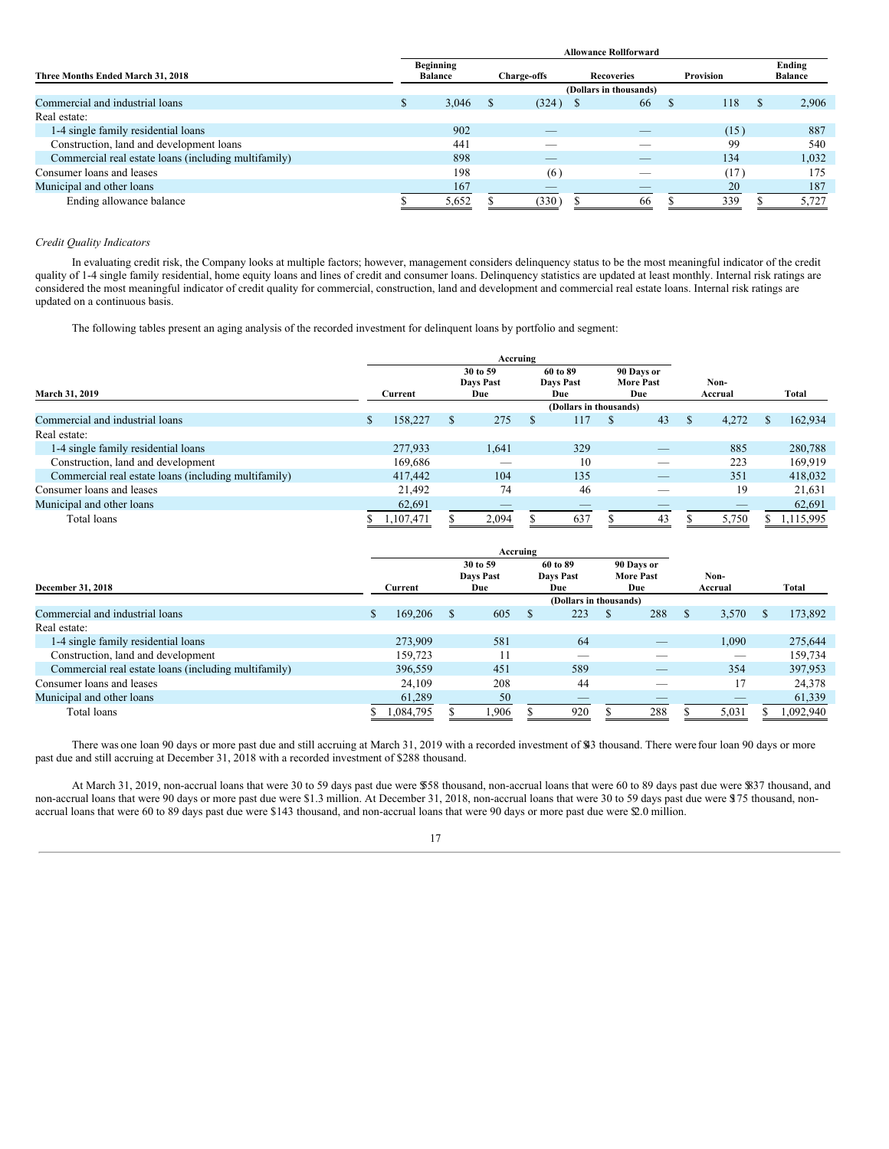|                                                      | <b>Allowance Rollforward</b> |                                    |                        |                    |  |                   |  |           |  |                          |  |  |  |  |
|------------------------------------------------------|------------------------------|------------------------------------|------------------------|--------------------|--|-------------------|--|-----------|--|--------------------------|--|--|--|--|
| Three Months Ended March 31, 2018                    |                              | <b>Beginning</b><br><b>Balance</b> |                        | <b>Charge-offs</b> |  | <b>Recoveries</b> |  | Provision |  | Ending<br><b>Balance</b> |  |  |  |  |
|                                                      |                              |                                    | (Dollars in thousands) |                    |  |                   |  |           |  |                          |  |  |  |  |
| Commercial and industrial loans                      | J.                           | 3,046                              |                        | $(324)$ \$         |  | 66                |  | 118       |  | 2,906                    |  |  |  |  |
| Real estate:                                         |                              |                                    |                        |                    |  |                   |  |           |  |                          |  |  |  |  |
| 1-4 single family residential loans                  |                              | 902                                |                        | _                  |  |                   |  | (15)      |  | 887                      |  |  |  |  |
| Construction, land and development loans             |                              | 441                                |                        | -                  |  |                   |  | 99        |  | 540                      |  |  |  |  |
| Commercial real estate loans (including multifamily) |                              | 898                                |                        | _                  |  | _                 |  | 134       |  | 1,032                    |  |  |  |  |
| Consumer loans and leases                            |                              | 198                                |                        | (6)                |  |                   |  | (17)      |  | 175                      |  |  |  |  |
| Municipal and other loans                            |                              | 167                                |                        | _                  |  |                   |  | 20        |  | 187                      |  |  |  |  |
| Ending allowance balance                             |                              | 5,652                              |                        | (330)              |  | 66                |  | 339       |  | 5,727                    |  |  |  |  |

## *Credit Quality Indicators*

In evaluating credit risk, the Company looks at multiple factors; however, management considers delinquency status to be the most meaningful indicator of the credit quality of 1-4 single family residential, home equity loans and lines of credit and consumer loans. Delinquency statistics are updated at least monthly. Internal risk ratings are considered the most meaningful indicator of credit quality for commercial, construction, land and development and commercial real estate loans. Internal risk ratings are updated on a continuous basis.

The following tables present an aging analysis of the recorded investment for delinquent loans by portfolio and segment:

| March 31, 2019                                       |  | Current   |    | 30 to 59<br>Days Past<br>Due | 60 to 89<br><b>Davs Past</b><br>Due |                        | 90 Days or<br><b>More Past</b><br>Due |    | Non-<br>Accrual |       |    | Total     |
|------------------------------------------------------|--|-----------|----|------------------------------|-------------------------------------|------------------------|---------------------------------------|----|-----------------|-------|----|-----------|
|                                                      |  |           |    |                              |                                     | (Dollars in thousands) |                                       |    |                 |       |    |           |
| Commercial and industrial loans                      |  | 158,227   | S. | 275                          |                                     | 117                    |                                       | 43 |                 | 4.272 |    | 162,934   |
| Real estate:                                         |  |           |    |                              |                                     |                        |                                       |    |                 |       |    |           |
| 1-4 single family residential loans                  |  | 277,933   |    | 1,641                        |                                     | 329                    |                                       | _  |                 | 885   |    | 280,788   |
| Construction, land and development                   |  | 169,686   |    | $-$                          |                                     | 10                     |                                       | _  |                 | 223   |    | 169,919   |
| Commercial real estate loans (including multifamily) |  | 417,442   |    | 104                          |                                     | 135                    |                                       | _  |                 | 351   |    | 418,032   |
| Consumer loans and leases                            |  | 21.492    |    | 74                           |                                     | 46                     |                                       |    |                 | 19    |    | 21,631    |
| Municipal and other loans                            |  | 62,691    |    | $\overline{\phantom{a}}$     |                                     | $-$                    |                                       |    |                 | --    |    | 62,691    |
| Total loans                                          |  | 1,107,471 |    | 2,094                        |                                     | 637                    |                                       | 43 |                 | 5,750 | J. | 1,115,995 |

| Accruing                                             |                |           |  |                       |  |                              |                                |     |         |       |       |           |
|------------------------------------------------------|----------------|-----------|--|-----------------------|--|------------------------------|--------------------------------|-----|---------|-------|-------|-----------|
|                                                      |                |           |  | 30 to 59<br>Davs Past |  | 60 to 89<br><b>Days Past</b> | 90 Days or<br><b>More Past</b> |     | Non-    |       |       |           |
| December 31, 2018                                    | Current<br>Due |           |  | Due                   |  |                              | Due                            |     | Accrual |       | Total |           |
|                                                      |                |           |  |                       |  |                              |                                |     |         |       |       |           |
| Commercial and industrial loans                      | J.             | 169,206   |  | 605                   |  | 223                          |                                | 288 |         | 3,570 |       | 173,892   |
| Real estate:                                         |                |           |  |                       |  |                              |                                |     |         |       |       |           |
| 1-4 single family residential loans                  |                | 273,909   |  | 581                   |  | 64                           |                                |     |         | 1.090 |       | 275,644   |
| Construction, land and development                   |                | 159.723   |  |                       |  | _                            |                                |     |         |       |       | 159,734   |
| Commercial real estate loans (including multifamily) |                | 396,559   |  | 451                   |  | 589                          |                                | _   |         | 354   |       | 397,953   |
| Consumer loans and leases                            |                | 24.109    |  | 208                   |  | 44                           |                                |     |         |       |       | 24,378    |
| Municipal and other loans                            |                | 61,289    |  | 50                    |  |                              |                                |     |         |       |       | 61,339    |
| Total loans                                          |                | 1,084,795 |  | 1,906                 |  | 920                          |                                | 288 |         | 5,031 |       | 1,092,940 |

There was one loan 90 days or more past due and still accruing at March 31, 2019 with a recorded investment of \$43 thousand. There were four loan 90 days or more past due and still accruing at December 31, 2018 with a recorded investment of \$288 thousand.

At March 31, 2019, non-accrual loans that were 30 to 59 days past due were \$558 thousand, non-accrual loans that were 60 to 89 days past due were \$837 thousand, and non-accrual loans that were 90 days or more past due were \$1.3 million. At December 31, 2018, non-accrual loans that were 30 to 59 days past due were \$75 thousand, nonaccrual loans that were 60 to 89 days past due were \$143 thousand, and non-accrual loans that were 90 days or more past due were \$2.0 million.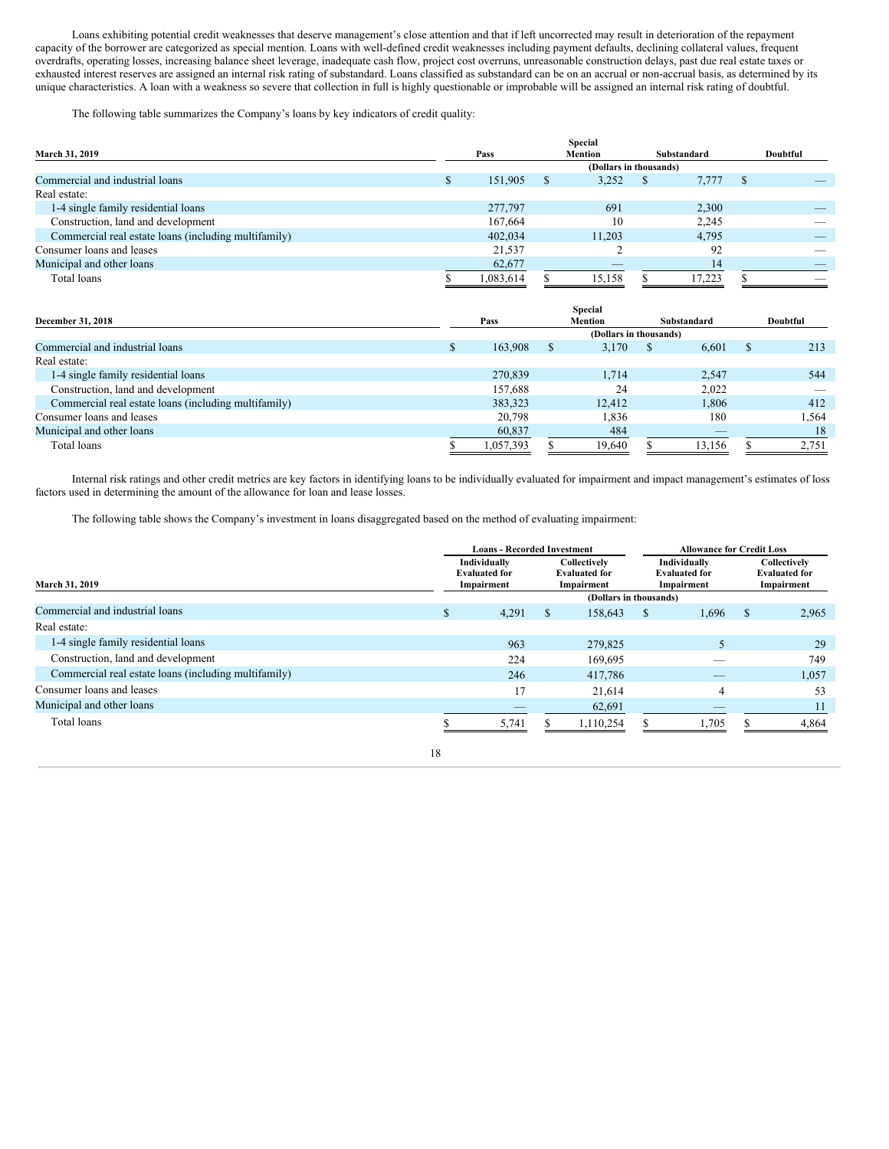Loans exhibiting potential credit weaknesses that deserve management's close attention and that if left uncorrected may result in deterioration of the repayment capacity of the borrower are categorized as special mention. Loans with well-defined credit weaknesses including payment defaults, declining collateral values, frequent overdrafts, operating losses, increasing balance sheet leverage, inadequate cash flow, project cost overruns, unreasonable construction delays, past due real estate taxes or exhausted interest reserves are assigned an internal risk rating of substandard. Loans classified as substandard can be on an accrual or non-accrual basis, as determined by its unique characteristics. A loan with a weakness so severe that collection in full is highly questionable or improbable will be assigned an internal risk rating of doubtful.

The following table summarizes the Company's loans by key indicators of credit quality:

|                                                      |           |     | <b>Special</b>                  |              |             |    |                          |
|------------------------------------------------------|-----------|-----|---------------------------------|--------------|-------------|----|--------------------------|
| March 31, 2019                                       | Pass      |     | <b>Mention</b>                  |              | Substandard |    | Doubtful                 |
|                                                      |           |     |                                 |              |             |    |                          |
| Commercial and industrial loans                      | 151,905   | - S | 3,252                           | $\mathbb{S}$ | 7,777       | -S |                          |
| Real estate:                                         |           |     |                                 |              |             |    |                          |
| 1-4 single family residential loans                  | 277,797   |     | 691                             |              | 2,300       |    |                          |
| Construction, land and development                   | 167,664   |     | 10                              |              | 2,245       |    |                          |
| Commercial real estate loans (including multifamily) | 402,034   |     | 11.203                          |              | 4.795       |    |                          |
| Consumer loans and leases                            | 21,537    |     |                                 |              | 92          |    | $\overline{\phantom{a}}$ |
| Municipal and other loans                            | 62,677    |     | $\hspace{0.1mm}-\hspace{0.1mm}$ |              | 14          |    |                          |
| Total loans                                          | 1,083,614 |     | 15,158                          |              | 17.223      |    | $\overline{\phantom{a}}$ |

|                                                      |           |                        | <b>Special</b> |             |                          |    |          |
|------------------------------------------------------|-----------|------------------------|----------------|-------------|--------------------------|----|----------|
| December 31, 2018                                    | Pass      |                        | <b>Mention</b> | Substandard |                          |    | Doubtful |
|                                                      |           | (Dollars in thousands) |                |             |                          |    |          |
| Commercial and industrial loans                      | 163,908   | S                      | 3,170          | <b>S</b>    | 6,601                    | -8 | 213      |
| Real estate:                                         |           |                        |                |             |                          |    |          |
| 1-4 single family residential loans                  | 270,839   |                        | 1.714          |             | 2.547                    |    | 544      |
| Construction, land and development                   | 157.688   |                        | 24             |             | 2,022                    |    |          |
| Commercial real estate loans (including multifamily) | 383,323   |                        | 12.412         |             | 1,806                    |    | 412      |
| Consumer loans and leases                            | 20,798    |                        | 1,836          |             | 180                      |    | 1,564    |
| Municipal and other loans                            | 60,837    |                        | 484            |             | $\overline{\phantom{a}}$ |    | 18       |
| Total loans                                          | 1,057,393 |                        | 19.640         |             | 13.156                   |    | 2,751    |

Internal risk ratings and other credit metrics are key factors in identifying loans to be individually evaluated for impairment and impact management's estimates of loss factors used in determining the amount of the allowance for loan and lease losses.

The following table shows the Company's investment in loans disaggregated based on the method of evaluating impairment:

|                                                      |    | <b>Loans - Recorded Investment</b>                 |                                                    |                                   | <b>Allowance for Credit Loss</b> |                                                    |   |                                                    |  |
|------------------------------------------------------|----|----------------------------------------------------|----------------------------------------------------|-----------------------------------|----------------------------------|----------------------------------------------------|---|----------------------------------------------------|--|
| March 31, 2019                                       |    | Individually<br><b>Evaluated for</b><br>Impairment | Collectively<br><b>Evaluated for</b><br>Impairment |                                   |                                  | Individually<br><b>Evaluated for</b><br>Impairment |   | Collectively<br><b>Evaluated for</b><br>Impairment |  |
| Commercial and industrial loans                      | \$ | 4,291                                              | S                                                  | (Dollars in thousands)<br>158,643 | S                                | 1,696                                              | S | 2,965                                              |  |
| Real estate:                                         |    |                                                    |                                                    |                                   |                                  |                                                    |   |                                                    |  |
| 1-4 single family residential loans                  |    | 963                                                |                                                    | 279,825                           |                                  |                                                    |   | 29                                                 |  |
| Construction, land and development                   |    | 224                                                |                                                    | 169,695                           |                                  |                                                    |   | 749                                                |  |
| Commercial real estate loans (including multifamily) |    | 246                                                |                                                    | 417,786                           |                                  |                                                    |   | 1,057                                              |  |
| Consumer loans and leases                            |    | 17                                                 |                                                    | 21,614                            |                                  |                                                    |   | 53                                                 |  |
| Municipal and other loans                            |    |                                                    |                                                    | 62,691                            |                                  |                                                    |   |                                                    |  |
| Total loans                                          |    | 5,741                                              |                                                    | 1,110,254                         |                                  | .705                                               |   | 4.864                                              |  |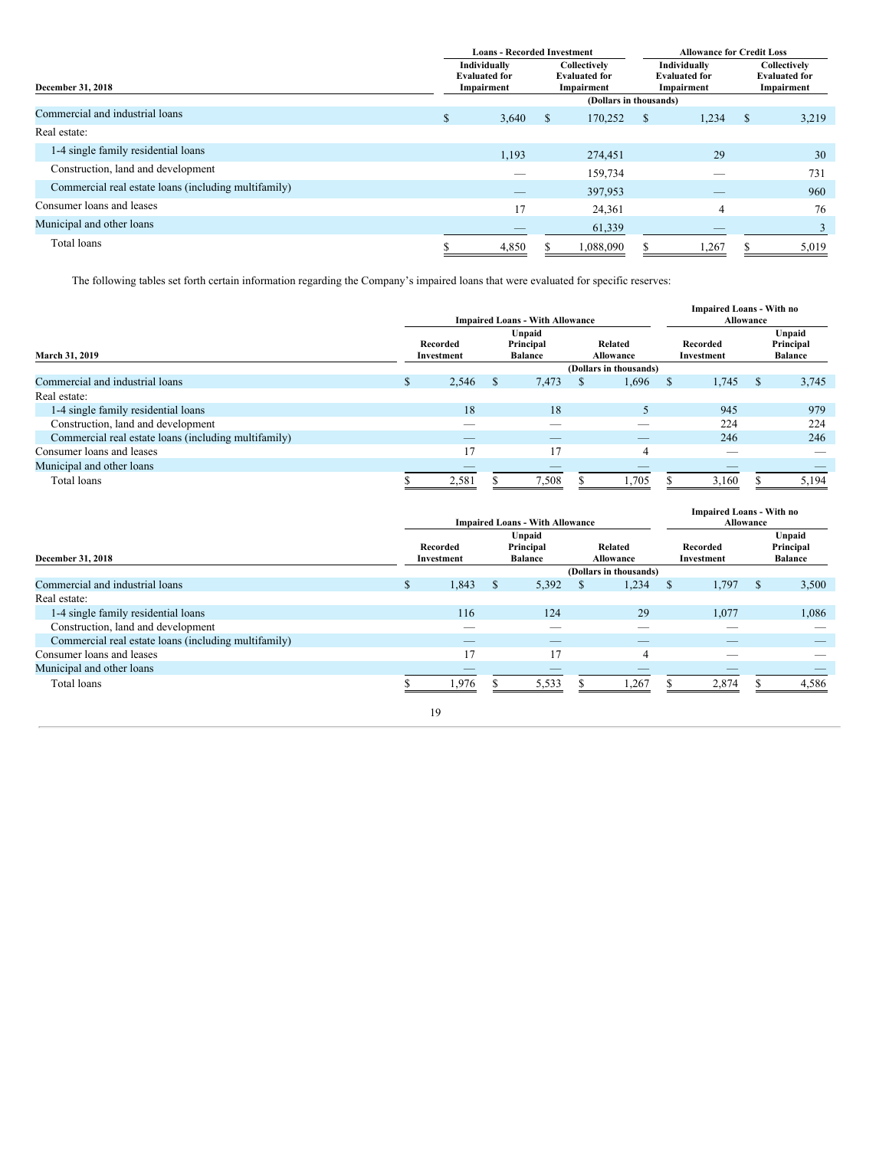|                                                      |    | <b>Loans - Recorded Investment</b>                 |               |                                                    | <b>Allowance for Credit Loss</b>                   |       |              |                                                    |  |
|------------------------------------------------------|----|----------------------------------------------------|---------------|----------------------------------------------------|----------------------------------------------------|-------|--------------|----------------------------------------------------|--|
| December 31, 2018                                    |    | Individually<br><b>Evaluated for</b><br>Impairment |               | Collectively<br><b>Evaluated for</b><br>Impairment | Individually<br><b>Evaluated for</b><br>Impairment |       |              | Collectively<br><b>Evaluated for</b><br>Impairment |  |
|                                                      |    |                                                    |               | (Dollars in thousands)                             |                                                    |       |              |                                                    |  |
| Commercial and industrial loans                      | S. | 3,640                                              | <sup>\$</sup> | 170,252                                            | <sup>S</sup>                                       | 1,234 | $\mathbf{S}$ | 3,219                                              |  |
| Real estate:                                         |    |                                                    |               |                                                    |                                                    |       |              |                                                    |  |
| 1-4 single family residential loans                  |    | 1,193                                              |               | 274.451                                            |                                                    | 29    |              | 30                                                 |  |
| Construction, land and development                   |    |                                                    |               | 159,734                                            |                                                    |       |              | 731                                                |  |
| Commercial real estate loans (including multifamily) |    | _                                                  |               | 397,953                                            |                                                    |       |              | 960                                                |  |
| Consumer loans and leases                            |    | 17                                                 |               | 24,361                                             |                                                    | 4     |              | 76                                                 |  |
| Municipal and other loans                            |    |                                                    |               | 61,339                                             |                                                    |       |              |                                                    |  |
| Total loans                                          |    | 4,850                                              |               | 1,088,090                                          |                                                    | 1,267 |              | 5,019                                              |  |

The following tables set forth certain information regarding the Company's impaired loans that were evaluated for specific reserves:

|                                                      | <b>Impaired Loans - With Allowance</b> |       |                                       |       |                      |                        |                        | <b>Impaired Loans - With no</b><br>Allowance |                                       |       |  |
|------------------------------------------------------|----------------------------------------|-------|---------------------------------------|-------|----------------------|------------------------|------------------------|----------------------------------------------|---------------------------------------|-------|--|
| March 31, 2019                                       | Recorded<br>Investment                 |       | Unpaid<br>Principal<br><b>Balance</b> |       | Related<br>Allowance |                        | Recorded<br>Investment |                                              | Unpaid<br>Principal<br><b>Balance</b> |       |  |
|                                                      |                                        |       |                                       |       |                      | (Dollars in thousands) |                        |                                              |                                       |       |  |
| Commercial and industrial loans                      | S                                      | 2.546 | <b>S</b>                              | 7.473 | S                    | 1,696                  | <b>S</b>               | 1,745                                        | S                                     | 3,745 |  |
| Real estate:                                         |                                        |       |                                       |       |                      |                        |                        |                                              |                                       |       |  |
| 1-4 single family residential loans                  |                                        | 18    |                                       | 18    |                      |                        |                        | 945                                          |                                       | 979   |  |
| Construction, land and development                   |                                        | __    |                                       | _     |                      | _                      |                        | 224                                          |                                       | 224   |  |
| Commercial real estate loans (including multifamily) |                                        | _     |                                       | __    |                      | _                      |                        | 246                                          |                                       | 246   |  |
| Consumer loans and leases                            |                                        |       |                                       | 17    |                      | 4                      |                        |                                              |                                       | _     |  |
| Municipal and other loans                            |                                        | _     |                                       |       |                      |                        |                        | __                                           |                                       |       |  |
| Total loans                                          |                                        | 2,581 |                                       | 7,508 |                      | 1,705                  |                        | 3,160                                        |                                       | 5,194 |  |

|                                                      |    | <b>Impaired Loans - With Allowance</b> |                                       |                          |                      |                        |                        |       | <b>Impaired Loans - With no</b><br>Allowance |                                       |  |  |  |
|------------------------------------------------------|----|----------------------------------------|---------------------------------------|--------------------------|----------------------|------------------------|------------------------|-------|----------------------------------------------|---------------------------------------|--|--|--|
| December 31, 2018                                    |    | Recorded<br>Investment                 | Unpaid<br>Principal<br><b>Balance</b> |                          | Related<br>Allowance |                        | Recorded<br>Investment |       |                                              | Unpaid<br>Principal<br><b>Balance</b> |  |  |  |
|                                                      |    |                                        |                                       |                          |                      | (Dollars in thousands) |                        |       |                                              |                                       |  |  |  |
| Commercial and industrial loans                      | S. | 1,843                                  | S.                                    | 5,392                    | S                    | 1,234                  | <sup>\$</sup>          | 1,797 | S                                            | 3,500                                 |  |  |  |
| Real estate:                                         |    |                                        |                                       |                          |                      |                        |                        |       |                                              |                                       |  |  |  |
| 1-4 single family residential loans                  |    | 116                                    |                                       | 124                      |                      | 29                     |                        | 1,077 |                                              | 1,086                                 |  |  |  |
| Construction, land and development                   |    | _                                      |                                       | _                        |                      | ___                    |                        | _     |                                              | _                                     |  |  |  |
| Commercial real estate loans (including multifamily) |    | _                                      |                                       |                          |                      |                        |                        | __    |                                              |                                       |  |  |  |
| Consumer loans and leases                            |    | 17                                     |                                       | 17                       |                      | 4                      |                        |       |                                              |                                       |  |  |  |
| Municipal and other loans                            |    | $\overline{\phantom{a}}$               |                                       | $\overline{\phantom{a}}$ |                      |                        |                        | _     |                                              |                                       |  |  |  |
| Total loans                                          |    | 1,976                                  |                                       | 5,533                    |                      | 1,267                  |                        | 2,874 |                                              | 4,586                                 |  |  |  |
|                                                      |    | 19                                     |                                       |                          |                      |                        |                        |       |                                              |                                       |  |  |  |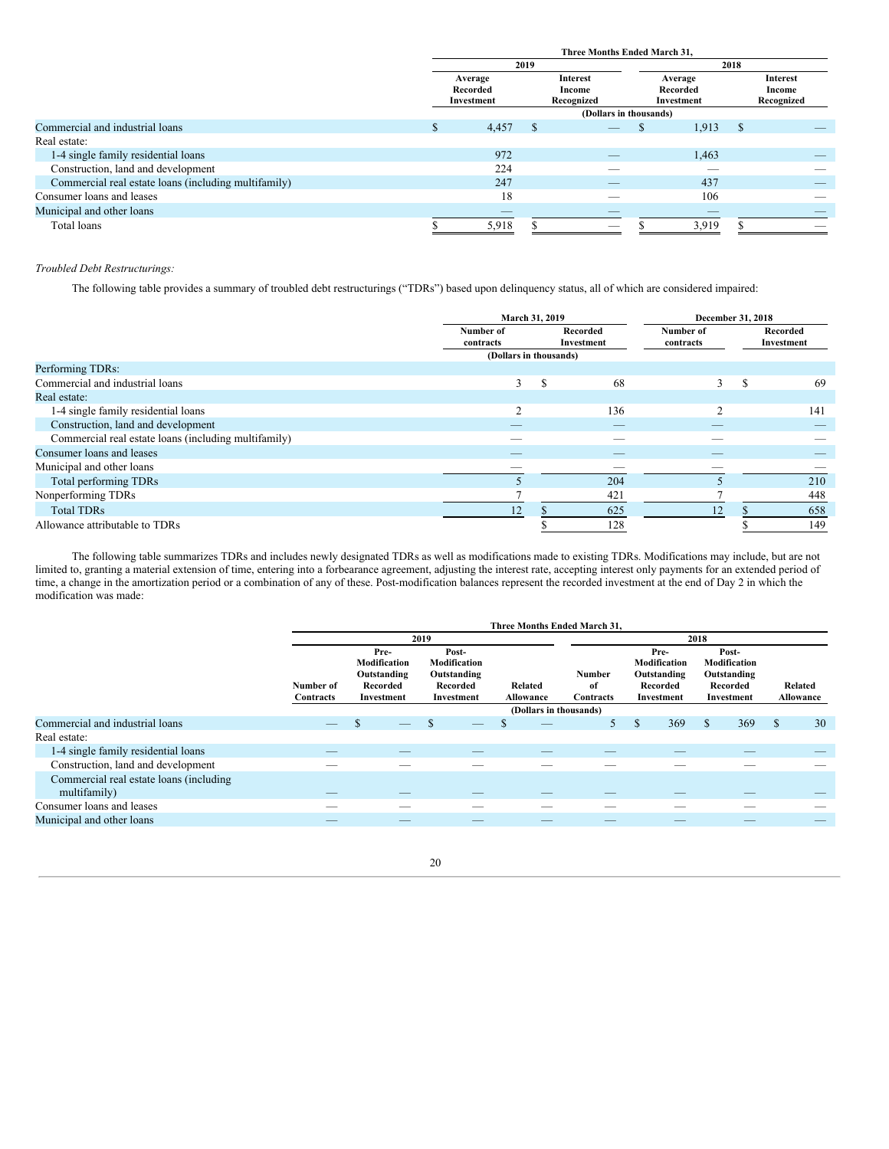|                                                      | Three Months Ended March 31.      |      |                                         |                                   |       |      |                                         |  |
|------------------------------------------------------|-----------------------------------|------|-----------------------------------------|-----------------------------------|-------|------|-----------------------------------------|--|
|                                                      |                                   | 2019 |                                         |                                   |       | 2018 |                                         |  |
|                                                      | Average<br>Recorded<br>Investment |      | <b>Interest</b><br>Income<br>Recognized | Average<br>Recorded<br>Investment |       |      | <b>Interest</b><br>Income<br>Recognized |  |
|                                                      |                                   |      | (Dollars in thousands)                  |                                   |       |      |                                         |  |
| Commercial and industrial loans                      | 4,457                             | -8   |                                         |                                   | 1,913 | S    |                                         |  |
| Real estate:                                         |                                   |      |                                         |                                   |       |      |                                         |  |
| 1-4 single family residential loans                  | 972                               |      | _                                       |                                   | 1,463 |      |                                         |  |
| Construction, land and development                   | 224                               |      |                                         |                                   |       |      |                                         |  |
| Commercial real estate loans (including multifamily) | 247                               |      | _                                       |                                   | 437   |      | _                                       |  |
| Consumer loans and leases                            | 18                                |      | __                                      |                                   | 106   |      | _                                       |  |
| Municipal and other loans                            |                                   |      |                                         |                                   | __    |      |                                         |  |
| Total loans                                          | 5,918                             |      | _                                       |                                   | 3,919 |      | _                                       |  |

## *Troubled Debt Restructurings:*

The following table provides a summary of troubled debt restructurings ("TDRs") based upon delinquency status, all of which are considered impaired:

|                                                      | March 31, 2019         |                        |                          | December 31, 2018      |   |                        |
|------------------------------------------------------|------------------------|------------------------|--------------------------|------------------------|---|------------------------|
|                                                      | Number of<br>contracts | Recorded<br>Investment |                          | Number of<br>contracts |   | Recorded<br>Investment |
|                                                      | (Dollars in thousands) |                        |                          |                        |   |                        |
| Performing TDRs:                                     |                        |                        |                          |                        |   |                        |
| Commercial and industrial loans                      | 3                      | S                      | 68                       | 3                      | S | 69                     |
| Real estate:                                         |                        |                        |                          |                        |   |                        |
| 1-4 single family residential loans                  | $\sim$                 |                        | 136                      | $\sim$                 |   | 141                    |
| Construction, land and development                   |                        |                        | $\overline{\phantom{a}}$ |                        |   |                        |
| Commercial real estate loans (including multifamily) |                        |                        |                          |                        |   |                        |
| Consumer loans and leases                            |                        |                        |                          |                        |   |                        |
| Municipal and other loans                            |                        |                        |                          |                        |   |                        |
| Total performing TDRs                                |                        |                        | 204                      |                        |   | 210                    |
| Nonperforming TDRs                                   |                        |                        | 421                      |                        |   | 448                    |
| <b>Total TDRs</b>                                    | 12                     |                        | 625                      | 12                     |   | 658                    |
| Allowance attributable to TDRs                       |                        |                        | 128                      |                        |   | 149                    |

The following table summarizes TDRs and includes newly designated TDRs as well as modifications made to existing TDRs. Modifications may include, but are not limited to, granting a material extension of time, entering into a forbearance agreement, adjusting the interest rate, accepting interest only payments for an extended period of time, a change in the amortization period or a combination of any of these. Post-modification balances represent the recorded investment at the end of Day 2 in which the modification was made:

|                                                         |                          |                                                               |                                                                | Three Months Ended March 31, |                           |                                                               |                                                                |                      |
|---------------------------------------------------------|--------------------------|---------------------------------------------------------------|----------------------------------------------------------------|------------------------------|---------------------------|---------------------------------------------------------------|----------------------------------------------------------------|----------------------|
|                                                         |                          |                                                               | 2019                                                           |                              |                           | 2018                                                          |                                                                |                      |
|                                                         | Number of<br>Contracts   | Pre-<br>Modification<br>Outstanding<br>Recorded<br>Investment | Post-<br>Modification<br>Outstanding<br>Recorded<br>Investment | Related<br>Allowance         | Number<br>of<br>Contracts | Pre-<br>Modification<br>Outstanding<br>Recorded<br>Investment | Post-<br>Modification<br>Outstanding<br>Recorded<br>Investment | Related<br>Allowance |
|                                                         |                          |                                                               |                                                                | (Dollars in thousands)       |                           |                                                               |                                                                |                      |
| Commercial and industrial loans                         | $\overline{\phantom{a}}$ | _                                                             | S                                                              |                              | 5.                        | \$.<br>369                                                    | 369<br>\$                                                      | $\mathcal{S}$<br>30  |
| Real estate:                                            |                          |                                                               |                                                                |                              |                           |                                                               |                                                                |                      |
| 1-4 single family residential loans                     |                          |                                                               |                                                                |                              |                           |                                                               |                                                                |                      |
| Construction, land and development                      |                          |                                                               |                                                                |                              |                           |                                                               |                                                                |                      |
| Commercial real estate loans (including<br>multifamily) |                          |                                                               |                                                                |                              |                           |                                                               |                                                                |                      |
| Consumer loans and leases                               |                          |                                                               |                                                                |                              |                           |                                                               |                                                                |                      |
| Municipal and other loans                               | $\overline{\phantom{a}}$ |                                                               | __                                                             | __                           | __                        | __                                                            |                                                                | _                    |

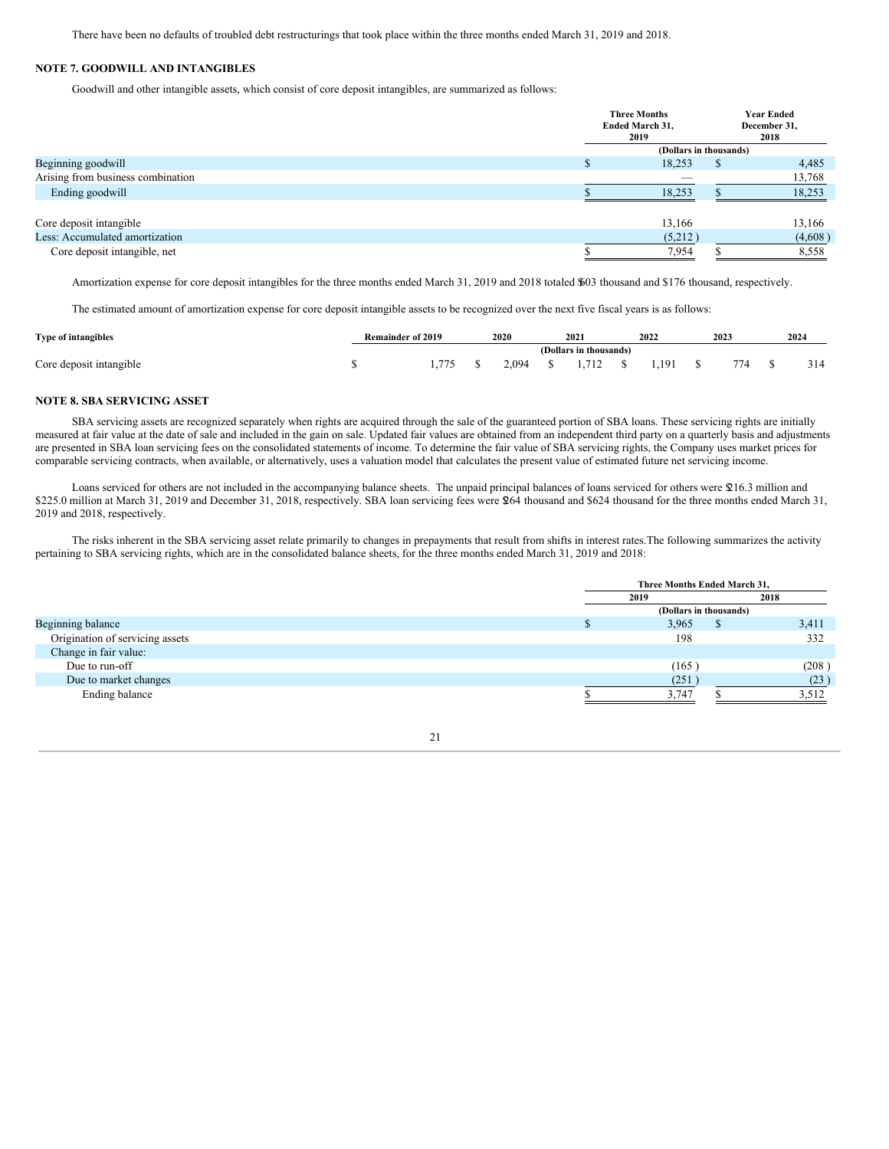There have been no defaults of troubled debt restructurings that took place within the three months ended March 31, 2019 and 2018.

## **NOTE 7. GOODWILL AND INTANGIBLES**

Goodwill and other intangible assets, which consist of core deposit intangibles, are summarized as follows:

|                                   | <b>Three Months</b><br>Ended March 31,<br>2019 |   | <b>Year Ended</b><br>December 31,<br>2018 |
|-----------------------------------|------------------------------------------------|---|-------------------------------------------|
|                                   | (Dollars in thousands)                         |   |                                           |
| Beginning goodwill                | 18,253                                         | S | 4,485                                     |
| Arising from business combination |                                                |   | 13,768                                    |
| Ending goodwill                   | 18,253                                         |   | 18,253                                    |
| Core deposit intangible           | 13,166                                         |   | 13,166                                    |
| Less: Accumulated amortization    | (5,212)                                        |   | (4,608)                                   |
| Core deposit intangible, net      | 7.954                                          |   | 8,558                                     |

Amortization expense for core deposit intangibles for the three months ended March 31, 2019 and 2018 totaled \$603 thousand and \$176 thousand, respectively.

The estimated amount of amortization expense for core deposit intangible assets to be recognized over the next five fiscal years is as follows:

| Type of intangibles     | Remainder of 2019 |      | 2020  | 2021                   | 2022 | 2023 | 2024 |
|-------------------------|-------------------|------|-------|------------------------|------|------|------|
|                         |                   |      |       | (Dollars in thousands) |      |      |      |
| Core deposit intangible |                   | .775 | 2.094 | 1.712                  | .191 | 774  | 314  |

## **NOTE 8. SBA SERVICING ASSET**

SBA servicing assets are recognized separately when rights are acquired through the sale of the guaranteed portion of SBA loans. These servicing rights are initially measured at fair value at the date of sale and included in the gain on sale. Updated fair values are obtained from an independent third party on a quarterly basis and adjustments are presented in SBA loan servicing fees on the consolidated statements of income. To determine the fair value of SBA servicing rights, the Company uses market prices for comparable servicing contracts, when available, or alternatively, uses a valuation model that calculates the present value of estimated future net servicing income.

Loans serviced for others are not included in the accompanying balance sheets. The unpaid principal balances of loans serviced for others were \$216.3 million and \$225.0 million at March 31, 2019 and December 31, 2018, respectively. SBA loan servicing fees were \$264 thousand and \$624 thousand for the three months ended March 31, 2019 and 2018, respectively.

The risks inherent in the SBA servicing asset relate primarily to changes in prepayments that result from shifts in interest rates.The following summarizes the activity pertaining to SBA servicing rights, which are in the consolidated balance sheets, for the three months ended March 31, 2019 and 2018:

|                                 |  | Three Months Ended March 31, |  |       |  |  |  |  |
|---------------------------------|--|------------------------------|--|-------|--|--|--|--|
|                                 |  | 2019                         |  | 2018  |  |  |  |  |
|                                 |  | (Dollars in thousands)       |  |       |  |  |  |  |
| Beginning balance               |  | 3,965                        |  | 3,411 |  |  |  |  |
| Origination of servicing assets |  | 198                          |  | 332   |  |  |  |  |
| Change in fair value:           |  |                              |  |       |  |  |  |  |
| Due to run-off                  |  | (165)                        |  | (208) |  |  |  |  |
| Due to market changes           |  | (251)                        |  | (23)  |  |  |  |  |
| Ending balance                  |  | 3.747                        |  | 3.512 |  |  |  |  |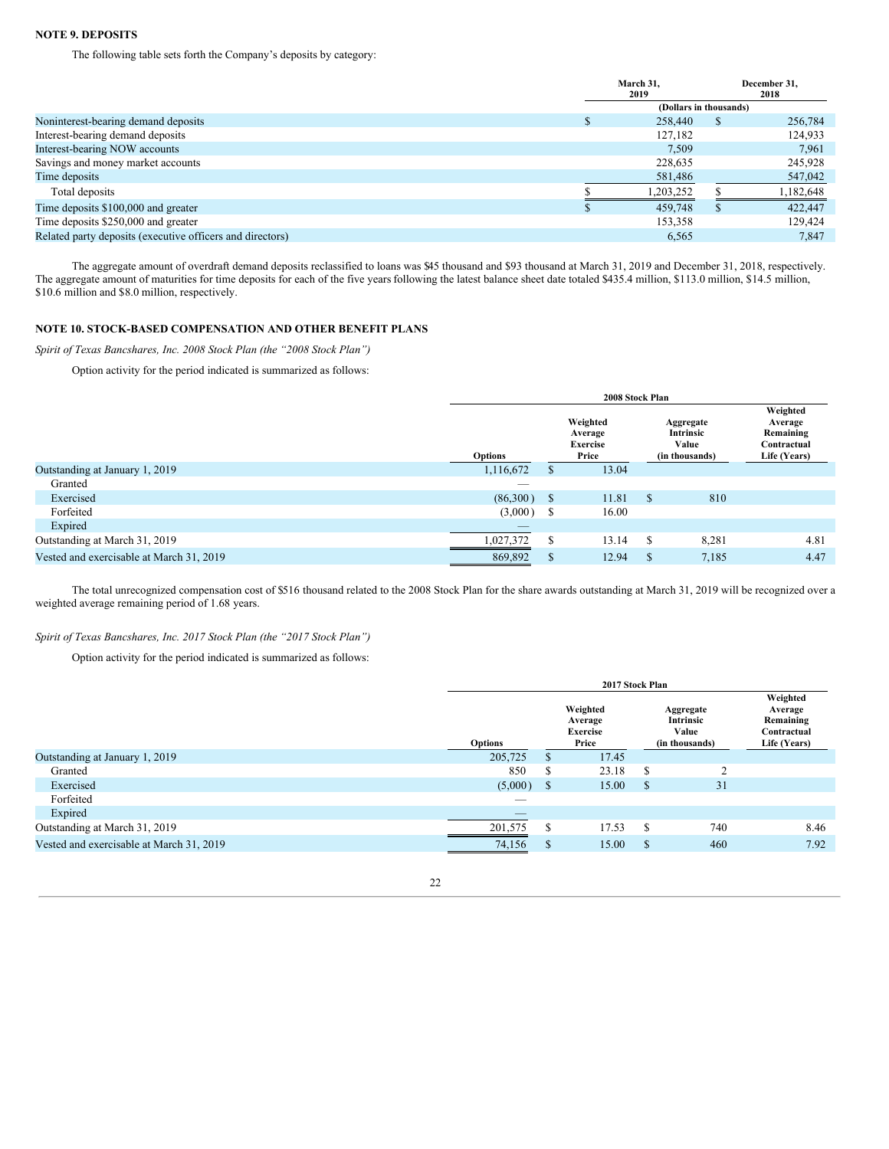## **NOTE 9. DEPOSITS**

The following table sets forth the Company's deposits by category:

|                                                           | March 31,<br>2019      |   | December 31,<br>2018 |
|-----------------------------------------------------------|------------------------|---|----------------------|
|                                                           | (Dollars in thousands) |   |                      |
| Noninterest-bearing demand deposits                       | 258,440                | S | 256,784              |
| Interest-bearing demand deposits                          | 127,182                |   | 124,933              |
| Interest-bearing NOW accounts                             | 7.509                  |   | 7.961                |
| Savings and money market accounts                         | 228,635                |   | 245,928              |
| Time deposits                                             | 581,486                |   | 547,042              |
| Total deposits                                            | 1,203,252              |   | 1,182,648            |
| Time deposits \$100,000 and greater                       | 459,748                |   | 422,447              |
| Time deposits \$250,000 and greater                       | 153,358                |   | 129.424              |
| Related party deposits (executive officers and directors) | 6.565                  |   | 7.847                |

The aggregate amount of overdraft demand deposits reclassified to loans was \$45 thousand and \$93 thousand at March 31, 2019 and December 31, 2018, respectively. The aggregate amount of maturities for time deposits for each of the five yearsfollowing the latest balance sheet date totaled \$435.4 million, \$113.0 million, \$14.5 million, \$10.6 million and \$8.0 million, respectively.

## **NOTE 10. STOCK-BASED COMPENSATION AND OTHER BENEFIT PLANS**

*Spirit of Texas Bancshares, Inc. 2008 Stock Plan (the "2008 Stock Plan")*

Option activity for the period indicated is summarized as follows:

|                                          | 2008 Stock Plan |               |       |                                                 |       |                                                   |  |                                                                 |  |
|------------------------------------------|-----------------|---------------|-------|-------------------------------------------------|-------|---------------------------------------------------|--|-----------------------------------------------------------------|--|
|                                          | <b>Options</b>  |               |       | Weighted<br>Average<br><b>Exercise</b><br>Price |       | Aggregate<br>Intrinsic<br>Value<br>(in thousands) |  | Weighted<br>Average<br>Remaining<br>Contractual<br>Life (Years) |  |
| Outstanding at January 1, 2019           | 1,116,672       | S             | 13.04 |                                                 |       |                                                   |  |                                                                 |  |
| Granted                                  |                 |               |       |                                                 |       |                                                   |  |                                                                 |  |
| Exercised                                | (86,300)        | <sup>\$</sup> | 11.81 | <sup>\$</sup>                                   | 810   |                                                   |  |                                                                 |  |
| Forfeited                                | (3,000)         | -S            | 16.00 |                                                 |       |                                                   |  |                                                                 |  |
| Expired                                  | $-$             |               |       |                                                 |       |                                                   |  |                                                                 |  |
| Outstanding at March 31, 2019            | 1,027,372       | S             | 13.14 | S                                               | 8,281 | 4.81                                              |  |                                                                 |  |
| Vested and exercisable at March 31, 2019 | 869,892         | $\mathbb{S}$  | 12.94 | S                                               | 7,185 | 4.47                                              |  |                                                                 |  |

The total unrecognized compensation cost of \$516 thousand related to the 2008 Stock Plan for the share awards outstanding at March 31, 2019 will be recognized over a weighted average remaining period of 1.68 years.

## *Spirit of Texas Bancshares, Inc. 2017 Stock Plan (the "2017 Stock Plan")*

Option activity for the period indicated is summarized as follows:

|                                          |                |                                                 | 2017 Stock Plan |    |                                                   |                                                                 |
|------------------------------------------|----------------|-------------------------------------------------|-----------------|----|---------------------------------------------------|-----------------------------------------------------------------|
|                                          | <b>Options</b> | Weighted<br>Average<br><b>Exercise</b><br>Price |                 |    | Aggregate<br>Intrinsic<br>Value<br>(in thousands) | Weighted<br>Average<br>Remaining<br>Contractual<br>Life (Years) |
| Outstanding at January 1, 2019           | 205,725        | \$                                              | 17.45           |    |                                                   |                                                                 |
| Granted                                  | 850            | S                                               | 23.18           | S  | $\sim$                                            |                                                                 |
| Exercised                                | (5,000)        | <sup>\$</sup>                                   | 15.00           | \$ | 31                                                |                                                                 |
| Forfeited                                | __             |                                                 |                 |    |                                                   |                                                                 |
| Expired                                  | _              |                                                 |                 |    |                                                   |                                                                 |
| Outstanding at March 31, 2019            | 201,575        | \$                                              | 17.53           | S  | 740                                               | 8.46                                                            |
| Vested and exercisable at March 31, 2019 | 74,156         | \$                                              | 15.00           | S  | 460                                               | 7.92                                                            |
|                                          |                |                                                 |                 |    |                                                   |                                                                 |

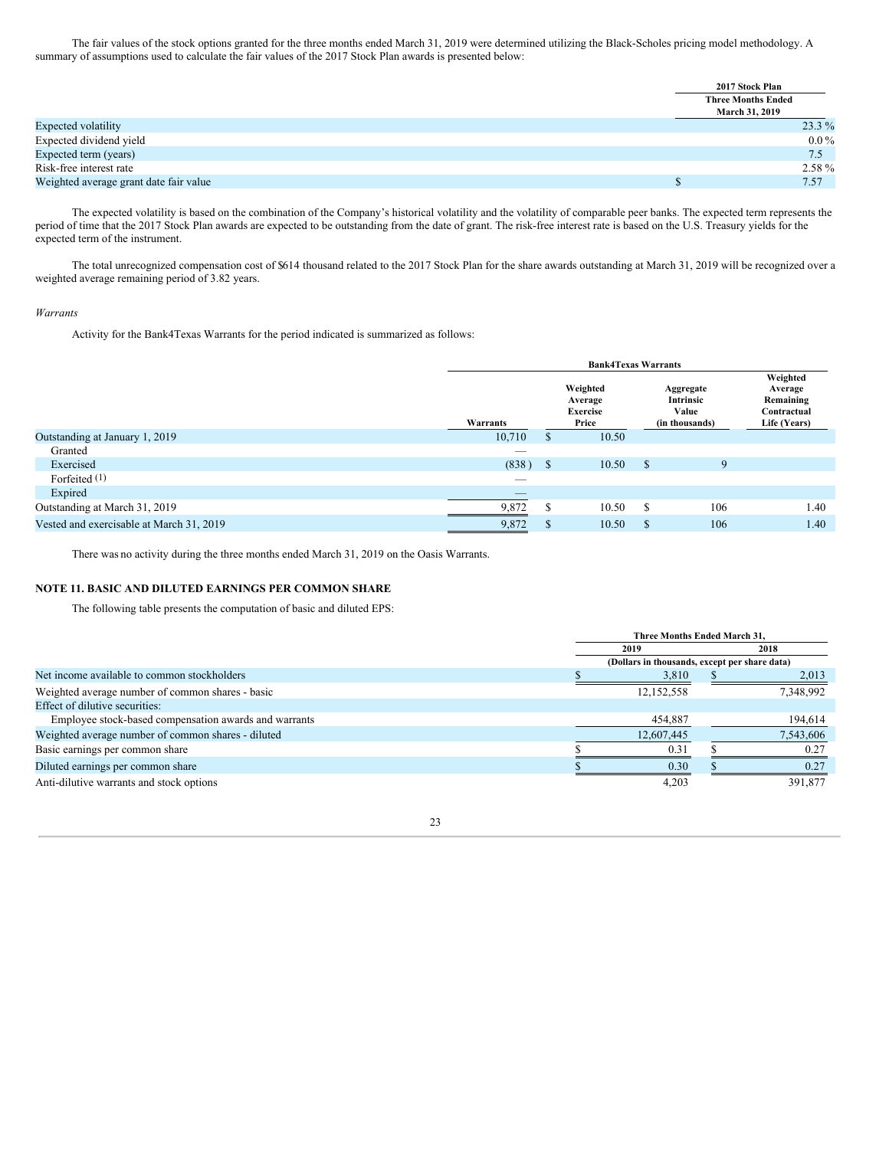The fair values of the stock options granted for the three months ended March 31, 2019 were determined utilizing the Black-Scholes pricing model methodology. A summary of assumptions used to calculate the fair values of the 2017 Stock Plan awards is presented below:

|                                        | 2017 Stock Plan           |          |
|----------------------------------------|---------------------------|----------|
|                                        | <b>Three Months Ended</b> |          |
|                                        | March 31, 2019            |          |
| Expected volatility                    |                           | $23.3\%$ |
| Expected dividend yield                |                           | $0.0\%$  |
| Expected term (years)                  |                           | 7.5      |
| Risk-free interest rate                |                           | 2.58 %   |
| Weighted average grant date fair value |                           | 7.57     |

The expected volatility is based on the combination of the Company's historical volatility and the volatility of comparable peer banks. The expected term represents the period of time that the 2017 Stock Plan awards are expected to be outstanding from the date of grant. The risk-free interest rate is based on the U.S. Treasury yields for the expected term of the instrument.

The total unrecognized compensation cost of \$614 thousand related to the 2017 Stock Plan for the share awards outstanding at March 31, 2019 will be recognized over a weighted average remaining period of 3.82 years.

#### *Warrants*

Activity for the Bank4Texas Warrants for the period indicated is summarized as follows:

|                                          |                          |    | <b>Bank4Texas Warrants</b>                      |               |                                                   |                                                                 |
|------------------------------------------|--------------------------|----|-------------------------------------------------|---------------|---------------------------------------------------|-----------------------------------------------------------------|
|                                          | Warrants                 |    | Weighted<br>Average<br><b>Exercise</b><br>Price |               | Aggregate<br>Intrinsic<br>Value<br>(in thousands) | Weighted<br>Average<br>Remaining<br>Contractual<br>Life (Years) |
| Outstanding at January 1, 2019           | 10,710                   | S  | 10.50                                           |               |                                                   |                                                                 |
| Granted                                  | $\overline{\phantom{a}}$ |    |                                                 |               |                                                   |                                                                 |
| Exercised                                | $(838)$ \$               |    | 10.50                                           | <sup>\$</sup> | 9                                                 |                                                                 |
| Forfeited (1)                            | _                        |    |                                                 |               |                                                   |                                                                 |
| Expired                                  | _                        |    |                                                 |               |                                                   |                                                                 |
| Outstanding at March 31, 2019            | 9,872                    | \$ | 10.50                                           | S             | 106                                               | 1.40                                                            |
| Vested and exercisable at March 31, 2019 | 9,872                    | \$ | 10.50                                           | S             | 106                                               | 1.40                                                            |

There was no activity during the three months ended March 31, 2019 on the Oasis Warrants.

## **NOTE 11. BASIC AND DILUTED EARNINGS PER COMMON SHARE**

The following table presents the computation of basic and diluted EPS:

|                                                       |  | <b>Three Months Ended March 31.</b>           |  |           |
|-------------------------------------------------------|--|-----------------------------------------------|--|-----------|
|                                                       |  | 2019                                          |  | 2018      |
|                                                       |  | (Dollars in thousands, except per share data) |  |           |
| Net income available to common stockholders           |  | 3,810                                         |  | 2,013     |
| Weighted average number of common shares - basic      |  | 12,152,558                                    |  | 7,348,992 |
| Effect of dilutive securities:                        |  |                                               |  |           |
| Employee stock-based compensation awards and warrants |  | 454,887                                       |  | 194,614   |
| Weighted average number of common shares - diluted    |  | 12,607,445                                    |  | 7,543,606 |
| Basic earnings per common share                       |  | 0.31                                          |  | 0.27      |
| Diluted earnings per common share                     |  | 0.30                                          |  | 0.27      |
| Anti-dilutive warrants and stock options              |  | 4,203                                         |  | 391,877   |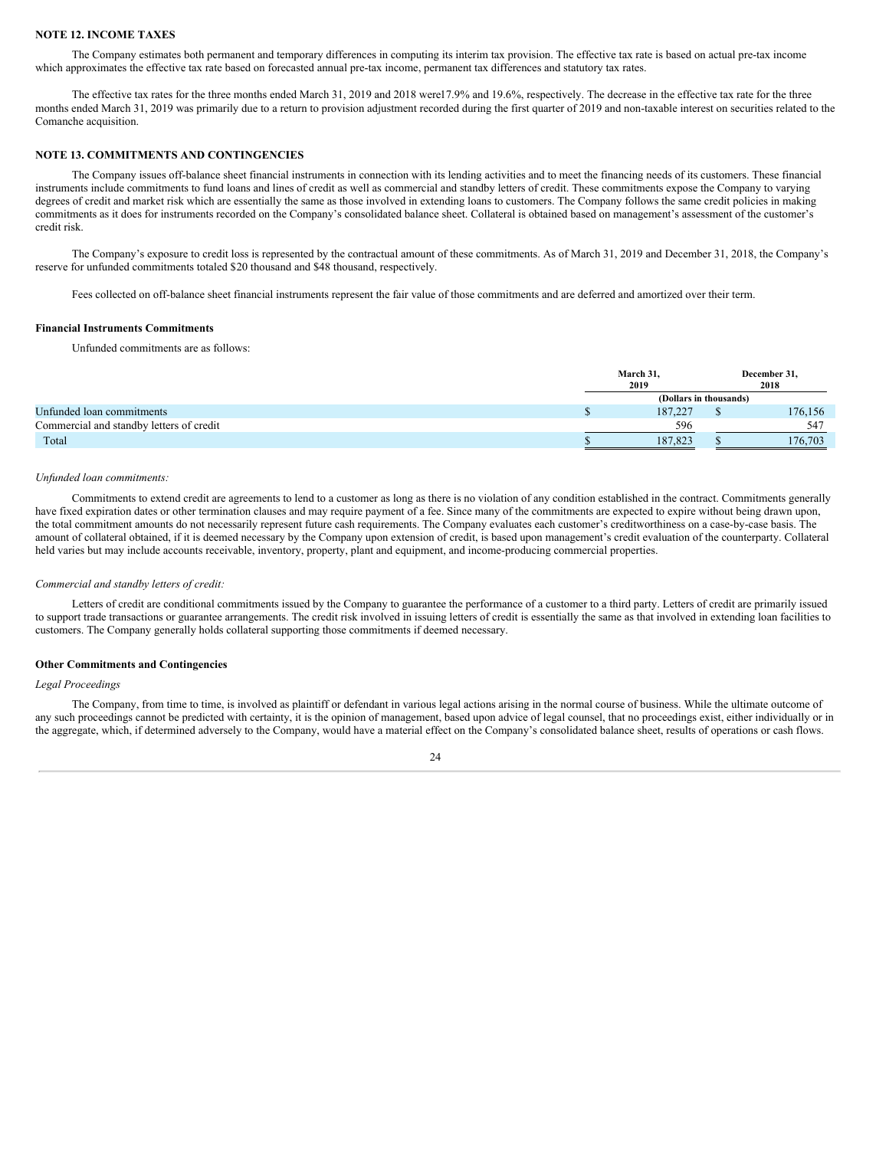## **NOTE 12. INCOME TAXES**

The Company estimates both permanent and temporary differences in computing its interim tax provision. The effective tax rate is based on actual pre-tax income which approximates the effective tax rate based on forecasted annual pre-tax income, permanent tax differences and statutory tax rates.

The effective tax rates for the three months ended March 31, 2019 and 2018 were17.9% and 19.6%, respectively. The decrease in the effective tax rate for the three months ended March 31, 2019 was primarily due to a return to provision adjustment recorded during the first quarter of 2019 and non-taxable interest on securities related to the Comanche acquisition.

#### **NOTE 13. COMMITMENTS AND CONTINGENCIES**

The Company issues off-balance sheet financial instruments in connection with its lending activities and to meet the financing needs of its customers. These financial instruments include commitments to fund loans and lines of credit as well as commercial and standby letters of credit. These commitments expose the Company to varying degrees of credit and market risk which are essentially the same as those involved in extending loans to customers. The Company follows the same credit policies in making commitments as it does for instruments recorded on the Company's consolidated balance sheet. Collateral is obtained based on management's assessment of the customer's credit risk.

The Company's exposure to credit loss is represented by the contractual amount of these commitments. As of March 31, 2019 and December 31, 2018, the Company's reserve for unfunded commitments totaled \$20 thousand and \$48 thousand, respectively.

Fees collected on off-balance sheet financial instruments represent the fair value of those commitments and are deferred and amortized over their term.

#### **Financial Instruments Commitments**

Unfunded commitments are as follows:

|                                          | March 31,<br>2019      | December 31,<br>2018 |
|------------------------------------------|------------------------|----------------------|
|                                          | (Dollars in thousands) |                      |
| Unfunded loan commitments                | 187.227                | 176,156              |
| Commercial and standby letters of credit | 596                    | 547                  |
| Total                                    | 187.823                | 176,703              |

#### *Unfunded loan commitments:*

Commitments to extend credit are agreements to lend to a customer as long as there is no violation of any condition established in the contract. Commitments generally have fixed expiration dates or other termination clauses and may require payment of a fee. Since many of the commitments are expected to expire without being drawn upon, the total commitment amounts do not necessarily represent future cash requirements. The Company evaluates each customer's creditworthiness on a case-by-case basis. The amount of collateral obtained, if it is deemed necessary by the Company upon extension of credit, is based upon management's credit evaluation of the counterparty. Collateral held varies but may include accounts receivable, inventory, property, plant and equipment, and income-producing commercial properties.

#### *Commercial and standby letters of credit:*

Letters of credit are conditional commitments issued by the Company to guarantee the performance of a customer to a third party. Letters of credit are primarily issued to support trade transactions or guarantee arrangements. The credit risk involved in issuing letters of credit is essentially the same as that involved in extending loan facilities to customers. The Company generally holds collateral supporting those commitments if deemed necessary.

#### **Other Commitments and Contingencies**

*Legal Proceedings*

The Company, from time to time, is involved as plaintiff or defendant in various legal actions arising in the normal course of business. While the ultimate outcome of any such proceedings cannot be predicted with certainty, it is the opinion of management, based upon advice of legal counsel, that no proceedings exist, either individually or in the aggregate, which, if determined adversely to the Company, would have a material effect on the Company's consolidated balance sheet, results of operations or cash flows.

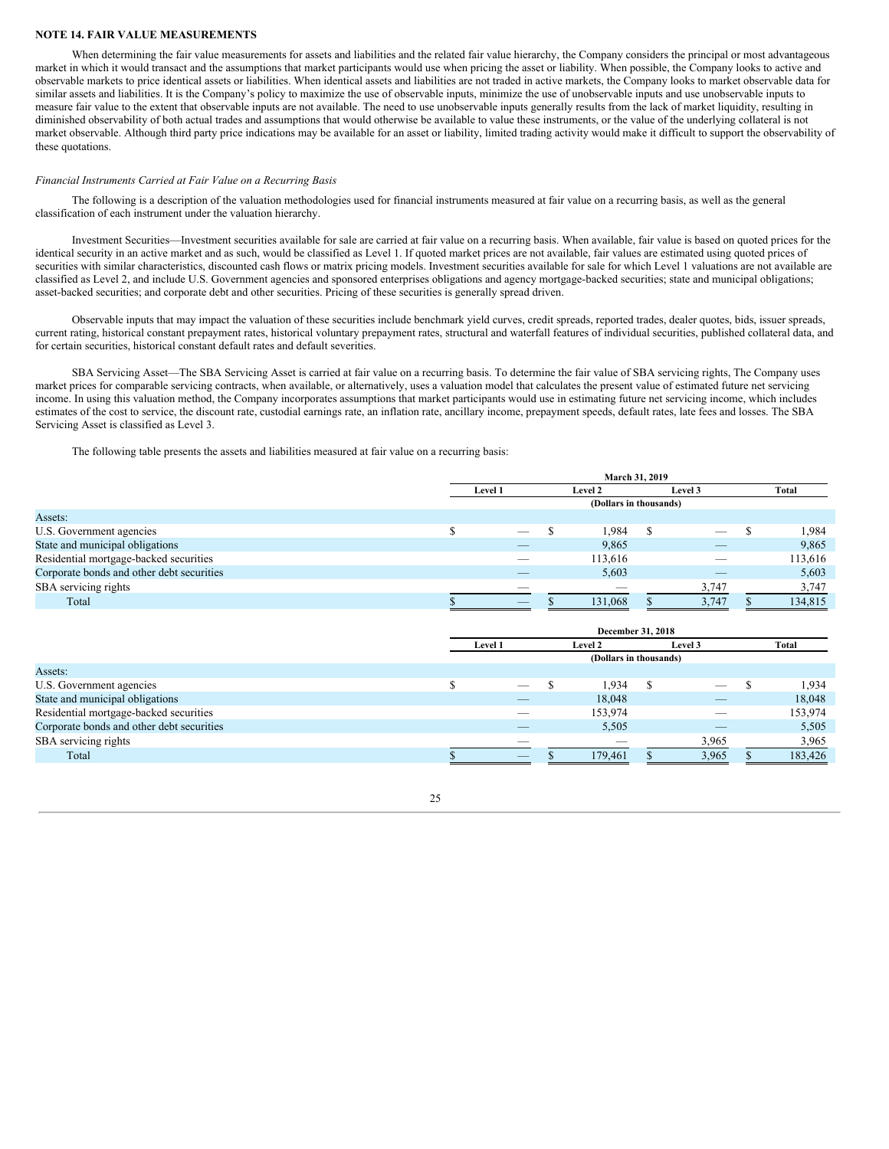#### **NOTE 14. FAIR VALUE MEASUREMENTS**

When determining the fair value measurements for assets and liabilities and the related fair value hierarchy, the Company considers the principal or most advantageous market in which it would transact and the assumptions that market participants would use when pricing the asset or liability. When possible, the Company looks to active and observable markets to price identical assets or liabilities. When identical assets and liabilities are not traded in active markets, the Company looks to market observable data for similar assets and liabilities. It is the Company's policy to maximize the use of observable inputs, minimize the use of unobservable inputs and use unobservable inputs to measure fair value to the extent that observable inputs are not available. The need to use unobservable inputs generally results from the lack of market liquidity, resulting in diminished observability of both actual trades and assumptions that would otherwise be available to value these instruments, or the value of the underlying collateral is not market observable. Although third party price indications may be available for an asset or liability, limited trading activity would make it difficult to support the observability of these quotations.

#### *Financial Instruments Carried at Fair Value on a Recurring Basis*

The following is a description of the valuation methodologies used for financial instruments measured at fair value on a recurring basis, as well as the general classification of each instrument under the valuation hierarchy.

Investment Securities—Investment securities available for sale are carried at fair value on a recurring basis. When available, fair value is based on quoted prices for the identical security in an active market and as such, would be classified as Level 1. If quoted market prices are not available, fair values are estimated using quoted prices of securities with similar characteristics, discounted cash flows or matrix pricing models. Investment securities available for sale for which Level 1 valuations are not available are classified as Level 2, and include U.S. Government agencies and sponsored enterprises obligations and agency mortgage-backed securities; state and municipal obligations; asset-backed securities; and corporate debt and other securities. Pricing of these securities is generally spread driven.

Observable inputs that may impact the valuation of these securities include benchmark yield curves, credit spreads, reported trades, dealer quotes, bids, issuer spreads, current rating, historical constant prepayment rates, historical voluntary prepayment rates, structural and waterfall features of individual securities, published collateral data, and for certain securities, historical constant default rates and default severities.

SBA Servicing Asset—The SBA Servicing Asset is carried at fair value on a recurring basis. To determine the fair value of SBA servicing rights, The Company uses market prices for comparable servicing contracts, when available, or alternatively, uses a valuation model that calculates the present value of estimated future net servicing income. In using this valuation method, the Company incorporates assumptions that market participants would use in estimating future net servicing income, which includes estimates of the cost to service, the discount rate, custodial earnings rate, an inflation rate, ancillary income, prepayment speeds, default rates, late fees and losses. The SBA Servicing Asset is classified as Level 3.

The following table presents the assets and liabilities measured at fair value on a recurring basis:

|                                           | <b>March 31, 2019</b> |                                |  |                          |  |                          |  |         |
|-------------------------------------------|-----------------------|--------------------------------|--|--------------------------|--|--------------------------|--|---------|
|                                           |                       | Level 1                        |  | Level 2                  |  | Level 3                  |  | Total   |
|                                           |                       |                                |  | (Dollars in thousands)   |  |                          |  |         |
| Assets:                                   |                       |                                |  |                          |  |                          |  |         |
| U.S. Government agencies                  |                       | $\overbrace{\hspace{25mm}}^{}$ |  | 1,984                    |  | $\overline{\phantom{a}}$ |  | 1,984   |
| State and municipal obligations           |                       | __                             |  | 9,865                    |  | $-$                      |  | 9,865   |
| Residential mortgage-backed securities    |                       |                                |  | 113,616                  |  |                          |  | 113,616 |
| Corporate bonds and other debt securities |                       |                                |  | 5,603                    |  |                          |  | 5,603   |
| SBA servicing rights                      |                       | $\overline{\phantom{a}}$       |  | $\overline{\phantom{a}}$ |  | 3,747                    |  | 3,747   |
| Total                                     |                       | $\overline{\phantom{a}}$       |  | 131,068                  |  | 3,747                    |  | 134,815 |

|                                           | December 31, 2018 |                          |  |                        |  |                          |  |         |
|-------------------------------------------|-------------------|--------------------------|--|------------------------|--|--------------------------|--|---------|
|                                           |                   | Level 1                  |  | <b>Level 2</b>         |  | Level 3                  |  | Total   |
|                                           |                   |                          |  | (Dollars in thousands) |  |                          |  |         |
| Assets:                                   |                   |                          |  |                        |  |                          |  |         |
| U.S. Government agencies                  |                   | $\hspace{0.05cm}$        |  | 1,934                  |  | $\overline{\phantom{a}}$ |  | 1,934   |
| State and municipal obligations           |                   | $-$                      |  | 18,048                 |  | _                        |  | 18,048  |
| Residential mortgage-backed securities    |                   |                          |  | 153,974                |  | _                        |  | 153,974 |
| Corporate bonds and other debt securities |                   |                          |  | 5,505                  |  | _                        |  | 5,505   |
| SBA servicing rights                      |                   | $\overline{\phantom{a}}$ |  |                        |  | 3,965                    |  | 3,965   |
| Total                                     |                   | $\overline{\phantom{a}}$ |  | 179.461                |  | 3,965                    |  | 183,426 |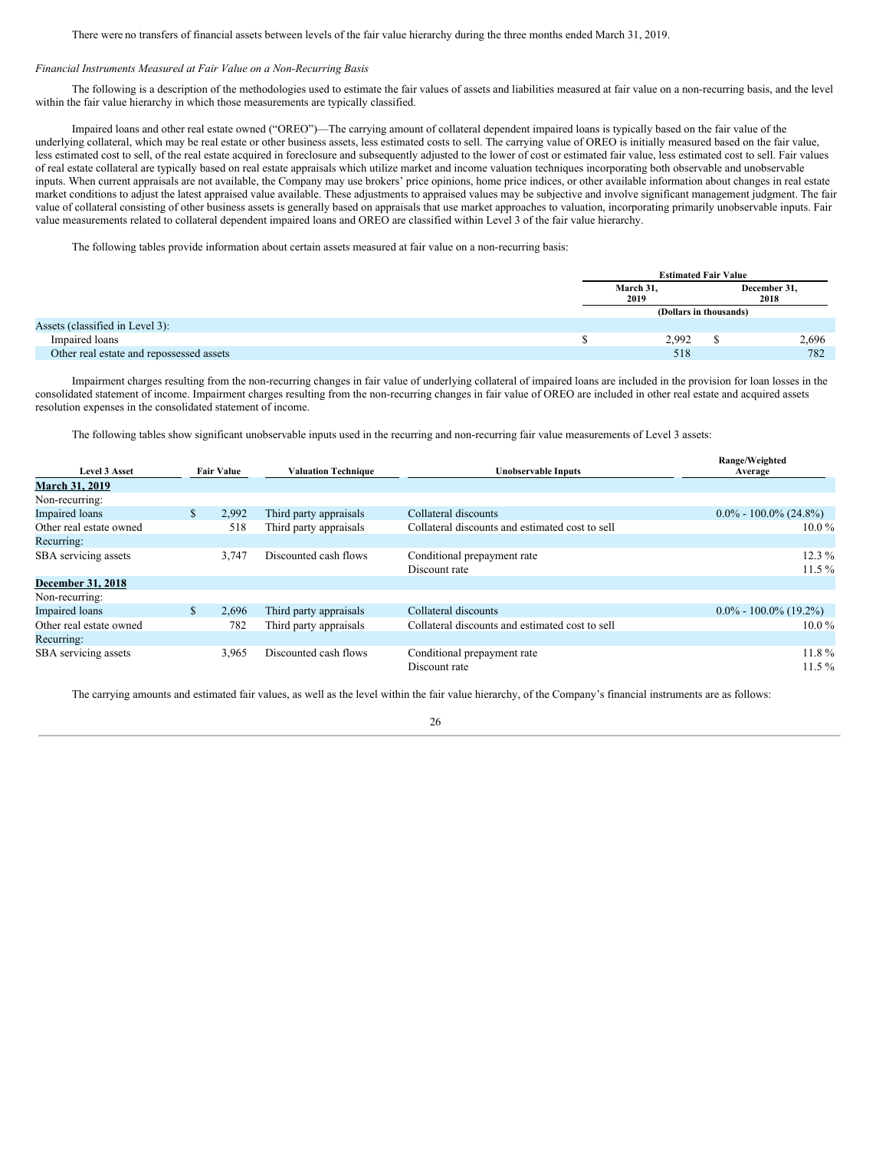There were no transfers of financial assets between levels of the fair value hierarchy during the three months ended March 31, 2019.

## *Financial Instruments Measured at Fair Value on a Non-Recurring Basis*

The following is a description of the methodologies used to estimate the fair values of assets and liabilities measured at fair value on a non-recurring basis, and the level within the fair value hierarchy in which those measurements are typically classified.

Impaired loans and other real estate owned ("OREO")—The carrying amount of collateral dependent impaired loans is typically based on the fair value of the underlying collateral, which may be real estate or other business assets, less estimated costs to sell. The carrying value of OREO is initially measured based on the fair value, less estimated cost to sell, of the real estate acquired in foreclosure and subsequently adjusted to the lower of cost or estimated fair value, less estimated cost to sell. Fair values of real estate collateral are typically based on real estate appraisals which utilize market and income valuation techniques incorporating both observable and unobservable inputs. When current appraisals are not available, the Company may use brokers' price opinions, home price indices, or other available information about changes in real estate market conditions to adjust the latest appraised value available. These adjustments to appraised values may be subjective and involve significant management judgment. The fair value of collateral consisting of other business assets is generally based on appraisals that use market approaches to valuation, incorporating primarily unobservable inputs. Fair value measurements related to collateral dependent impaired loans and OREO are classified within Level 3 of the fair value hierarchy.

The following tables provide information about certain assets measured at fair value on a non-recurring basis:

|                                          | <b>Estimated Fair Value</b> |                      |
|------------------------------------------|-----------------------------|----------------------|
|                                          | March 31,<br>2019           | December 31,<br>2018 |
|                                          | (Dollars in thousands)      |                      |
| Assets (classified in Level 3):          |                             |                      |
| Impaired loans                           | 2,992                       | 2,696                |
| Other real estate and repossessed assets | 518                         | 782                  |

Impairment charges resulting from the non-recurring changes in fair value of underlying collateral of impaired loans are included in the provision for loan losses in the consolidated statement of income. Impairment charges resulting from the non-recurring changes in fair value of OREO are included in other real estate and acquired assets resolution expenses in the consolidated statement of income.

The following tables show significant unobservable inputs used in the recurring and non-recurring fair value measurements of Level 3 assets:

|                          |               |                   |                            |                                                 | Range/Weighted            |
|--------------------------|---------------|-------------------|----------------------------|-------------------------------------------------|---------------------------|
| <b>Level 3 Asset</b>     |               | <b>Fair Value</b> | <b>Valuation Technique</b> | <b>Unobservable Inputs</b>                      | Average                   |
| <b>March 31, 2019</b>    |               |                   |                            |                                                 |                           |
| Non-recurring:           |               |                   |                            |                                                 |                           |
| <b>Impaired</b> loans    | <sup>\$</sup> | 2,992             | Third party appraisals     | Collateral discounts                            | $0.0\% - 100.0\%$ (24.8%) |
| Other real estate owned  |               | 518               | Third party appraisals     | Collateral discounts and estimated cost to sell | $10.0\%$                  |
| Recurring:               |               |                   |                            |                                                 |                           |
| SBA servicing assets     |               | 3,747             | Discounted cash flows      | Conditional prepayment rate                     | $12.3\%$                  |
|                          |               |                   |                            | Discount rate                                   | $11.5\%$                  |
| <b>December 31, 2018</b> |               |                   |                            |                                                 |                           |
| Non-recurring:           |               |                   |                            |                                                 |                           |
| <b>Impaired</b> loans    | $\mathbb{S}$  | 2.696             | Third party appraisals     | Collateral discounts                            | $0.0\% - 100.0\%$ (19.2%) |
| Other real estate owned  |               | 782               | Third party appraisals     | Collateral discounts and estimated cost to sell | $10.0\%$                  |
| Recurring:               |               |                   |                            |                                                 |                           |
| SBA servicing assets     |               | 3,965             | Discounted cash flows      | Conditional prepayment rate                     | $11.8\%$                  |
|                          |               |                   |                            | Discount rate                                   | $11.5\%$                  |

The carrying amounts and estimated fair values, as well as the level within the fair value hierarchy, of the Company's financial instruments are as follows:

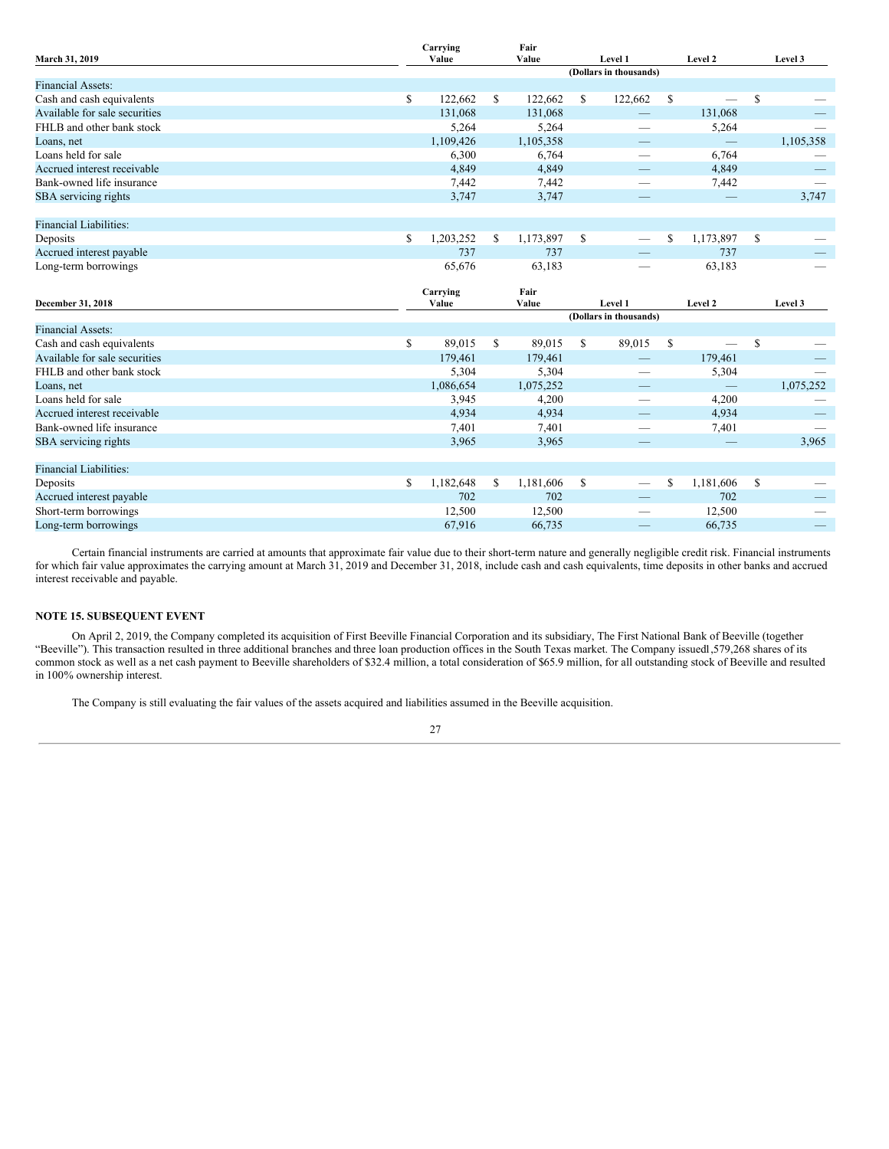| March 31, 2019                |               | Carrying<br>Value |                        | Fair<br>Value |    | Level 1                         |    | Level 2   |               | Level 3                  |
|-------------------------------|---------------|-------------------|------------------------|---------------|----|---------------------------------|----|-----------|---------------|--------------------------|
|                               |               |                   |                        |               |    | (Dollars in thousands)          |    |           |               |                          |
| <b>Financial Assets:</b>      |               |                   |                        |               |    |                                 |    |           |               |                          |
| Cash and cash equivalents     | \$            | 122,662           | \$                     | 122,662       | \$ | 122,662                         | \$ |           | <sup>\$</sup> |                          |
| Available for sale securities |               | 131,068           |                        | 131,068       |    |                                 |    | 131,068   |               |                          |
| FHLB and other bank stock     |               | 5,264             |                        | 5,264         |    | $\overline{\phantom{0}}$        |    | 5,264     |               |                          |
| Loans, net                    |               | 1,109,426         |                        | 1,105,358     |    |                                 |    |           |               | 1,105,358                |
| Loans held for sale           |               | 6,300             |                        | 6,764         |    |                                 |    | 6,764     |               |                          |
| Accrued interest receivable   |               | 4,849             |                        | 4,849         |    |                                 |    | 4,849     |               |                          |
| Bank-owned life insurance     |               | 7,442             |                        | 7,442         |    |                                 |    | 7,442     |               |                          |
| SBA servicing rights          |               | 3,747             |                        | 3,747         |    |                                 |    |           |               | 3,747                    |
| <b>Financial Liabilities:</b> |               |                   |                        |               |    |                                 |    |           |               |                          |
| Deposits                      | <sup>\$</sup> | 1,203,252         | \$                     | 1,173,897     | \$ | $\overline{\phantom{m}}$        | \$ | 1,173,897 | $\mathcal{S}$ |                          |
| Accrued interest payable      |               | 737               |                        | 737           |    |                                 |    | 737       |               |                          |
| Long-term borrowings          |               | 65,676            |                        | 63,183        |    |                                 |    | 63,183    |               |                          |
|                               |               | Carrying          |                        | Fair          |    |                                 |    |           |               |                          |
| December 31, 2018             |               | Value             |                        | Value         |    | Level 1                         |    | Level 2   |               | Level 3                  |
|                               |               |                   | (Dollars in thousands) |               |    |                                 |    |           |               |                          |
|                               |               |                   |                        |               |    |                                 |    |           |               |                          |
| <b>Financial Assets:</b>      |               |                   |                        |               |    |                                 |    |           |               |                          |
| Cash and cash equivalents     | \$            | 89,015            | \$                     | 89,015        | \$ | 89,015                          | \$ |           | \$            |                          |
| Available for sale securities |               | 179,461           |                        | 179,461       |    |                                 |    | 179,461   |               |                          |
| FHLB and other bank stock     |               | 5,304             |                        | 5,304         |    | $\hspace{0.1mm}-\hspace{0.1mm}$ |    | 5,304     |               | $\overline{\phantom{0}}$ |
| Loans, net                    |               | 1,086,654         |                        | 1,075,252     |    |                                 |    |           |               | 1,075,252                |
| Loans held for sale           |               | 3,945             |                        | 4,200         |    | -                               |    | 4,200     |               |                          |
| Accrued interest receivable   |               | 4,934             |                        | 4,934         |    |                                 |    | 4,934     |               |                          |
| Bank-owned life insurance     |               | 7,401             |                        | 7,401         |    |                                 |    | 7,401     |               |                          |
| SBA servicing rights          |               | 3,965             |                        | 3,965         |    |                                 |    |           |               | 3,965                    |
| <b>Financial Liabilities:</b> |               |                   |                        |               |    |                                 |    |           |               |                          |
| Deposits                      | \$            | 1,182,648         | \$                     | 1,181,606     | \$ | $\hspace{0.1mm}-\hspace{0.1mm}$ | \$ | 1,181,606 | <sup>\$</sup> |                          |
| Accrued interest payable      |               | 702               |                        | 702           |    |                                 |    | 702       |               |                          |
| Short-term borrowings         |               | 12,500            |                        | 12,500        |    | $\overline{\phantom{a}}$        |    | 12,500    |               |                          |

Certain financial instruments are carried at amounts that approximate fair value due to their short-term nature and generally negligible credit risk. Financial instruments for which fair value approximates the carrying amount at March 31, 2019 and December 31, 2018, include cash and cash equivalents, time deposits in other banks and accrued interest receivable and payable.

## **NOTE 15. SUBSEQUENT EVENT**

On April 2, 2019, the Company completed its acquisition of First Beeville Financial Corporation and its subsidiary, The First National Bank of Beeville (together "Beeville"). This transaction resulted in three additional branches and three loan production offices in the South Texas market. The Company issued1,579,268 shares of its common stock as well as a net cash payment to Beeville shareholders of \$32.4 million, a total consideration of \$65.9 million, for all outstanding stock of Beeville and resulted in 100% ownership interest.

The Company is still evaluating the fair values of the assets acquired and liabilities assumed in the Beeville acquisition.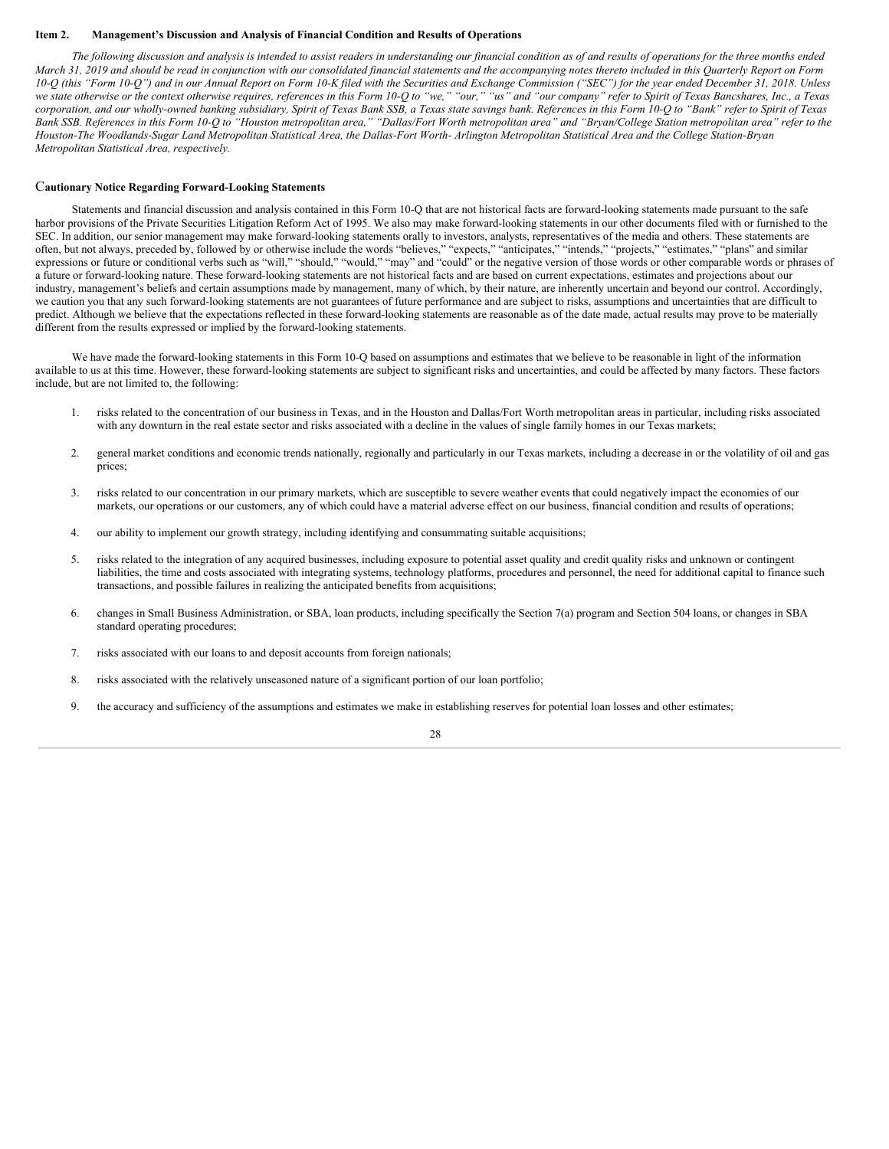#### <span id="page-27-0"></span>**Item 2. Management's Discussion and Analysis of Financial Condition and Results of Operations**

The following discussion and analysis is intended to assist readers in understanding our financial condition as of and results of operations for the three months ended March 31, 2019 and should be read in conjunction with our consolidated financial statements and the accompanying notes thereto included in this Quarterly Report on Form 10-Q (this "Form 10-Q") and in our Annual Report on Form 10-K filed with the Securities and Exchange Commission ("SEC") for the year ended December 31, 2018. Unless we state otherwise or the context otherwise requires, references in this Form 10-Q to "we," "our," "us" and "our company" refer to Spirit of Texas Bancshares, Inc., a Texas corporation, and our wholly-owned banking subsidiary, Spirit of Texas Bank SSB, a Texas state savings bank. References in this Form 10-Q to "Bank" refer to Spirit of Texas Bank SSB. References in this Form 10-Q to "Houston metropolitan area," "Dallas/Fort Worth metropolitan area" and "Bryan/College Station metropolitan area" refer to the Houston-The Woodlands-Sugar Land Metropolitan Statistical Area, the Dallas-Fort Worth- Arlington Metropolitan Statistical Area and the College Station-Bryan *Metropolitan Statistical Area, respectively.*

#### C**autionary Notice Regarding Forward-Looking Statements**

Statements and financial discussion and analysis contained in this Form 10-Q that are not historical facts are forward-looking statements made pursuant to the safe harbor provisions of the Private Securities Litigation Reform Act of 1995. We also may make forward-looking statements in our other documents filed with or furnished to the SEC. In addition, our senior management may make forward-looking statements orally to investors, analysts, representatives of the media and others. These statements are often, but not always, preceded by, followed by or otherwise include the words "believes," "expects," "anticipates," "intends," "projects," "estimates," "plans" and similar expressions or future or conditional verbs such as "will," "should," "may" and "could" or the negative version of those words or other comparable words or phrases of a future or forward-looking nature. These forward-looking statements are not historical facts and are based on current expectations, estimates and projections about our industry, management's beliefs and certain assumptions made by management, many of which, by their nature, are inherently uncertain and beyond our control. Accordingly, we caution you that any such forward-looking statements are not guarantees of future performance and are subject to risks, assumptions and uncertainties that are difficult to predict. Although we believe that the expectations reflected in these forward-looking statements are reasonable as of the date made, actual results may prove to be materially different from the results expressed or implied by the forward-looking statements.

We have made the forward-looking statements in this Form 10-Q based on assumptions and estimates that we believe to be reasonable in light of the information available to us at this time. However, these forward-looking statements are subject to significant risks and uncertainties, and could be affected by many factors. These factors include, but are not limited to, the following:

- 1. risks related to the concentration of our business in Texas, and in the Houston and Dallas/Fort Worth metropolitan areas in particular, including risks associated with any downturn in the real estate sector and risks associated with a decline in the values of single family homes in our Texas markets;
- 2. general market conditions and economic trends nationally, regionally and particularly in our Texas markets, including a decrease in or the volatility of oil and gas prices;
- 3. risks related to our concentration in our primary markets, which are susceptible to severe weather events that could negatively impact the economies of our markets, our operations or our customers, any of which could have a material adverse effect on our business, financial condition and results of operations;
- 4. our ability to implement our growth strategy, including identifying and consummating suitable acquisitions;
- 5. risks related to the integration of any acquired businesses, including exposure to potential asset quality and credit quality risks and unknown or contingent liabilities, the time and costs associated with integrating systems, technology platforms, procedures and personnel, the need for additional capital to finance such transactions, and possible failures in realizing the anticipated benefits from acquisitions;
- 6. changes in Small Business Administration, or SBA, loan products, including specifically the Section 7(a) program and Section 504 loans, or changes in SBA standard operating procedures;
- 7. risks associated with our loans to and deposit accounts from foreign nationals;
- 8. risks associated with the relatively unseasoned nature of a significant portion of our loan portfolio;
- 9. the accuracy and sufficiency of the assumptions and estimates we make in establishing reserves for potential loan losses and other estimates;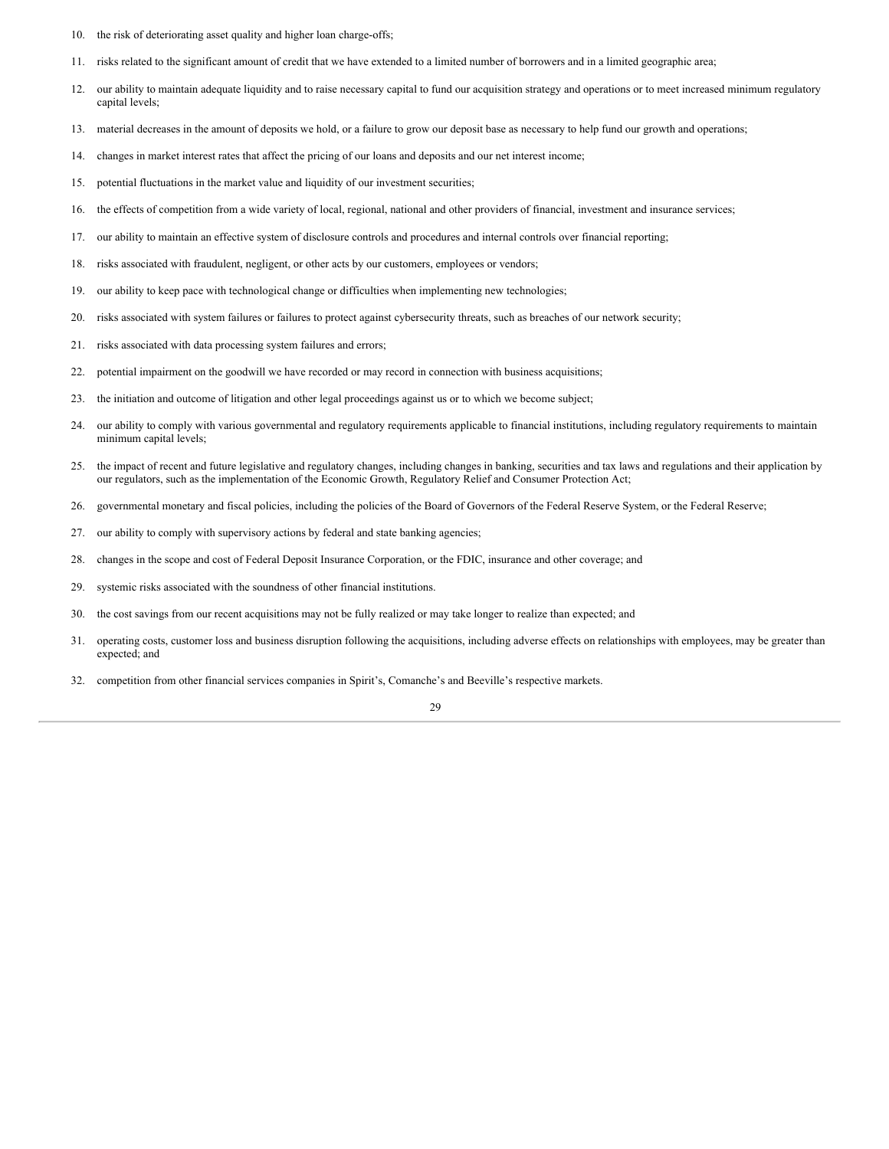- 10. the risk of deteriorating asset quality and higher loan charge-offs;
- 11. risks related to the significant amount of credit that we have extended to a limited number of borrowers and in a limited geographic area;
- 12. our ability to maintain adequate liquidity and to raise necessary capital to fund our acquisition strategy and operations or to meet increased minimum regulatory capital levels;
- 13. material decreases in the amount of deposits we hold, or a failure to grow our deposit base as necessary to help fund our growth and operations;
- 14. changes in market interest rates that affect the pricing of our loans and deposits and our net interest income;
- 15. potential fluctuations in the market value and liquidity of our investment securities;
- 16. the effects of competition from a wide variety of local, regional, national and other providers of financial, investment and insurance services;
- 17. our ability to maintain an effective system of disclosure controls and procedures and internal controls over financial reporting;
- 18. risks associated with fraudulent, negligent, or other acts by our customers, employees or vendors;
- 19. our ability to keep pace with technological change or difficulties when implementing new technologies;
- 20. risks associated with system failures or failures to protect against cybersecurity threats, such as breaches of our network security;
- 21. risks associated with data processing system failures and errors;
- 22. potential impairment on the goodwill we have recorded or may record in connection with business acquisitions;
- 23. the initiation and outcome of litigation and other legal proceedings against us or to which we become subject;
- 24. our ability to comply with various governmental and regulatory requirements applicable to financial institutions, including regulatory requirements to maintain minimum capital levels;
- 25. the impact of recent and future legislative and regulatory changes, including changes in banking, securities and tax laws and regulations and their application by our regulators, such as the implementation of the Economic Growth, Regulatory Relief and Consumer Protection Act;
- 26. governmental monetary and fiscal policies, including the policies of the Board of Governors of the Federal Reserve System, or the Federal Reserve;
- 27. our ability to comply with supervisory actions by federal and state banking agencies;
- 28. changes in the scope and cost of Federal Deposit Insurance Corporation, or the FDIC, insurance and other coverage; and
- 29. systemic risks associated with the soundness of other financial institutions.
- 30. the cost savings from our recent acquisitions may not be fully realized or may take longer to realize than expected; and
- 31. operating costs, customer loss and business disruption following the acquisitions, including adverse effects on relationships with employees, may be greater than expected; and
- 32. competition from other financial services companies in Spirit's, Comanche's and Beeville's respective markets.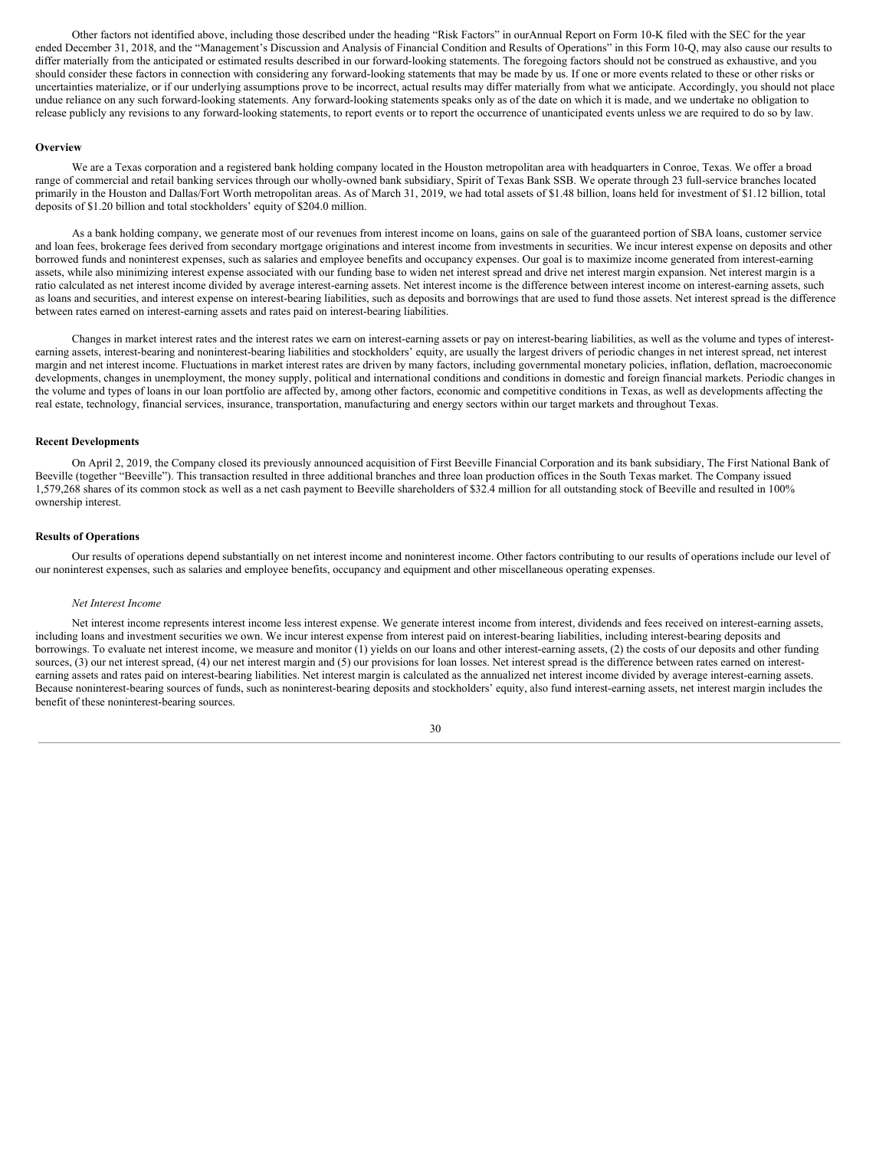Other factors not identified above, including those described under the heading "Risk Factors" in ourAnnual Report on Form 10-K filed with the SEC for the year ended December 31, 2018, and the "Management's Discussion and Analysis of Financial Condition and Results of Operations" in this Form 10-Q, may also cause our results to differ materially from the anticipated or estimated results described in our forward-looking statements. The foregoing factors should not be construed as exhaustive, and you should consider these factors in connection with considering any forward-looking statements that may be made by us. If one or more events related to these or other risks or uncertainties materialize, or if our underlying assumptions prove to be incorrect, actual results may differ materially from what we anticipate. Accordingly, you should not place undue reliance on any such forward-looking statements. Any forward-looking statements speaks only as of the date on which it is made, and we undertake no obligation to release publicly any revisions to any forward-looking statements, to report events or to report the occurrence of unanticipated events unless we are required to do so by law.

#### **Overview**

We are a Texas corporation and a registered bank holding company located in the Houston metropolitan area with headquarters in Conroe, Texas. We offer a broad range of commercial and retail banking services through our wholly-owned bank subsidiary, Spirit of Texas Bank SSB. We operate through 23 full-service branches located primarily in the Houston and Dallas/Fort Worth metropolitan areas. As of March 31, 2019, we had total assets of \$1.48 billion, loans held for investment of \$1.12 billion, total deposits of \$1.20 billion and total stockholders' equity of \$204.0 million.

As a bank holding company, we generate most of our revenues from interest income on loans, gains on sale of the guaranteed portion of SBA loans, customer service and loan fees, brokerage fees derived from secondary mortgage originations and interest income from investments in securities. We incur interest expense on deposits and other borrowed funds and noninterest expenses, such as salaries and employee benefits and occupancy expenses. Our goal is to maximize income generated from interest-earning assets, while also minimizing interest expense associated with our funding base to widen net interest spread and drive net interest margin expansion. Net interest margin is a ratio calculated as net interest income divided by average interest-earning assets. Net interest income is the difference between interest income on interest-earning assets, such as loans and securities, and interest expense on interest-bearing liabilities, such as deposits and borrowings that are used to fund those assets. Net interest spread is the difference between rates earned on interest-earning assets and rates paid on interest-bearing liabilities.

Changes in market interest rates and the interest rates we earn on interest-earning assets or pay on interest-bearing liabilities, as well as the volume and types of interestearning assets, interest-bearing and noninterest-bearing liabilities and stockholders' equity, are usually the largest drivers of periodic changes in net interest spread, net interest margin and net interest income. Fluctuations in market interest rates are driven by many factors, including governmental monetary policies, inflation, deflation, macroeconomic developments, changes in unemployment, the money supply, political and international conditions and conditions in domestic and foreign financial markets. Periodic changes in the volume and types of loans in our loan portfolio are affected by, among other factors, economic and competitive conditions in Texas, as well as developments affecting the real estate, technology, financial services, insurance, transportation, manufacturing and energy sectors within our target markets and throughout Texas.

#### **Recent Developments**

On April 2, 2019, the Company closed its previously announced acquisition of First Beeville Financial Corporation and its bank subsidiary, The First National Bank of Beeville (together "Beeville"). This transaction resulted in three additional branches and three loan production offices in the South Texas market. The Company issued 1,579,268 shares of its common stock as well as a net cash payment to Beeville shareholders of \$32.4 million for all outstanding stock of Beeville and resulted in 100% ownership interest.

## **Results of Operations**

Our results of operations depend substantially on net interest income and noninterest income. Other factors contributing to our results of operations include our level of our noninterest expenses, such as salaries and employee benefits, occupancy and equipment and other miscellaneous operating expenses.

#### *Net Interest Income*

Net interest income represents interest income less interest expense. We generate interest income from interest, dividends and fees received on interest-earning assets, including loans and investment securities we own. We incur interest expense from interest paid on interest-bearing liabilities, including interest-bearing deposits and borrowings. To evaluate net interest income, we measure and monitor (1) yields on our loans and other interest-earning assets, (2) the costs of our deposits and other funding sources, (3) our net interest spread, (4) our net interest margin and (5) our provisions for loan losses. Net interest spread is the difference between rates earned on interestearning assets and rates paid on interest-bearing liabilities. Net interest margin is calculated as the annualized net interest income divided by average interest-earning assets. Because noninterest-bearing sources of funds, such as noninterest-bearing deposits and stockholders' equity, also fund interest-earning assets, net interest margin includes the benefit of these noninterest-bearing sources.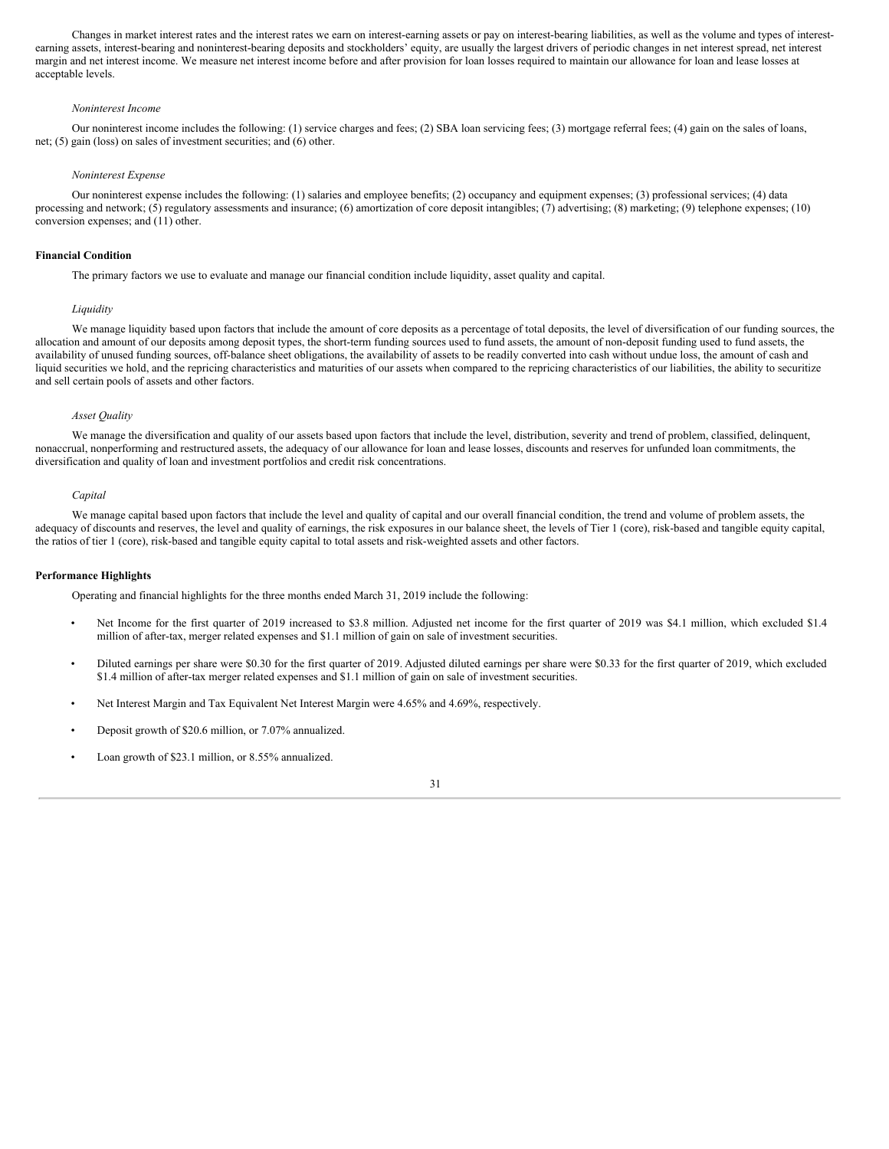Changes in market interest rates and the interest rates we earn on interest-earning assets or pay on interest-bearing liabilities, as well as the volume and types of interestearning assets, interest-bearing and noninterest-bearing deposits and stockholders' equity, are usually the largest drivers of periodic changes in net interest spread, net interest margin and net interest income. We measure net interest income before and after provision for loan losses required to maintain our allowance for loan and lease losses at acceptable levels.

#### *Noninterest Income*

Our noninterest income includes the following: (1) service charges and fees; (2) SBA loan servicing fees; (3) mortgage referral fees; (4) gain on the sales of loans, net; (5) gain (loss) on sales of investment securities; and (6) other.

#### *Noninterest Expense*

Our noninterest expense includes the following: (1) salaries and employee benefits; (2) occupancy and equipment expenses; (3) professional services; (4) data processing and network; (5) regulatory assessments and insurance; (6) amortization of core deposit intangibles; (7) advertising; (8) marketing; (9) telephone expenses; (10) conversion expenses; and (11) other.

#### **Financial Condition**

The primary factors we use to evaluate and manage our financial condition include liquidity, asset quality and capital.

#### *Liquidity*

We manage liquidity based upon factors that include the amount of core deposits as a percentage of total deposits, the level of diversification of our funding sources, the allocation and amount of our deposits among deposit types, the short-term funding sources used to fund assets, the amount of non-deposit funding used to fund assets, the availability of unused funding sources, off-balance sheet obligations, the availability of assets to be readily converted into cash without undue loss, the amount of cash and liquid securities we hold, and the repricing characteristics and maturities of our assets when compared to the repricing characteristics of our liabilities, the ability to securitize and sell certain pools of assets and other factors.

#### *Asset Quality*

We manage the diversification and quality of our assets based upon factors that include the level, distribution, severity and trend of problem, classified, delinquent, nonaccrual, nonperforming and restructured assets, the adequacy of our allowance for loan and lease losses, discounts and reserves for unfunded loan commitments, the diversification and quality of loan and investment portfolios and credit risk concentrations.

#### *Capital*

We manage capital based upon factors that include the level and quality of capital and our overall financial condition, the trend and volume of problem assets, the adequacy of discounts and reserves, the level and quality of earnings, the risk exposures in our balance sheet, the levels of Tier 1 (core), risk-based and tangible equity capital, the ratios of tier 1 (core), risk-based and tangible equity capital to total assets and risk-weighted assets and other factors.

## **Performance Highlights**

Operating and financial highlights for the three months ended March 31, 2019 include the following:

- Net Income for the first quarter of 2019 increased to \$3.8 million. Adjusted net income for the first quarter of 2019 was \$4.1 million, which excluded \$1.4 million of after-tax, merger related expenses and \$1.1 million of gain on sale of investment securities.
- Diluted earnings per share were \$0.30 for the first quarter of 2019. Adjusted diluted earnings per share were \$0.33 for the first quarter of 2019, which excluded \$1.4 million of after-tax merger related expenses and \$1.1 million of gain on sale of investment securities.
- Net Interest Margin and Tax Equivalent Net Interest Margin were 4.65% and 4.69%, respectively.
- Deposit growth of \$20.6 million, or 7.07% annualized.
- Loan growth of \$23.1 million, or 8.55% annualized.

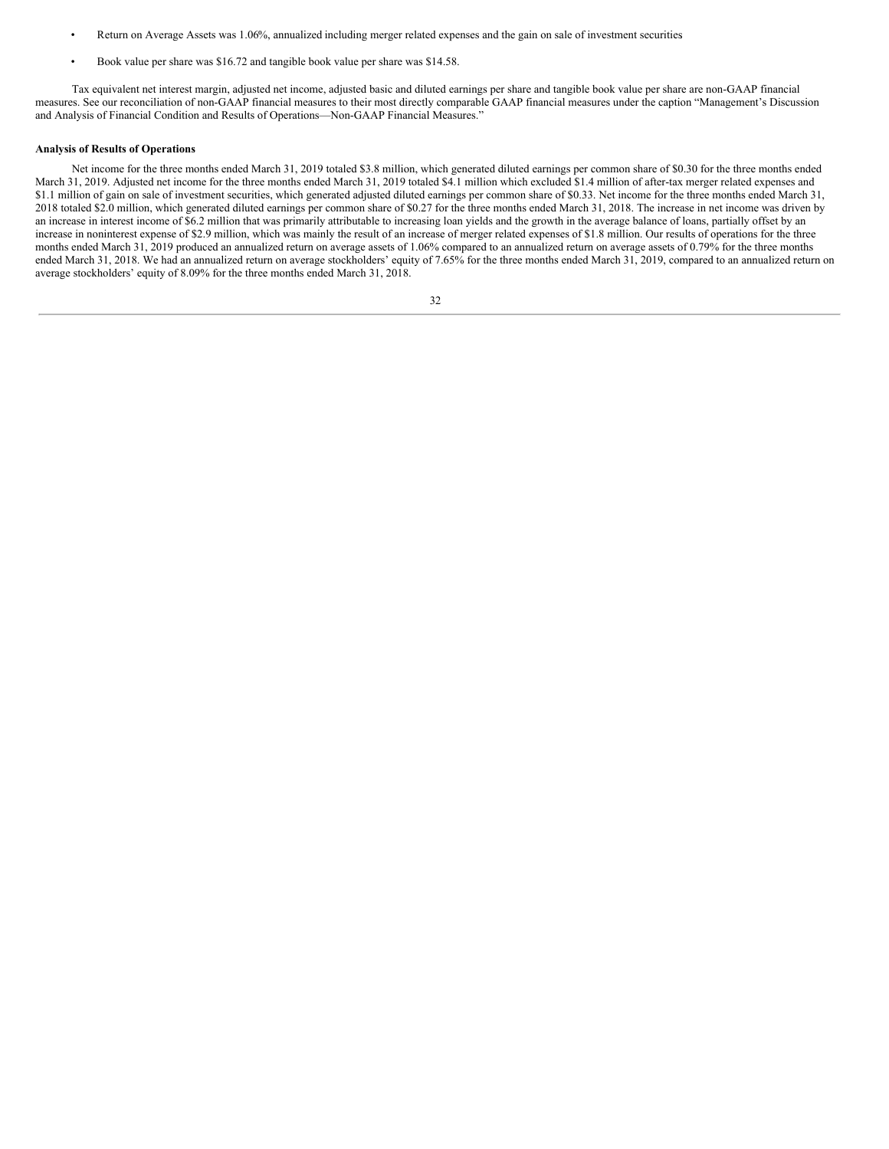- Return on Average Assets was 1.06%, annualized including merger related expenses and the gain on sale of investment securities.
- Book value per share was \$16.72 and tangible book value per share was \$14.58.

Tax equivalent net interest margin, adjusted net income, adjusted basic and diluted earnings per share and tangible book value per share are non-GAAP financial measures. See our reconciliation of non-GAAP financial measures to their most directly comparable GAAP financial measures under the caption "Management's Discussion and Analysis of Financial Condition and Results of Operations—Non-GAAP Financial Measures."

#### **Analysis of Results of Operations**

Net income for the three months ended March 31, 2019 totaled \$3.8 million, which generated diluted earnings per common share of \$0.30 for the three months ended March 31, 2019. Adjusted net income for the three months ended March 31, 2019 totaled \$4.1 million which excluded \$1.4 million of after-tax merger related expenses and \$1.1 million of gain on sale of investment securities, which generated adjusted diluted earnings per common share of \$0.33. Net income for the three months ended March 31, 2018 totaled \$2.0 million, which generated diluted earnings per common share of \$0.27 for the three months ended March 31, 2018. The increase in net income was driven by an increase in interest income of \$6.2 million that was primarily attributable to increasing loan yields and the growth in the average balance of loans, partially offset by an increase in noninterest expense of \$2.9 million, which was mainly the result of an increase of merger related expenses of \$1.8 million. Our results of operations for the three months ended March 31, 2019 produced an annualized return on average assets of 1.06% compared to an annualized return on average assets of 0.79% for the three months ended March 31, 2018. We had an annualized return on average stockholders' equity of 7.65% for the three months ended March 31, 2019, compared to an annualized return on average stockholders' equity of 8.09% for the three months ended March 31, 2018.

|             | v |
|-------------|---|
| I<br>I<br>× |   |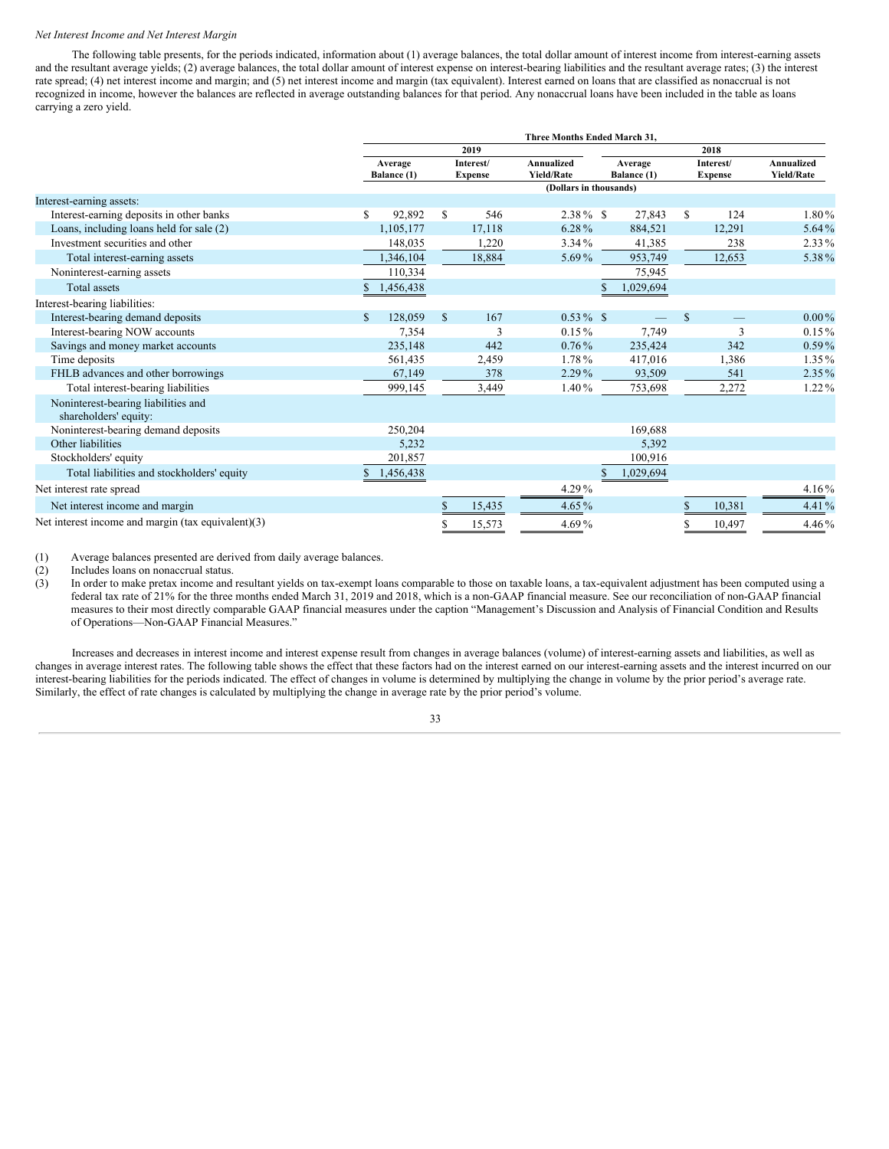#### *Net Interest Income and Net Interest Margin*

The following table presents, for the periods indicated, information about (1) average balances, the total dollar amount of interest income from interest-earning assets and the resultant average yields; (2) average balances, the total dollar amount of interest expense on interest-bearing liabilities and the resultant average rates; (3) the interest rate spread; (4) net interest income and margin; and (5) net interest income and margin (tax equivalent). Interest earned on loans that are classified as nonaccrual is not recognized in income, however the balances are reflected in average outstanding balances for that period. Any nonaccrual loans have been included in the table as loans carrying a zero yield.

|                                                              | Three Months Ended March 31, |                        |             |                             |                                 |  |                        |               |                             |                                 |  |
|--------------------------------------------------------------|------------------------------|------------------------|-------------|-----------------------------|---------------------------------|--|------------------------|---------------|-----------------------------|---------------------------------|--|
|                                                              |                              | 2019                   |             |                             |                                 |  | 2018                   |               |                             |                                 |  |
|                                                              |                              | Average<br>Balance (1) |             | Interest/<br><b>Expense</b> | Annualized<br><b>Yield/Rate</b> |  | Average<br>Balance (1) |               | Interest/<br><b>Expense</b> | Annualized<br><b>Yield/Rate</b> |  |
|                                                              |                              |                        |             |                             | (Dollars in thousands)          |  |                        |               |                             |                                 |  |
| Interest-earning assets:                                     |                              |                        |             |                             |                                 |  |                        |               |                             |                                 |  |
| Interest-earning deposits in other banks                     | S                            | 92,892                 | \$          | 546                         | $2.38\%$ \$                     |  | 27,843                 | \$            | 124                         | 1.80%                           |  |
| Loans, including loans held for sale (2)                     |                              | 1,105,177              |             | 17,118                      | 6.28%                           |  | 884,521                |               | 12,291                      | 5.64%                           |  |
| Investment securities and other                              |                              | 148,035                |             | 1,220                       | $3.34\%$                        |  | 41,385                 |               | 238                         | 2.33%                           |  |
| Total interest-earning assets                                |                              | 1,346,104              |             | 18,884                      | 5.69%                           |  | 953,749                |               | 12,653                      | 5.38%                           |  |
| Noninterest-earning assets                                   |                              | 110,334                |             |                             |                                 |  | 75,945                 |               |                             |                                 |  |
| Total assets                                                 |                              | 1,456,438              |             |                             |                                 |  | 1,029,694              |               |                             |                                 |  |
| Interest-bearing liabilities:                                |                              |                        |             |                             |                                 |  |                        |               |                             |                                 |  |
| Interest-bearing demand deposits                             | <sup>\$</sup>                | 128,059                | $\mathbf S$ | 167                         | $0.53\%$ \$                     |  |                        | <sup>\$</sup> |                             | $0.00\%$                        |  |
| Interest-bearing NOW accounts                                |                              | 7,354                  |             | 3                           | $0.15\%$                        |  | 7,749                  |               | 3                           | $0.15\%$                        |  |
| Savings and money market accounts                            |                              | 235,148                |             | 442                         | $0.76\%$                        |  | 235,424                |               | 342                         | $0.59\%$                        |  |
| Time deposits                                                |                              | 561,435                |             | 2,459                       | 1.78%                           |  | 417,016                |               | 1,386                       | $1.35\%$                        |  |
| FHLB advances and other borrowings                           |                              | 67,149                 |             | 378                         | 2.29%                           |  | 93,509                 |               | 541                         | 2.35%                           |  |
| Total interest-bearing liabilities                           |                              | 999,145                |             | 3,449                       | $1.40\%$                        |  | 753,698                |               | 2,272                       | 1.22%                           |  |
| Noninterest-bearing liabilities and<br>shareholders' equity: |                              |                        |             |                             |                                 |  |                        |               |                             |                                 |  |
| Noninterest-bearing demand deposits                          |                              | 250,204                |             |                             |                                 |  | 169,688                |               |                             |                                 |  |
| Other liabilities                                            |                              | 5,232                  |             |                             |                                 |  | 5,392                  |               |                             |                                 |  |
| Stockholders' equity                                         |                              | 201,857                |             |                             |                                 |  | 100,916                |               |                             |                                 |  |
| Total liabilities and stockholders' equity                   |                              | 1,456,438              |             |                             |                                 |  | 1,029,694              |               |                             |                                 |  |
| Net interest rate spread                                     |                              |                        |             |                             | $4.29\%$                        |  |                        |               |                             | 4.16%                           |  |
| Net interest income and margin                               |                              |                        |             | 15,435                      | 4.65%                           |  |                        | \$            | 10,381                      | 4.41%                           |  |
| Net interest income and margin (tax equivalent)(3)           |                              |                        |             | 15,573                      | 4.69%                           |  |                        |               | 10,497                      | 4.46%                           |  |

(1) Average balances presented are derived from daily average balances.

(2) Includes loans on nonaccrual status.

(3) In order to make pretax income and resultant yields on tax-exempt loans comparable to those on taxable loans, a tax-equivalent adjustment has been computed using a federal tax rate of 21% for the three months ended March 31, 2019 and 2018, which is a non-GAAP financial measure. See our reconciliation of non-GAAP financial measures to their most directly comparable GAAP financial measures under the caption "Management's Discussion and Analysis of Financial Condition and Results of Operations—Non-GAAP Financial Measures."

Increases and decreases in interest income and interest expense result from changes in average balances (volume) of interest-earning assets and liabilities, as well as changes in average interest rates. The following table shows the effect that these factors had on the interest earned on our interest-earning assets and the interest incurred on our interest-bearing liabilities for the periods indicated. The effect of changes in volume is determined by multiplying the change in volume by the prior period's average rate. Similarly, the effect of rate changes is calculated by multiplying the change in average rate by the prior period's volume.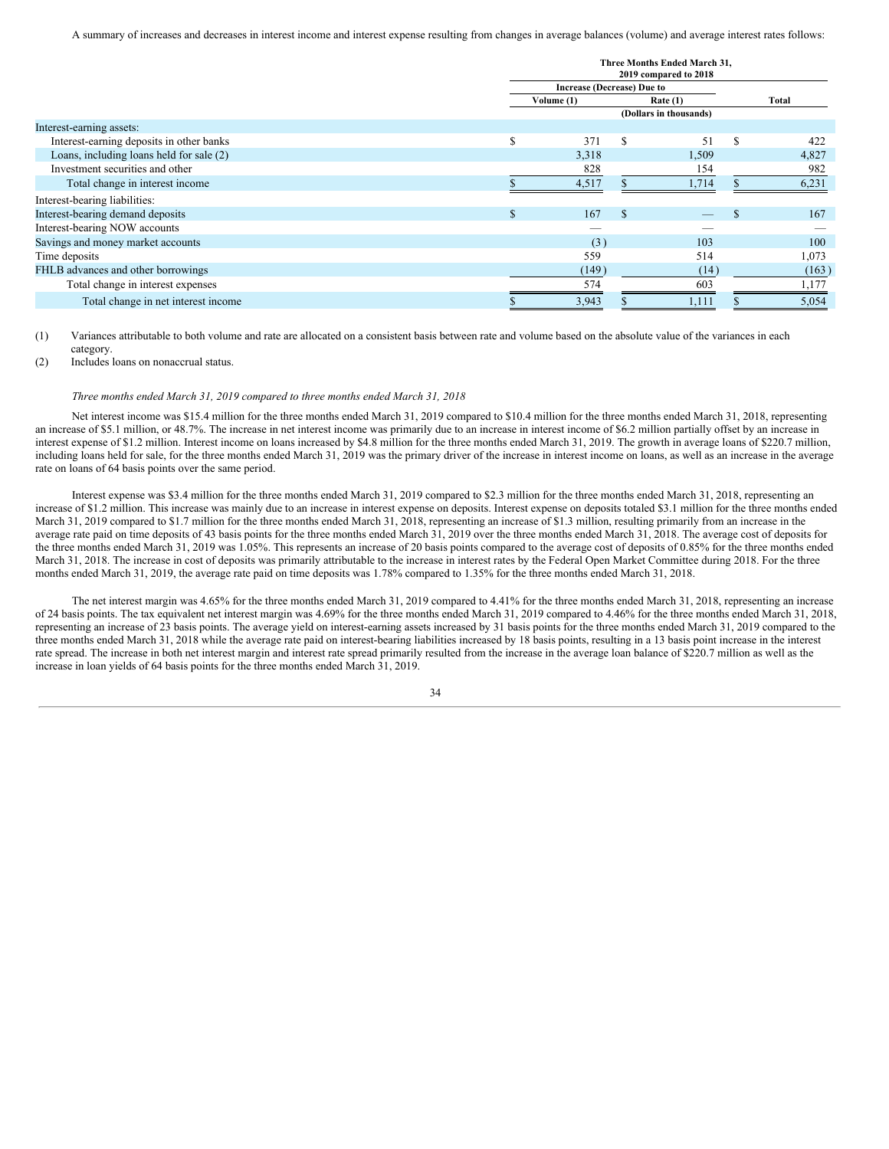A summary of increases and decreases in interest income and interest expense resulting from changes in average balances (volume) and average interest rates follows:

|                                          | Three Months Ended March 31,<br>2019 compared to 2018 |            |               |                        |     |       |  |
|------------------------------------------|-------------------------------------------------------|------------|---------------|------------------------|-----|-------|--|
|                                          | <b>Increase (Decrease) Due to</b>                     |            |               |                        |     |       |  |
|                                          |                                                       | Volume (1) |               | Rate(1)                |     | Total |  |
|                                          |                                                       |            |               | (Dollars in thousands) |     |       |  |
| Interest-earning assets:                 |                                                       |            |               |                        |     |       |  |
| Interest-earning deposits in other banks | S                                                     | 371        | \$.           | 51                     | \$. | 422   |  |
| Loans, including loans held for sale (2) |                                                       | 3,318      |               | 1,509                  |     | 4,827 |  |
| Investment securities and other          |                                                       | 828        |               | 154                    |     | 982   |  |
| Total change in interest income          |                                                       | 4,517      |               | 1,714                  |     | 6,231 |  |
| Interest-bearing liabilities:            |                                                       |            |               |                        |     |       |  |
| Interest-bearing demand deposits         | $\mathcal{S}$                                         | 167        | <sup>\$</sup> |                        |     | 167   |  |
| Interest-bearing NOW accounts            |                                                       |            |               |                        |     |       |  |
| Savings and money market accounts        |                                                       | (3)        |               | 103                    |     | 100   |  |
| Time deposits                            |                                                       | 559        |               | 514                    |     | 1,073 |  |
| FHLB advances and other borrowings       |                                                       | (149)      |               | (14)                   |     | (163) |  |
| Total change in interest expenses        |                                                       | 574        |               | 603                    |     | 1,177 |  |
| Total change in net interest income      |                                                       | 3,943      |               | 1,111                  |     | 5,054 |  |

(1) Variances attributable to both volume and rate are allocated on a consistent basis between rate and volume based on the absolute value of the variances in each category.

(2) Includes loans on nonaccrual status.

## *Three months ended March 31, 2019 compared to three months ended March 31, 2018*

Net interest income was \$15.4 million for the three months ended March 31, 2019 compared to \$10.4 million for the three months ended March 31, 2018, representing an increase of \$5.1 million, or 48.7%. The increase in net interest income was primarily due to an increase in interest income of \$6.2 million partially offset by an increase in interest expense of \$1.2 million. Interest income on loans increased by \$4.8 million for the three months ended March 31, 2019. The growth in average loans of \$220.7 million, including loans held for sale, for the three months ended March 31, 2019 was the primary driver of the increase in interest income on loans, as well as an increase in the average rate on loans of 64 basis points over the same period.

Interest expense was \$3.4 million for the three months ended March 31, 2019 compared to \$2.3 million for the three months ended March 31, 2018, representing an increase of \$1.2 million. This increase was mainly due to an increase in interest expense on deposits. Interest expense on deposits totaled \$3.1 million for the three months ended March 31, 2019 compared to \$1.7 million for the three months ended March 31, 2018, representing an increase of \$1.3 million, resulting primarily from an increase in the average rate paid on time deposits of 43 basis points for the three months ended March 31, 2019 over the three months ended March 31, 2018. The average cost of deposits for the three months ended March 31, 2019 was 1.05%. This represents an increase of 20 basis points compared to the average cost of deposits of 0.85% for the three months ended March 31, 2018. The increase in cost of deposits was primarily attributable to the increase in interest rates by the Federal Open Market Committee during 2018. For the three months ended March 31, 2019, the average rate paid on time deposits was 1.78% compared to 1.35% for the three months ended March 31, 2018.

The net interest margin was 4.65% for the three months ended March 31, 2019 compared to 4.41% for the three months ended March 31, 2018, representing an increase of 24 basis points. The tax equivalent net interest margin was 4.69% for the three months ended March 31, 2019 compared to 4.46% for the three months ended March 31, 2018, representing an increase of 23 basis points. The average yield on interest-earning assets increased by 31 basis points for the three months ended March 31, 2019 compared to the three months ended March 31, 2018 while the average rate paid on interest-bearing liabilities increased by 18 basis points, resulting in a 13 basis point increase in the interest rate spread. The increase in both net interest margin and interest rate spread primarily resulted from the increase in the average loan balance of \$220.7 million as well as the increase in loan yields of 64 basis points for the three months ended March 31, 2019.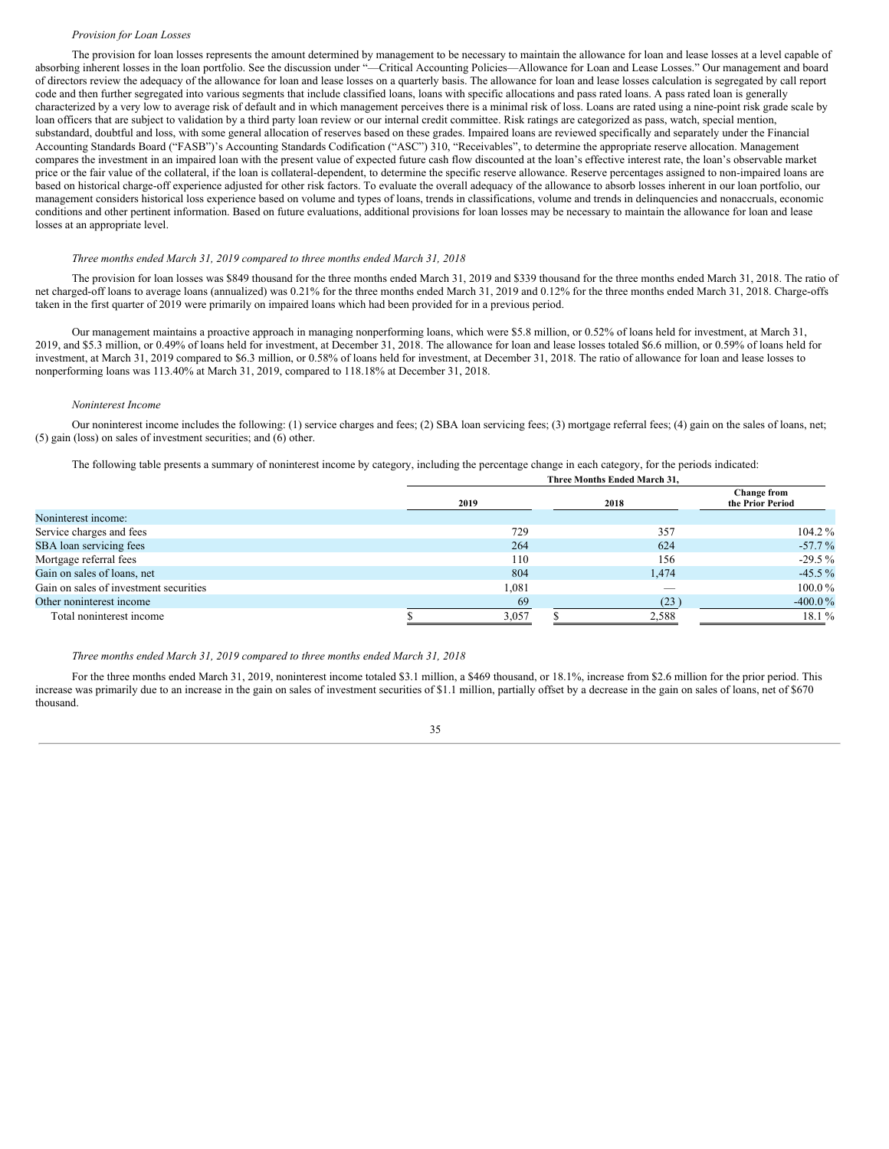#### *Provision for Loan Losses*

The provision for loan losses represents the amount determined by management to be necessary to maintain the allowance for loan and lease losses at a level capable of absorbing inherent losses in the loan portfolio. See the discussion under "—Critical Accounting Policies—Allowance for Loan and Lease Losses." Our management and board of directors review the adequacy of the allowance for loan and lease losses on a quarterly basis. The allowance for loan and lease losses calculation is segregated by call report code and then further segregated into various segments that include classified loans, loans with specific allocations and pass rated loans. A pass rated loan is generally characterized by a very low to average risk of default and in which management perceives there is a minimal risk of loss. Loans are rated using a nine-point risk grade scale by loan officers that are subject to validation by a third party loan review or our internal credit committee. Risk ratings are categorized as pass, watch, special mention, substandard, doubtful and loss, with some general allocation of reserves based on these grades. Impaired loans are reviewed specifically and separately under the Financial Accounting Standards Board ("FASB")'s Accounting Standards Codification ("ASC") 310, "Receivables", to determine the appropriate reserve allocation. Management compares the investment in an impaired loan with the present value of expected future cash flow discounted at the loan's effective interest rate, the loan's observable market price or the fair value of the collateral, if the loan is collateral-dependent, to determine the specific reserve allowance. Reserve percentages assigned to non-impaired loans are based on historical charge-off experience adjusted for other risk factors. To evaluate the overall adequacy of the allowance to absorb losses inherent in our loan portfolio, our management considers historical loss experience based on volume and types of loans, trends in classifications, volume and trends in delinquencies and nonaccruals, economic conditions and other pertinent information. Based on future evaluations, additional provisions for loan losses may be necessary to maintain the allowance for loan and lease losses at an appropriate level.

#### *Three months ended March 31, 2019 compared to three months ended March 31, 2018*

The provision for loan losses was \$849 thousand for the three months ended March 31, 2019 and \$339 thousand for the three months ended March 31, 2018. The ratio of net charged-off loans to average loans (annualized) was 0.21% for the three months ended March 31, 2019 and 0.12% for the three months ended March 31, 2018. Charge-offs taken in the first quarter of 2019 were primarily on impaired loans which had been provided for in a previous period.

Our management maintains a proactive approach in managing nonperforming loans, which were \$5.8 million, or 0.52% of loans held for investment, at March 31, 2019, and \$5.3 million, or 0.49% of loans held for investment, at December 31, 2018. The allowance for loan and lease losses totaled \$6.6 million, or 0.59% of loans held for investment, at March 31, 2019 compared to \$6.3 million, or 0.58% of loans held for investment, at December 31, 2018. The ratio of allowance for loan and lease losses to nonperforming loans was 113.40% at March 31, 2019, compared to 118.18% at December 31, 2018.

#### *Noninterest Income*

Our noninterest income includes the following: (1) service charges and fees; (2) SBA loan servicing fees; (3) mortgage referral fees; (4) gain on the sales of loans, net; (5) gain (loss) on sales of investment securities; and (6) other.

**Three Months Ended March 31,**

The following table presents a summary of noninterest income by category, including the percentage change in each category, for the periods indicated:

| THE C MORINS ENGER MATCH 31, |       |                                 |  |  |  |  |  |  |  |  |
|------------------------------|-------|---------------------------------|--|--|--|--|--|--|--|--|
| 2019                         | 2018  | Change from<br>the Prior Period |  |  |  |  |  |  |  |  |
|                              |       |                                 |  |  |  |  |  |  |  |  |
| 729                          | 357   | $104.2\%$                       |  |  |  |  |  |  |  |  |
| 264                          | 624   | $-57.7\%$                       |  |  |  |  |  |  |  |  |
| 110                          | 156   | $-29.5\%$                       |  |  |  |  |  |  |  |  |
| 804                          | 1,474 | $-45.5\%$                       |  |  |  |  |  |  |  |  |
| 1,081                        |       | $100.0\%$                       |  |  |  |  |  |  |  |  |
| 69                           | (23)  | $-400.0\%$                      |  |  |  |  |  |  |  |  |
| 3,057                        | 2,588 | 18.1 %                          |  |  |  |  |  |  |  |  |
|                              |       |                                 |  |  |  |  |  |  |  |  |

#### *Three months ended March 31, 2019 compared to three months ended March 31, 2018*

For the three months ended March 31, 2019, noninterest income totaled \$3.1 million, a \$469 thousand, or 18.1%, increase from \$2.6 million for the prior period. This increase was primarily due to an increase in the gain on sales of investment securities of \$1.1 million, partially offset by a decrease in the gain on sales of loans, net of \$670 thousand.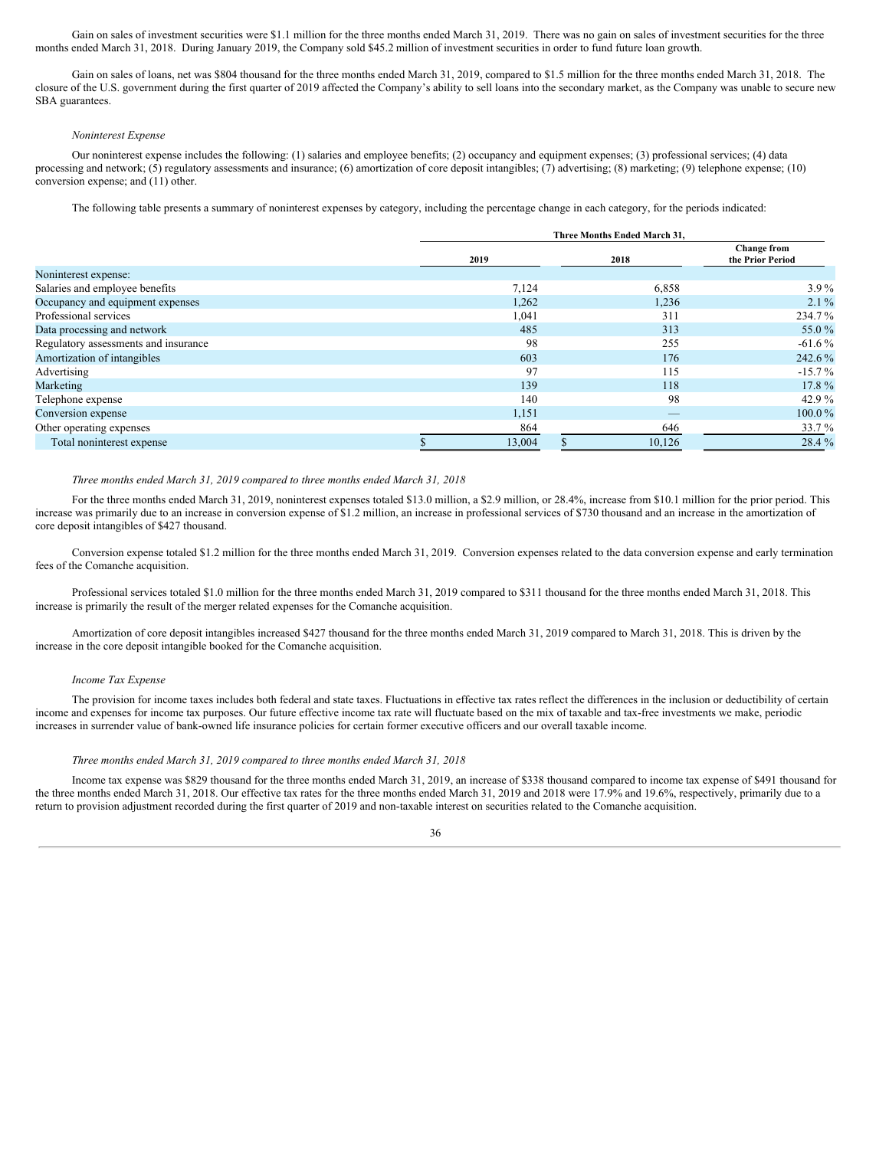Gain on sales of investment securities were \$1.1 million for the three months ended March 31, 2019. There was no gain on sales of investment securities for the three months ended March 31, 2018. During January 2019, the Company sold \$45.2 million of investment securities in order to fund future loan growth.

Gain on sales of loans, net was \$804 thousand for the three months ended March 31, 2019, compared to \$1.5 million for the three months ended March 31, 2018. The closure of the U.S. government during the first quarter of 2019 affected the Company's ability to sell loans into the secondary market, as the Company was unable to secure new SBA guarantees.

## *Noninterest Expense*

Our noninterest expense includes the following: (1) salaries and employee benefits; (2) occupancy and equipment expenses; (3) professional services; (4) data processing and network; (5) regulatory assessments and insurance; (6) amortization of core deposit intangibles; (7) advertising; (8) marketing; (9) telephone expense; (10) conversion expense; and (11) other.

The following table presents a summary of noninterest expenses by category, including the percentage change in each category, for the periods indicated:

|                                      | Three Months Ended March 31, |  |                                 |                                        |  |  |
|--------------------------------------|------------------------------|--|---------------------------------|----------------------------------------|--|--|
|                                      | 2019                         |  | 2018                            | <b>Change from</b><br>the Prior Period |  |  |
| Noninterest expense:                 |                              |  |                                 |                                        |  |  |
| Salaries and employee benefits       | 7,124                        |  | 6,858                           | $3.9\%$                                |  |  |
| Occupancy and equipment expenses     | 1,262                        |  | 1,236                           | $2.1\%$                                |  |  |
| Professional services                | 1,041                        |  | 311                             | 234.7%                                 |  |  |
| Data processing and network          | 485                          |  | 313                             | 55.0%                                  |  |  |
| Regulatory assessments and insurance | 98                           |  | 255                             | $-61.6\%$                              |  |  |
| Amortization of intangibles          | 603                          |  | 176                             | 242.6%                                 |  |  |
| Advertising                          | 97                           |  | 115                             | $-15.7\%$                              |  |  |
| Marketing                            | 139                          |  | 118                             | 17.8%                                  |  |  |
| Telephone expense                    | 140                          |  | 98                              | 42.9%                                  |  |  |
| Conversion expense                   | 1,151                        |  | $\hspace{0.1mm}-\hspace{0.1mm}$ | $100.0\%$                              |  |  |
| Other operating expenses             | 864                          |  | 646                             | 33.7 %                                 |  |  |
| Total noninterest expense            | 13,004                       |  | 10.126                          | 28.4 %                                 |  |  |

## *Three months ended March 31, 2019 compared to three months ended March 31, 2018*

For the three months ended March 31, 2019, noninterest expenses totaled \$13.0 million, a \$2.9 million, or 28.4%, increase from \$10.1 million for the prior period. This increase was primarily due to an increase in conversion expense of \$1.2 million, an increase in professional services of \$730 thousand and an increase in the amortization of core deposit intangibles of \$427 thousand.

Conversion expense totaled \$1.2 million for the three months ended March 31, 2019. Conversion expenses related to the data conversion expense and early termination fees of the Comanche acquisition.

Professional services totaled \$1.0 million for the three months ended March 31, 2019 compared to \$311 thousand for the three months ended March 31, 2018. This increase is primarily the result of the merger related expenses for the Comanche acquisition.

Amortization of core deposit intangibles increased \$427 thousand for the three months ended March 31, 2019 compared to March 31, 2018. This is driven by the increase in the core deposit intangible booked for the Comanche acquisition.

#### *Income Tax Expense*

The provision for income taxes includes both federal and state taxes. Fluctuations in effective tax rates reflect the differences in the inclusion or deductibility of certain income and expenses for income tax purposes. Our future effective income tax rate will fluctuate based on the mix of taxable and tax-free investments we make, periodic increases in surrender value of bank-owned life insurance policies for certain former executive officers and our overall taxable income.

#### *Three months ended March 31, 2019 compared to three months ended March 31, 2018*

Income tax expense was \$829 thousand for the three months ended March 31, 2019, an increase of \$338 thousand compared to income tax expense of \$491 thousand for the three months ended March 31, 2018. Our effective tax rates for the three months ended March 31, 2019 and 2018 were 17.9% and 19.6%, respectively, primarily due to a return to provision adjustment recorded during the first quarter of 2019 and non-taxable interest on securities related to the Comanche acquisition.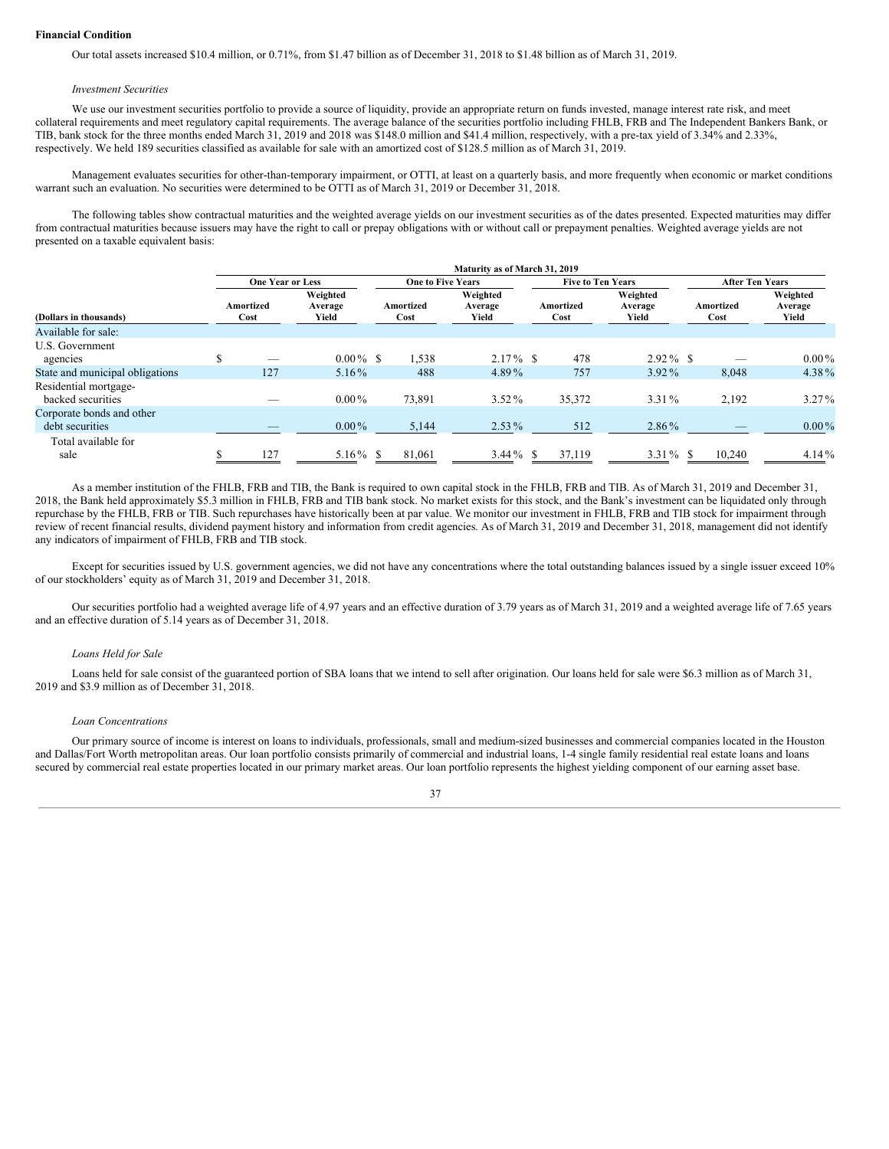#### **Financial Condition**

Our total assets increased \$10.4 million, or 0.71%, from \$1.47 billion as of December 31, 2018 to \$1.48 billion as of March 31, 2019.

#### *Investment Securities*

We use our investment securities portfolio to provide a source of liquidity, provide an appropriate return on funds invested, manage interest rate risk, and meet collateral requirements and meet regulatory capital requirements. The average balance of the securities portfolio including FHLB, FRB and The Independent Bankers Bank, or TIB, bank stock for the three months ended March 31, 2019 and 2018 was \$148.0 million and \$41.4 million, respectively, with a pre-tax yield of 3.34% and 2.33%, respectively. We held 189 securities classified as available for sale with an amortized cost of \$128.5 million as of March 31, 2019.

Management evaluates securities for other-than-temporary impairment, or OTTI, at least on a quarterly basis, and more frequently when economic or market conditions warrant such an evaluation. No securities were determined to be OTTI as of March 31, 2019 or December 31, 2018.

The following tables show contractual maturities and the weighted average yields on our investment securities as of the dates presented. Expected maturities may differ from contractual maturities because issuers may have the right to call or prepay obligations with or without call or prepayment penalties. Weighted average yields are not presented on a taxable equivalent basis:

|                                              |                         |                              |                          | Maturity as of March 31, 2019 |                          |                              |                        |                              |  |
|----------------------------------------------|-------------------------|------------------------------|--------------------------|-------------------------------|--------------------------|------------------------------|------------------------|------------------------------|--|
|                                              | <b>One Year or Less</b> |                              | <b>One to Five Years</b> |                               | <b>Five to Ten Years</b> |                              | <b>After Ten Years</b> |                              |  |
| (Dollars in thousands)                       | Amortized<br>Cost       | Weighted<br>Average<br>Yield | Amortized<br>Cost        | Weighted<br>Average<br>Yield  | Amortized<br>Cost        | Weighted<br>Average<br>Yield | Amortized<br>Cost      | Weighted<br>Average<br>Yield |  |
| Available for sale:                          |                         |                              |                          |                               |                          |                              |                        |                              |  |
| U.S. Government<br>agencies                  | _                       | $0.00\%$ \$                  | 1,538                    | $2.17\%$ \$                   | 478                      | $2.92\%$ \$                  |                        | $0.00\%$                     |  |
| State and municipal obligations              | 127                     | $5.16\%$                     | 488                      | 4.89%                         | 757                      | 3.92%                        | 8,048                  | 4.38%                        |  |
| Residential mortgage-<br>backed securities   |                         | $0.00\%$                     | 73.891                   | $3.52\%$                      | 35,372                   | 3.31%                        | 2,192                  | $3.27\%$                     |  |
| Corporate bonds and other<br>debt securities |                         | $0.00\%$                     | 5,144                    | $2.53\%$                      | 512                      | 2.86%                        |                        | $0.00\%$                     |  |
| Total available for<br>sale                  | 127                     | 5.16 $%$ \$                  | 81,061                   | $3.44\%$ \$                   | 37,119                   | $3.31\%$ \$                  | 10.240                 | $4.14\%$                     |  |

As a member institution of the FHLB, FRB and TIB, the Bank is required to own capital stock in the FHLB, FRB and TIB. As of March 31, 2019 and December 31, 2018, the Bank held approximately \$5.3 million in FHLB, FRB and TIB bank stock. No market exists for this stock, and the Bank's investment can be liquidated only through repurchase by the FHLB, FRB or TIB. Such repurchases have historically been at par value. We monitor our investment in FHLB, FRB and TIB stock for impairment through review of recent financial results, dividend payment history and information from credit agencies. As of March 31, 2019 and December 31, 2018, management did not identify any indicators of impairment of FHLB, FRB and TIB stock.

Except for securities issued by U.S. government agencies, we did not have any concentrations where the total outstanding balances issued by a single issuer exceed 10% of our stockholders' equity as of March 31, 2019 and December 31, 2018.

Our securities portfolio had a weighted average life of 4.97 years and an effective duration of 3.79 years as of March 31, 2019 and a weighted average life of 7.65 years and an effective duration of 5.14 years as of December 31, 2018.

#### *Loans Held for Sale*

Loans held for sale consist of the guaranteed portion of SBA loans that we intend to sell after origination. Our loans held for sale were \$6.3 million as of March 31, 2019 and \$3.9 million as of December 31, 2018.

## *Loan Concentrations*

Our primary source of income is interest on loans to individuals, professionals, small and medium-sized businesses and commercial companies located in the Houston and Dallas/Fort Worth metropolitan areas. Our loan portfolio consists primarily of commercial and industrial loans, 1-4 single family residential real estate loans and loans secured by commercial real estate properties located in our primary market areas. Our loan portfolio represents the highest yielding component of our earning asset base.

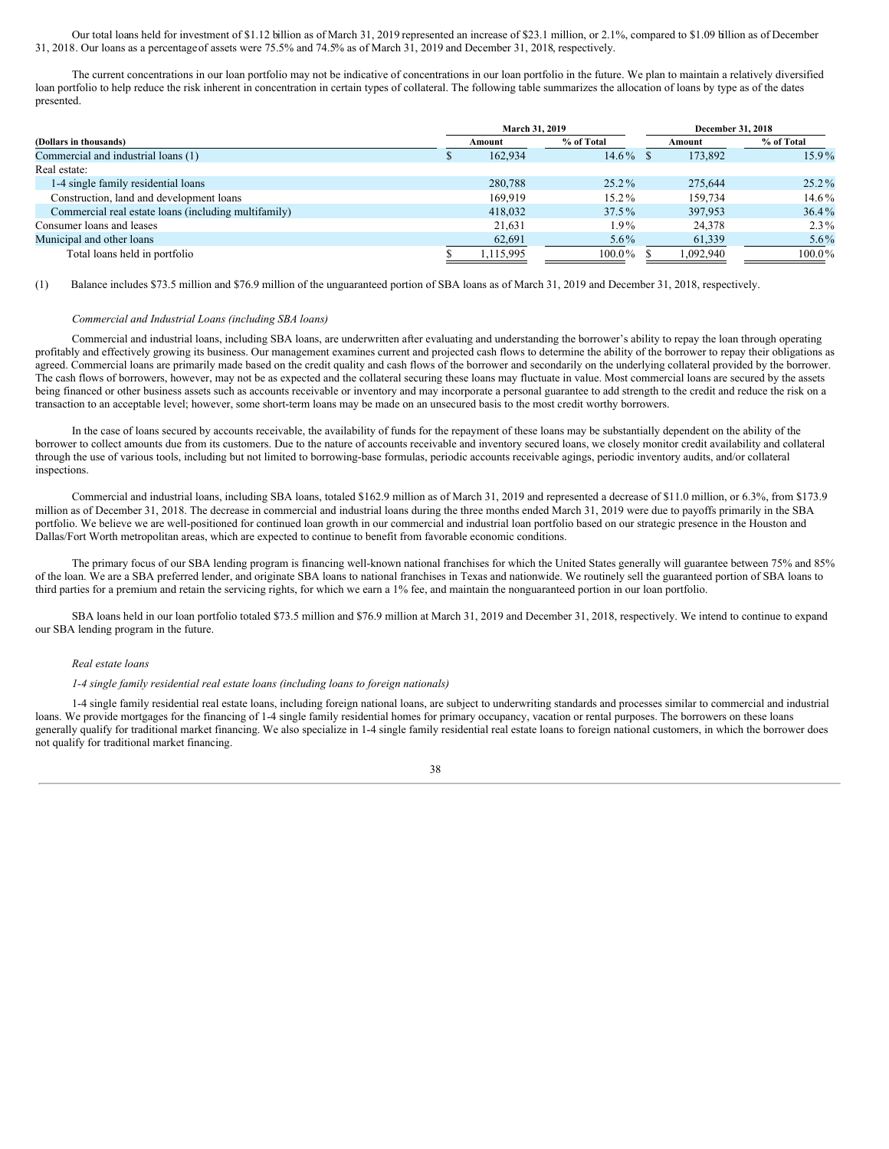Our total loans held for investment of \$1.12 billion as of March 31, 2019 represented an increase of \$23.1 million, or 2.1%, compared to \$1.09 billion as of December 31, 2018. Our loans as a percentageof assets were 75.5% and 74.5% as of March 31, 2019 and December 31, 2018, respectively.

The current concentrations in our loan portfolio may not be indicative of concentrations in our loan portfolio in the future. We plan to maintain a relatively diversified loan portfolio to help reduce the risk inherent in concentration in certain types of collateral. The following table summarizes the allocation of loans by type as of the dates presented.

|                                                      |    | March 31, 2019 |            | December 31, 2018 |           |            |  |
|------------------------------------------------------|----|----------------|------------|-------------------|-----------|------------|--|
| (Dollars in thousands)                               |    | Amount         | % of Total |                   | Amount    | % of Total |  |
| Commercial and industrial loans (1)                  | ٠D | 162.934        | $14.6\%$   |                   | 173,892   | $15.9\%$   |  |
| Real estate:                                         |    |                |            |                   |           |            |  |
| 1-4 single family residential loans                  |    | 280,788        | $25.2\%$   |                   | 275,644   | $25.2\%$   |  |
| Construction, land and development loans             |    | 169.919        | 15.2%      |                   | 159.734   | $14.6\%$   |  |
| Commercial real estate loans (including multifamily) |    | 418,032        | $37.5\%$   |                   | 397,953   | $36.4\%$   |  |
| Consumer loans and leases                            |    | 21,631         | 1.9%       |                   | 24,378    | $2.3\%$    |  |
| Municipal and other loans                            |    | 62,691         | $5.6\%$    |                   | 61,339    | $5.6\%$    |  |
| Total loans held in portfolio                        |    | 1,115,995      | $100.0\%$  |                   | 1.092.940 | $100.0\%$  |  |

(1) Balance includes \$73.5 million and \$76.9 million of the unguaranteed portion of SBA loans as of March 31, 2019 and December 31, 2018, respectively.

## *Commercial and Industrial Loans (including SBA loans)*

Commercial and industrial loans, including SBA loans, are underwritten after evaluating and understanding the borrower's ability to repay the loan through operating profitably and effectively growing its business. Our management examines current and projected cash flows to determine the ability of the borrower to repay their obligations as agreed. Commercial loans are primarily made based on the credit quality and cash flows of the borrower and secondarily on the underlying collateral provided by the borrower. The cash flows of borrowers, however, may not be as expected and the collateral securing these loans may fluctuate in value. Most commercial loans are secured by the assets being financed or other business assets such as accounts receivable or inventory and may incorporate a personal guarantee to add strength to the credit and reduce the risk on a transaction to an acceptable level; however, some short-term loans may be made on an unsecured basis to the most credit worthy borrowers.

In the case of loans secured by accounts receivable, the availability of funds for the repayment of these loans may be substantially dependent on the ability of the borrower to collect amounts due from its customers. Due to the nature of accounts receivable and inventory secured loans, we closely monitor credit availability and collateral through the use of various tools, including but not limited to borrowing-base formulas, periodic accounts receivable agings, periodic inventory audits, and/or collateral inspections.

Commercial and industrial loans, including SBA loans, totaled \$162.9 million as of March 31, 2019 and represented a decrease of \$11.0 million, or 6.3%, from \$173.9 million as of December 31, 2018. The decrease in commercial and industrial loans during the three months ended March 31, 2019 were due to payoffs primarily in the SBA portfolio. We believe we are well-positioned for continued loan growth in our commercial and industrial loan portfolio based on our strategic presence in the Houston and Dallas/Fort Worth metropolitan areas, which are expected to continue to benefit from favorable economic conditions.

The primary focus of our SBA lending program is financing well-known national franchises for which the United States generally will guarantee between 75% and 85% of the loan. We are a SBA preferred lender, and originate SBA loans to national franchises in Texas and nationwide. We routinely sell the guaranteed portion of SBA loans to third parties for a premium and retain the servicing rights, for which we earn a 1% fee, and maintain the nonguaranteed portion in our loan portfolio.

SBA loans held in our loan portfolio totaled \$73.5 million and \$76.9 million at March 31, 2019 and December 31, 2018, respectively. We intend to continue to expand our SBA lending program in the future.

## *Real estate loans*

#### *1-4 single family residential real estate loans (including loans to foreign nationals)*

1-4 single family residential real estate loans, including foreign national loans, are subject to underwriting standards and processes similar to commercial and industrial loans. We provide mortgages for the financing of 1-4 single family residential homes for primary occupancy, vacation or rental purposes. The borrowers on these loans generally qualify for traditional market financing. We also specialize in 1-4 single family residential real estate loans to foreign national customers, in which the borrower does not qualify for traditional market financing.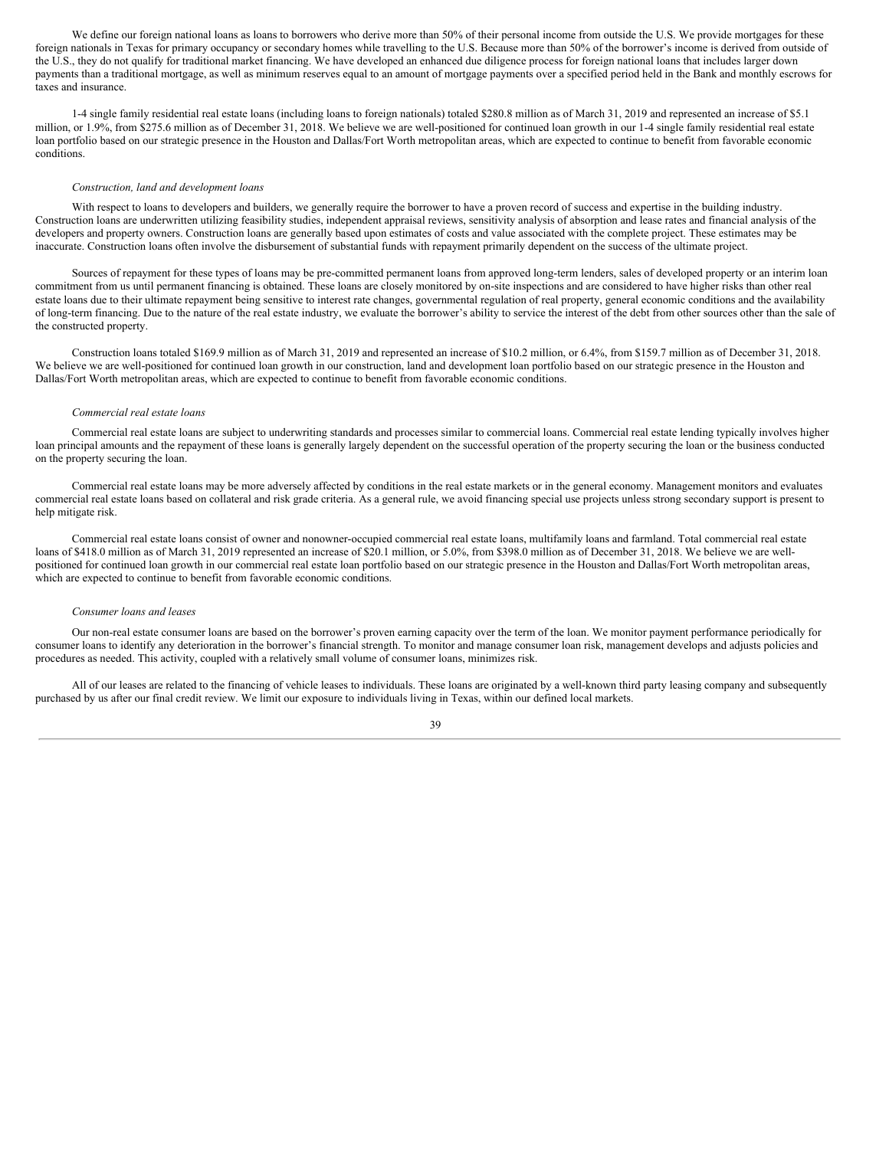We define our foreign national loans as loans to borrowers who derive more than 50% of their personal income from outside the U.S. We provide mortgages for these foreign nationals in Texas for primary occupancy or secondary homes while travelling to the U.S. Because more than 50% of the borrower's income is derived from outside of the U.S., they do not qualify for traditional market financing. We have developed an enhanced due diligence process for foreign national loans that includes larger down payments than a traditional mortgage, as well as minimum reserves equal to an amount of mortgage payments over a specified period held in the Bank and monthly escrows for taxes and insurance.

1-4 single family residential real estate loans (including loans to foreign nationals) totaled \$280.8 million as of March 31, 2019 and represented an increase of \$5.1 million, or  $1.9\%$ , from \$275.6 million as of December 31, 2018. We believe we are well-positioned for continued loan growth in our 1-4 single family residential real estate loan portfolio based on our strategic presence in the Houston and Dallas/Fort Worth metropolitan areas, which are expected to continue to benefit from favorable economic conditions.

#### *Construction, land and development loans*

With respect to loans to developers and builders, we generally require the borrower to have a proven record of success and expertise in the building industry. Construction loans are underwritten utilizing feasibility studies, independent appraisal reviews, sensitivity analysis of absorption and lease rates and financial analysis of the developers and property owners. Construction loans are generally based upon estimates of costs and value associated with the complete project. These estimates may be inaccurate. Construction loans often involve the disbursement of substantial funds with repayment primarily dependent on the success of the ultimate project.

Sources of repayment for these types of loans may be pre-committed permanent loans from approved long-term lenders, sales of developed property or an interim loan commitment from us until permanent financing is obtained. These loans are closely monitored by on-site inspections and are considered to have higher risks than other real estate loans due to their ultimate repayment being sensitive to interest rate changes, governmental regulation of real property, general economic conditions and the availability of long-term financing. Due to the nature of the real estate industry, we evaluate the borrower's ability to service the interest of the debt from other sources other than the sale of the constructed property.

Construction loans totaled \$169.9 million as of March 31, 2019 and represented an increase of \$10.2 million, or 6.4%, from \$159.7 million as of December 31, 2018. We believe we are well-positioned for continued loan growth in our construction, land and development loan portfolio based on our strategic presence in the Houston and Dallas/Fort Worth metropolitan areas, which are expected to continue to benefit from favorable economic conditions.

#### *Commercial real estate loans*

Commercial real estate loans are subject to underwriting standards and processes similar to commercial loans. Commercial real estate lending typically involves higher loan principal amounts and the repayment of these loans is generally largely dependent on the successful operation of the property securing the loan or the business conducted on the property securing the loan.

Commercial real estate loans may be more adversely affected by conditions in the real estate markets or in the general economy. Management monitors and evaluates commercial real estate loans based on collateral and risk grade criteria. As a general rule, we avoid financing special use projects unless strong secondary support is present to help mitigate risk.

Commercial real estate loans consist of owner and nonowner-occupied commercial real estate loans, multifamily loans and farmland. Total commercial real estate loans of \$418.0 million as of March 31, 2019 represented an increase of \$20.1 million, or 5.0%, from \$398.0 million as of December 31, 2018. We believe we are wellpositioned for continued loan growth in our commercial real estate loan portfolio based on our strategic presence in the Houston and Dallas/Fort Worth metropolitan areas, which are expected to continue to benefit from favorable economic conditions.

#### *Consumer loans and leases*

Our non-real estate consumer loans are based on the borrower's proven earning capacity over the term of the loan. We monitor payment performance periodically for consumer loans to identify any deterioration in the borrower's financial strength. To monitor and manage consumer loan risk, management develops and adjusts policies and procedures as needed. This activity, coupled with a relatively small volume of consumer loans, minimizes risk.

All of our leases are related to the financing of vehicle leases to individuals. These loans are originated by a well-known third party leasing company and subsequently purchased by us after our final credit review. We limit our exposure to individuals living in Texas, within our defined local markets.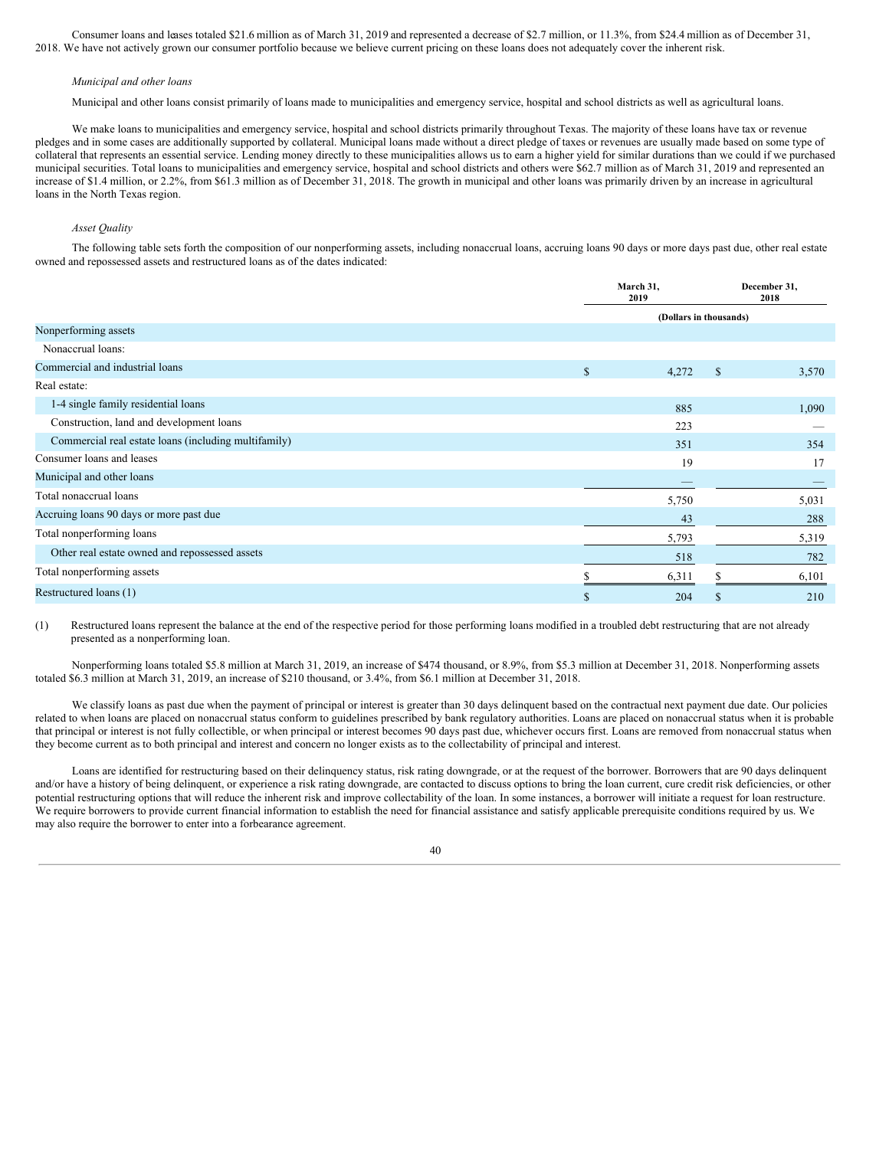Consumer loans and leases totaled \$21.6 million as of March 31, 2019 and represented a decrease of \$2.7 million, or 11.3%, from \$24.4 million as of December 31, 2018. We have not actively grown our consumer portfolio because we believe current pricing on these loans does not adequately cover the inherent risk.

#### *Municipal and other loans*

Municipal and other loans consist primarily of loans made to municipalities and emergency service, hospital and school districts as well as agricultural loans.

We make loans to municipalities and emergency service, hospital and school districts primarily throughout Texas. The majority of these loans have tax or revenue pledges and in some cases are additionally supported by collateral. Municipal loans made without a direct pledge of taxes or revenues are usually made based on some type of collateral that represents an essential service. Lending money directly to these municipalities allows us to earn a higher yield for similar durations than we could if we purchased municipal securities. Total loans to municipalities and emergency service, hospital and school districts and others were \$62.7 million as of March 31, 2019 and represented an increase of \$1.4 million, or 2.2%, from \$61.3 million as of December 31, 2018. The growth in municipal and other loans was primarily driven by an increase in agricultural loans in the North Texas region.

## *Asset Quality*

The following table sets forth the composition of our nonperforming assets, including nonaccrual loans, accruing loans 90 days or more days past due, other real estate owned and repossessed assets and restructured loans as of the dates indicated:

|                                                      |             | March 31,<br>2019 |                                    | December 31,<br>2018 |  |
|------------------------------------------------------|-------------|-------------------|------------------------------------|----------------------|--|
|                                                      |             |                   | (Dollars in thousands)<br>\$<br>\$ |                      |  |
| Nonperforming assets                                 |             |                   |                                    |                      |  |
| Nonaccrual loans:                                    |             |                   |                                    |                      |  |
| Commercial and industrial loans                      | $\mathbf S$ | 4,272             |                                    | 3,570                |  |
| Real estate:                                         |             |                   |                                    |                      |  |
| 1-4 single family residential loans                  |             | 885               |                                    | 1,090                |  |
| Construction, land and development loans             |             | 223               |                                    |                      |  |
| Commercial real estate loans (including multifamily) |             | 351               |                                    | 354                  |  |
| Consumer loans and leases                            |             | 19                |                                    | 17                   |  |
| Municipal and other loans                            |             |                   |                                    |                      |  |
| Total nonaccrual loans                               |             | 5,750             |                                    | 5,031                |  |
| Accruing loans 90 days or more past due              |             | 43                |                                    | 288                  |  |
| Total nonperforming loans                            |             | 5,793             |                                    | 5,319                |  |
| Other real estate owned and repossessed assets       |             | 518               |                                    | 782                  |  |
| Total nonperforming assets                           |             | 6,311             |                                    | 6,101                |  |
| Restructured loans (1)                               | \$          | 204               |                                    | 210                  |  |

(1) Restructured loans represent the balance at the end of the respective period for those performing loans modified in a troubled debt restructuring that are not already presented as a nonperforming loan.

Nonperforming loans totaled \$5.8 million at March 31, 2019, an increase of \$474 thousand, or 8.9%, from \$5.3 million at December 31, 2018. Nonperforming assets totaled \$6.3 million at March 31, 2019, an increase of \$210 thousand, or 3.4%, from \$6.1 million at December 31, 2018.

We classify loans as past due when the payment of principal or interest is greater than 30 days delinquent based on the contractual next payment due date. Our policies related to when loans are placed on nonaccrual status conform to guidelines prescribed by bank regulatory authorities. Loans are placed on nonaccrual status when it is probable that principal or interest is not fully collectible, or when principal or interest becomes 90 days past due, whichever occurs first. Loans are removed from nonaccrual status when they become current as to both principal and interest and concern no longer exists as to the collectability of principal and interest.

Loans are identified for restructuring based on their delinquency status, risk rating downgrade, or at the request of the borrower. Borrowers that are 90 days delinquent and/or have a history of being delinquent, or experience a risk rating downgrade, are contacted to discuss options to bring the loan current, cure credit risk deficiencies, or other potential restructuring options that will reduce the inherent risk and improve collectability of the loan. In some instances, a borrower will initiate a request for loan restructure. We require borrowers to provide current financial information to establish the need for financial assistance and satisfy applicable prerequisite conditions required by us. We may also require the borrower to enter into a forbearance agreement.

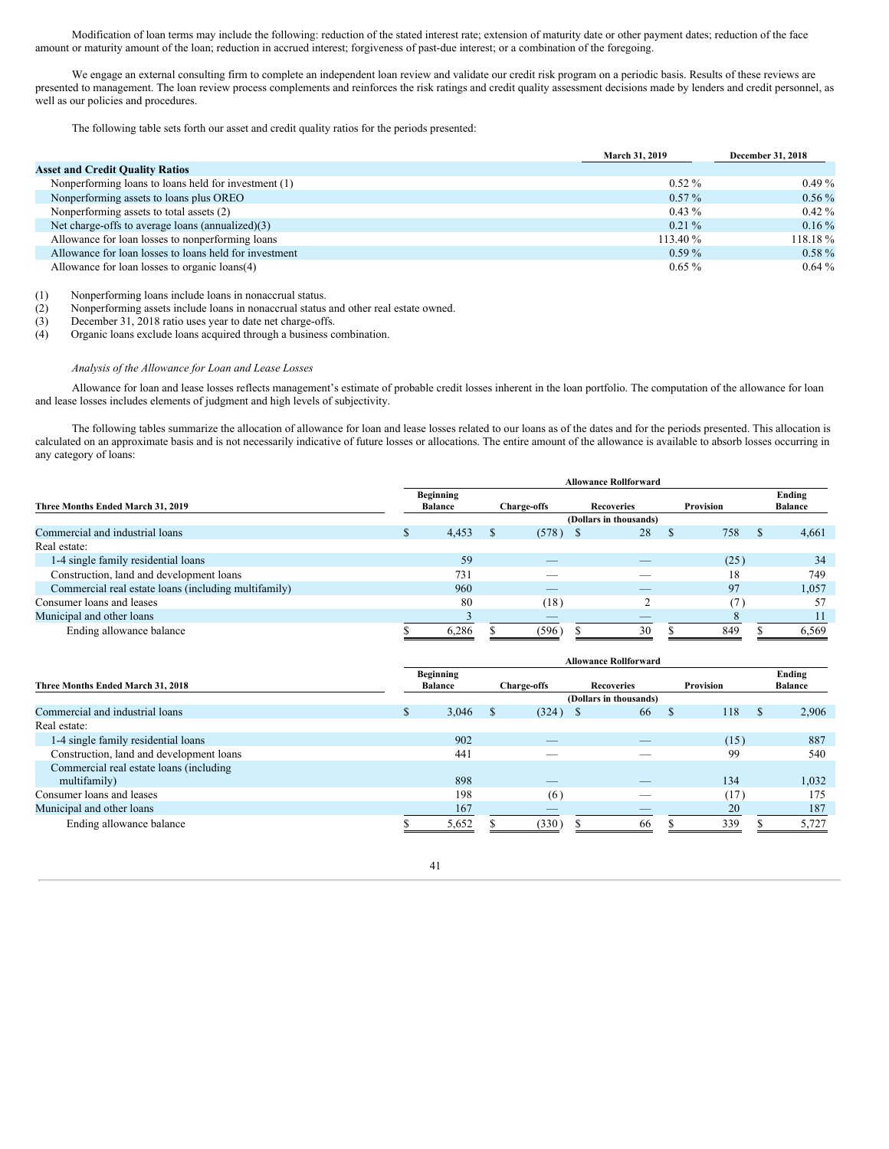Modification of loan terms may include the following: reduction of the stated interest rate; extension of maturity date or other payment dates; reduction of the face amount or maturity amount of the loan; reduction in accrued interest; forgiveness of past-due interest; or a combination of the foregoing.

We engage an external consulting firm to complete an independent loan review and validate our credit risk program on a periodic basis. Results of these reviews are presented to management. The loan review process complements and reinforces the risk ratings and credit quality assessment decisions made by lenders and credit personnel, as well as our policies and procedures.

The following table sets forth our asset and credit quality ratios for the periods presented:

|                                                        | March 31, 2019 | <b>December 31, 2018</b> |
|--------------------------------------------------------|----------------|--------------------------|
| <b>Asset and Credit Quality Ratios</b>                 |                |                          |
| Nonperforming loans to loans held for investment (1)   | $0.52\%$       | $0.49\%$                 |
| Nonperforming assets to loans plus OREO                | $0.57\%$       | $0.56\%$                 |
| Nonperforming assets to total assets (2)               | $0.43\%$       | $0.42\%$                 |
| Net charge-offs to average loans (annualized)(3)       | $0.21\%$       | $0.16\%$                 |
| Allowance for loan losses to nonperforming loans       | 113.40 %       | $118.18\%$               |
| Allowance for loan losses to loans held for investment | $0.59\%$       | $0.58\%$                 |
| Allowance for loan losses to organic loans(4)          | $0.65\%$       | $0.64\%$                 |

(1) Nonperforming loans include loans in nonaccrual status.

(2) Nonperforming assets include loans in nonaccrual status and other real estate owned.

(3) December 31, 2018 ratio uses year to date net charge-offs.

(4) Organic loans exclude loans acquired through a business combination.

## *Analysis of the Allowance for Loan and Lease Losses*

Allowance for loan and lease losses reflects management's estimate of probable credit losses inherent in the loan portfolio. The computation of the allowance for loan and lease losses includes elements of judgment and high levels of subjectivity.

The following tables summarize the allocation of allowance for loan and lease losses related to our loans as of the dates and for the periods presented. This allocation is calculated on an approximate basis and is not necessarily indicative of future losses or allocations. The entire amount of the allowance is available to absorb losses occurring in any category of loans:

|                                                      | <b>Allowance Rollforward</b> |                                    |  |                          |  |                        |   |           |    |                          |
|------------------------------------------------------|------------------------------|------------------------------------|--|--------------------------|--|------------------------|---|-----------|----|--------------------------|
| Three Months Ended March 31, 2019                    |                              | <b>Beginning</b><br><b>Balance</b> |  | <b>Charge-offs</b>       |  | Recoveries             |   | Provision |    | Ending<br><b>Balance</b> |
|                                                      |                              |                                    |  |                          |  | (Dollars in thousands) |   |           |    |                          |
| Commercial and industrial loans                      |                              | 4,453                              |  | $(578)$ \$               |  | 28                     | ъ | 758       | -S | 4,661                    |
| Real estate:                                         |                              |                                    |  |                          |  |                        |   |           |    |                          |
| 1-4 single family residential loans                  |                              | 59                                 |  | $\overline{\phantom{a}}$ |  | _                      |   | (25)      |    | 34                       |
| Construction, land and development loans             |                              | 731                                |  |                          |  |                        |   | 18        |    | 749                      |
| Commercial real estate loans (including multifamily) |                              | 960                                |  | __                       |  |                        |   | 97        |    | 1,057                    |
| Consumer loans and leases                            |                              | 80                                 |  | (18)                     |  |                        |   | 7         |    | 57                       |
| Municipal and other loans                            |                              |                                    |  | $\overline{\phantom{a}}$ |  |                        |   |           |    |                          |
| Ending allowance balance                             |                              | 6,286                              |  | (596)                    |  | 30                     |   | 849       |    | 6,569                    |

|                                          |                                                                                            |                        |  |            | <b>Allowance Rollforward</b> |   |      |   |                          |  |  |  |  |  |  |
|------------------------------------------|--------------------------------------------------------------------------------------------|------------------------|--|------------|------------------------------|---|------|---|--------------------------|--|--|--|--|--|--|
| Three Months Ended March 31, 2018        | <b>Beginning</b><br>Provision<br><b>Balance</b><br><b>Recoveries</b><br><b>Charge-offs</b> |                        |  |            |                              |   |      |   | Ending<br><b>Balance</b> |  |  |  |  |  |  |
|                                          |                                                                                            | (Dollars in thousands) |  |            |                              |   |      |   |                          |  |  |  |  |  |  |
| Commercial and industrial loans          | \$                                                                                         | 3,046                  |  | $(324)$ \$ | 66                           | S | 118  | S | 2,906                    |  |  |  |  |  |  |
| Real estate:                             |                                                                                            |                        |  |            |                              |   |      |   |                          |  |  |  |  |  |  |
| 1-4 single family residential loans      |                                                                                            | 902                    |  | _          | _                            |   | (15) |   | 887                      |  |  |  |  |  |  |
| Construction, land and development loans |                                                                                            | 441                    |  |            |                              |   | 99   |   | 540                      |  |  |  |  |  |  |
| Commercial real estate loans (including) |                                                                                            |                        |  |            |                              |   |      |   |                          |  |  |  |  |  |  |
| multifamily)                             |                                                                                            | 898                    |  |            |                              |   | 134  |   | 1,032                    |  |  |  |  |  |  |
| Consumer loans and leases                |                                                                                            | 198                    |  | (6)        |                              |   | (17) |   | 175                      |  |  |  |  |  |  |
| Municipal and other loans                |                                                                                            | 167                    |  |            |                              |   | 20   |   | 187                      |  |  |  |  |  |  |
| Ending allowance balance                 |                                                                                            | 5,652                  |  | (330)      | 66                           |   | 339  |   | 5,727                    |  |  |  |  |  |  |

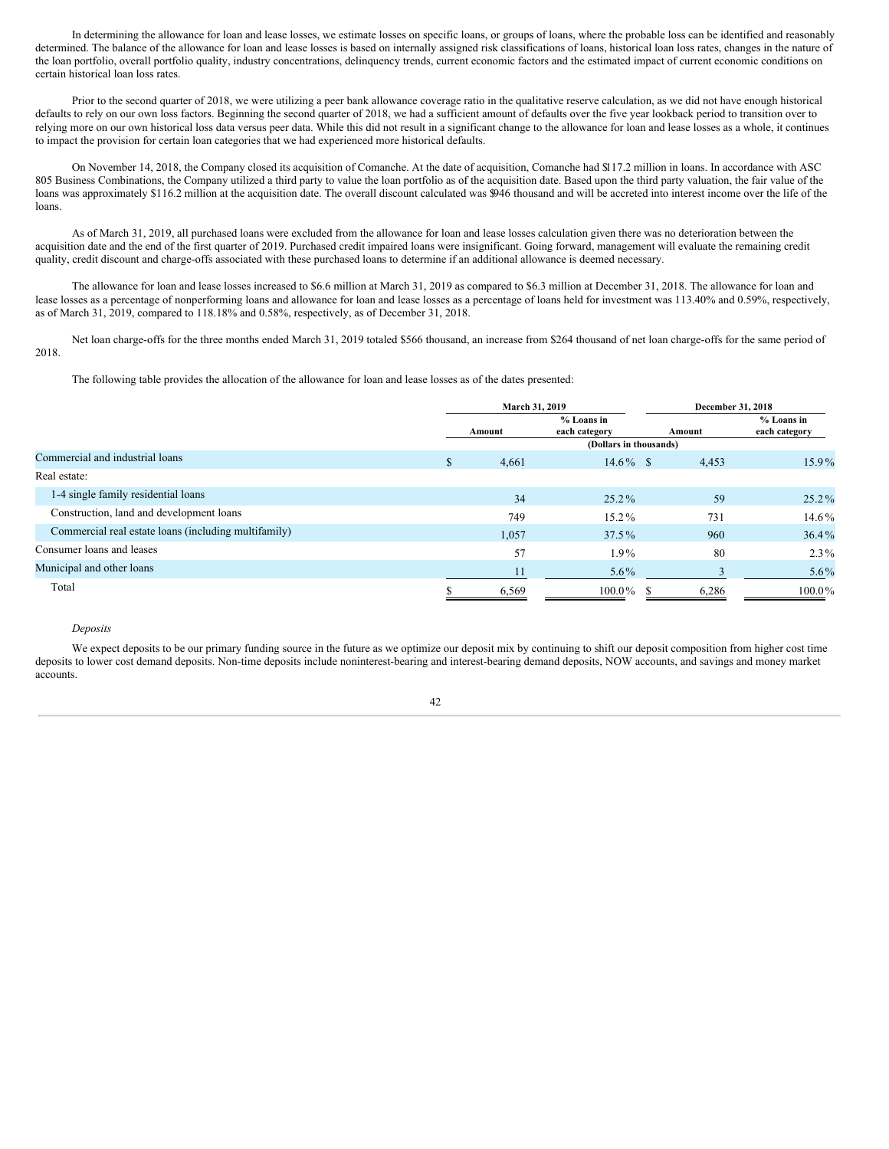In determining the allowance for loan and lease losses, we estimate losses on specific loans, or groups of loans, where the probable loss can be identified and reasonably determined. The balance of the allowance for loan and lease losses is based on internally assigned risk classifications of loans, historical loan loss rates, changes in the nature of the loan portfolio, overall portfolio quality, industry concentrations, delinquency trends, current economic factors and the estimated impact of current economic conditions on certain historical loan loss rates.

Prior to the second quarter of 2018, we were utilizing a peer bank allowance coverage ratio in the qualitative reserve calculation, as we did not have enough historical defaults to rely on our own loss factors. Beginning the second quarter of 2018, we had a sufficient amount of defaults over the five year lookback period to transition over to relying more on our own historical loss data versus peer data. While this did not result in a significant change to the allowance for loan and lease losses as a whole, it continues to impact the provision for certain loan categories that we had experienced more historical defaults.

On November 14, 2018, the Company closed its acquisition of Comanche. At the date of acquisition, Comanche had \$117.2 million in loans. In accordance with ASC 805 Business Combinations, the Company utilized a third party to value the loan portfolio as of the acquisition date. Based upon the third party valuation, the fair value of the loans was approximately \$116.2 million at the acquisition date. The overall discount calculated was \$946 thousand and will be accreted into interest income over the life of the loans.

As of March 31, 2019, all purchased loans were excluded from the allowance for loan and lease losses calculation given there was no deterioration between the acquisition date and the end of the first quarter of 2019. Purchased credit impaired loans were insignificant. Going forward, management will evaluate the remaining credit quality, credit discount and charge-offs associated with these purchased loans to determine if an additional allowance is deemed necessary.

The allowance for loan and lease losses increased to \$6.6 million at March 31, 2019 as compared to \$6.3 million at December 31, 2018. The allowance for loan and lease losses as a percentage of nonperforming loans and allowance for loan and lease losses as a percentage of loans held for investment was 113.40% and 0.59%, respectively, as of March 31, 2019, compared to 118.18% and 0.58%, respectively, as of December 31, 2018.

Net loan charge-offs for the three months ended March 31, 2019 totaled \$566 thousand, an increase from \$264 thousand of net loan charge-offs for the same period of 2018.

The following table provides the allocation of the allowance for loan and lease losses as of the dates presented:

|                                                      |   | March 31, 2019 |                             | December 31, 2018 |                               |  |
|------------------------------------------------------|---|----------------|-----------------------------|-------------------|-------------------------------|--|
|                                                      |   | Amount         | % Loans in<br>each category | Amount            | $%$ Loans in<br>each category |  |
|                                                      |   |                | (Dollars in thousands)      |                   |                               |  |
| Commercial and industrial loans                      | S | 4,661          | $14.6\%$ \$                 | 4,453             | 15.9%                         |  |
| Real estate:                                         |   |                |                             |                   |                               |  |
| 1-4 single family residential loans                  |   | 34             | $25.2\%$                    | 59                | $25.2\%$                      |  |
| Construction, land and development loans             |   | 749            | 15.2%                       | 731               | $14.6\%$                      |  |
| Commercial real estate loans (including multifamily) |   | 1,057          | $37.5\%$                    | 960               | $36.4\%$                      |  |
| Consumer loans and leases                            |   | 57             | $1.9\%$                     | 80                | $2.3\%$                       |  |
| Municipal and other loans                            |   | 11             | $5.6\%$                     |                   | $5.6\%$                       |  |
| Total                                                |   | 6,569          | $100.0\%$                   | 6,286             | $100.0\%$                     |  |

## *Deposits*

We expect deposits to be our primary funding source in the future as we optimize our deposit mix by continuing to shift our deposit composition from higher cost time deposits to lower cost demand deposits. Non-time deposits include noninterest-bearing and interest-bearing demand deposits, NOW accounts, and savings and money market accounts.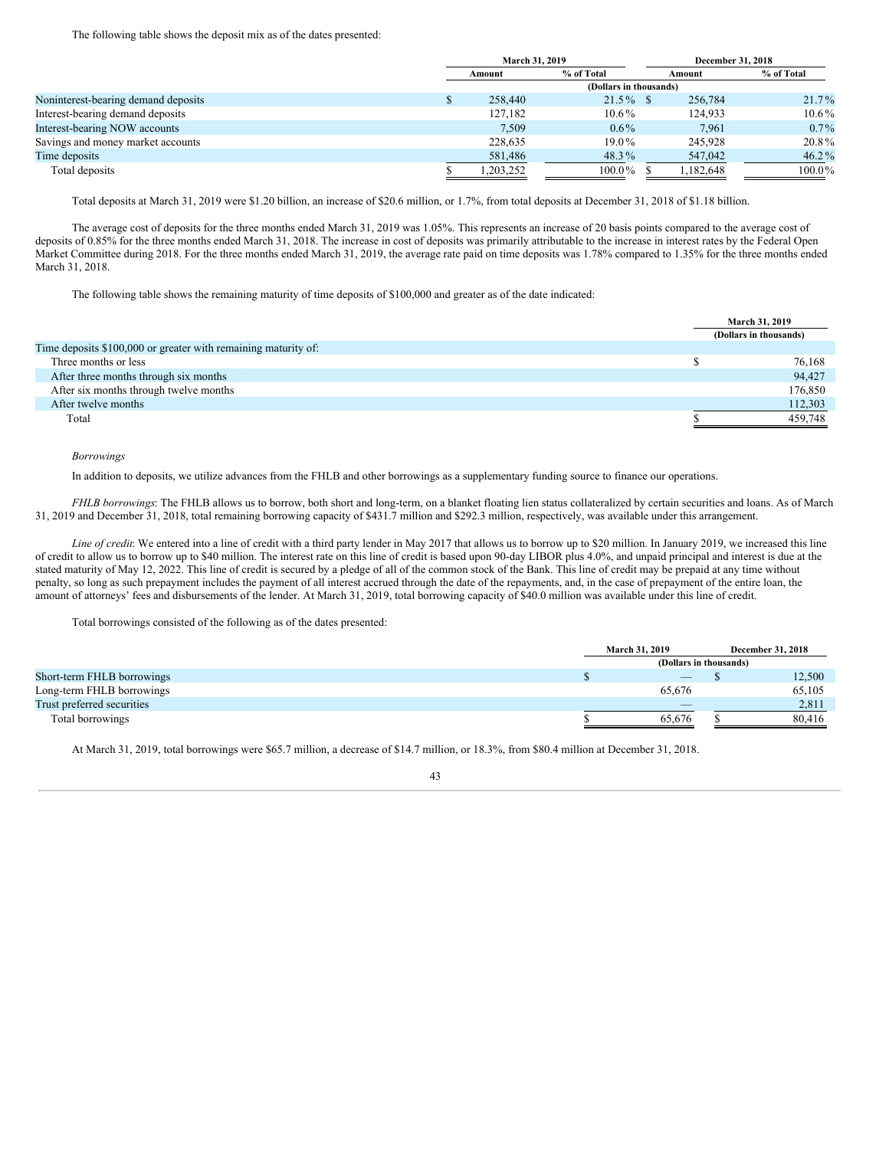#### The following table shows the deposit mix as of the dates presented:

|                                     | March 31, 2019 |                        |  | December 31, 2018 |            |  |
|-------------------------------------|----------------|------------------------|--|-------------------|------------|--|
|                                     | Amount         | % of Total             |  | Amount            | % of Total |  |
|                                     |                | (Dollars in thousands) |  |                   |            |  |
| Noninterest-bearing demand deposits | 258,440        | $21.5\%$ \$            |  | 256,784           | $21.7\%$   |  |
| Interest-bearing demand deposits    | 127,182        | $10.6\%$               |  | 124.933           | $10.6\%$   |  |
| Interest-bearing NOW accounts       | 7.509          | $0.6\%$                |  | 7.961             | $0.7\%$    |  |
| Savings and money market accounts   | 228,635        | $19.0\%$               |  | 245,928           | 20.8%      |  |
| Time deposits                       | 581,486        | 48.3%                  |  | 547,042           | $46.2\%$   |  |
| Total deposits                      | .203.252       | $100.0\%$              |  | 1.182.648         | $100.0\%$  |  |

Total deposits at March 31, 2019 were \$1.20 billion, an increase of \$20.6 million, or 1.7%, from total deposits at December 31, 2018 of \$1.18 billion.

The average cost of deposits for the three months ended March 31, 2019 was 1.05%. This represents an increase of 20 basis points compared to the average cost of deposits of 0.85% for the three months ended March 31, 2018. The increase in cost of deposits was primarily attributable to the increase in interest rates by the Federal Open Market Committee during 2018. For the three months ended March 31, 2019, the average rate paid on time deposits was 1.78% compared to 1.35% for the three months ended March 31, 2018.

The following table shows the remaining maturity of time deposits of \$100,000 and greater as of the date indicated:

|                                                                | March 31, 2019         |
|----------------------------------------------------------------|------------------------|
|                                                                | (Dollars in thousands) |
| Time deposits \$100,000 or greater with remaining maturity of: |                        |
| Three months or less                                           | 76,168                 |
| After three months through six months                          | 94,427                 |
| After six months through twelve months                         | 176,850                |
| After twelve months                                            | 112,303                |
| Total                                                          | 459,748                |

#### *Borrowings*

In addition to deposits, we utilize advances from the FHLB and other borrowings as a supplementary funding source to finance our operations.

*FHLB borrowings*: The FHLB allows us to borrow, both short and long-term, on a blanket floating lien status collateralized by certain securities and loans. As of March 31, 2019 and December 31, 2018, total remaining borrowing capacity of \$431.7 million and \$292.3 million, respectively, was available under this arrangement.

*Line of credit*: We entered into a line of credit with a third party lender in May 2017 that allows us to borrow up to \$20 million. In January 2019, we increased this line of credit to allow us to borrow up to \$40 million. The interest rate on this line of credit is based upon 90-day LIBOR plus 4.0%, and unpaid principal and interest is due at the stated maturity of May 12, 2022. This line of credit is secured by a pledge of all of the common stock of the Bank. This line of credit may be prepaid at any time without penalty, so long as such prepayment includes the payment of all interest accrued through the date of the repayments, and, in the case of prepayment of the entire loan, the amount of attorneys' fees and disbursements of the lender. At March 31, 2019, total borrowing capacity of \$40.0 million was available under this line of credit.

Total borrowings consisted of the following as of the dates presented:

|                            | <b>March 31, 2019</b>    | <b>December 31, 2018</b> |
|----------------------------|--------------------------|--------------------------|
|                            | (Dollars in thousands)   |                          |
| Short-term FHLB borrowings | $\overline{\phantom{a}}$ | 12,500                   |
| Long-term FHLB borrowings  | 65.676                   | 65,105                   |
| Trust preferred securities |                          | 2,811                    |
| Total borrowings           | 65.676                   | 80.416                   |

At March 31, 2019, total borrowings were \$65.7 million, a decrease of \$14.7 million, or 18.3%, from \$80.4 million at December 31, 2018.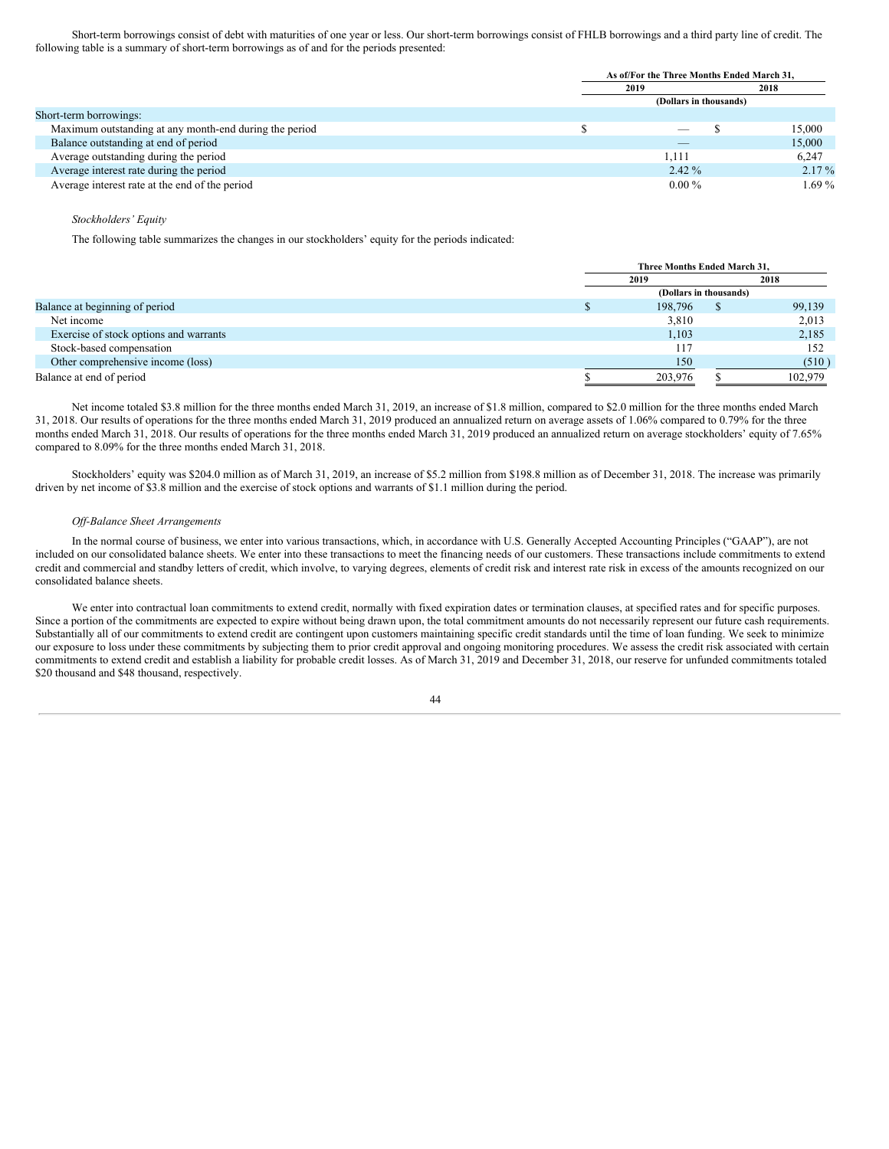Short-term borrowings consist of debt with maturities of one year or less. Our short-term borrowings consist of FHLB borrowings and a third party line of credit. The following table is a summary of short-term borrowings as of and for the periods presented:

|                                                        |      | As of/For the Three Months Ended March 31, |          |  |  |
|--------------------------------------------------------|------|--------------------------------------------|----------|--|--|
|                                                        | 2019 |                                            | 2018     |  |  |
|                                                        |      | (Dollars in thousands)                     |          |  |  |
| Short-term borrowings:                                 |      |                                            |          |  |  |
| Maximum outstanding at any month-end during the period |      | $-$                                        | 15,000   |  |  |
| Balance outstanding at end of period                   |      | _                                          | 15,000   |  |  |
| Average outstanding during the period                  |      | 1.111                                      | 6,247    |  |  |
| Average interest rate during the period                |      | $2.42\%$                                   | $2.17\%$ |  |  |
| Average interest rate at the end of the period         |      | $0.00\%$                                   | $1.69\%$ |  |  |

#### *Stockholders' Equity*

The following table summarizes the changes in our stockholders' equity for the periods indicated:

|                                        | Three Months Ended March 31. |  |         |
|----------------------------------------|------------------------------|--|---------|
|                                        | 2018<br>2019                 |  |         |
|                                        | (Dollars in thousands)       |  |         |
| Balance at beginning of period         | 198,796                      |  | 99,139  |
| Net income                             | 3,810                        |  | 2,013   |
| Exercise of stock options and warrants | 1.103                        |  | 2,185   |
| Stock-based compensation               | 117                          |  | 152     |
| Other comprehensive income (loss)      | 150                          |  | (510)   |
| Balance at end of period               | 203,976                      |  | 102.979 |

Net income totaled \$3.8 million for the three months ended March 31, 2019, an increase of \$1.8 million, compared to \$2.0 million for the three months ended March 31, 2018. Our results of operations for the three months ended March 31, 2019 produced an annualized return on average assets of 1.06% compared to 0.79% for the three months ended March 31, 2018. Our results of operations for the three months ended March 31, 2019 produced an annualized return on average stockholders' equity of 7.65% compared to 8.09% for the three months ended March 31, 2018.

Stockholders' equity was \$204.0 million as of March 31, 2019, an increase of \$5.2 million from \$198.8 million as of December 31, 2018. The increase was primarily driven by net income of \$3.8 million and the exercise of stock options and warrants of \$1.1 million during the period.

#### *Of -Balance Sheet Arrangements*

In the normal course of business, we enter into various transactions, which, in accordance with U.S. Generally Accepted Accounting Principles ("GAAP"), are not included on our consolidated balance sheets. We enter into these transactions to meet the financing needs of our customers. These transactions include commitments to extend credit and commercial and standby letters of credit, which involve, to varying degrees, elements of credit risk and interest rate risk in excess of the amounts recognized on our consolidated balance sheets.

We enter into contractual loan commitments to extend credit, normally with fixed expiration dates or termination clauses, at specified rates and for specific purposes. Since a portion of the commitments are expected to expire without being drawn upon, the total commitment amounts do not necessarily represent our future cash requirements. Substantially all of our commitments to extend credit are contingent upon customers maintaining specific credit standards until the time of loan funding. We seek to minimize our exposure to loss under these commitments by subjecting them to prior credit approval and ongoing monitoring procedures. We assess the credit risk associated with certain commitments to extend credit and establish a liability for probable credit losses. As of March 31, 2019 and December 31, 2018, our reserve for unfunded commitments totaled \$20 thousand and \$48 thousand, respectively.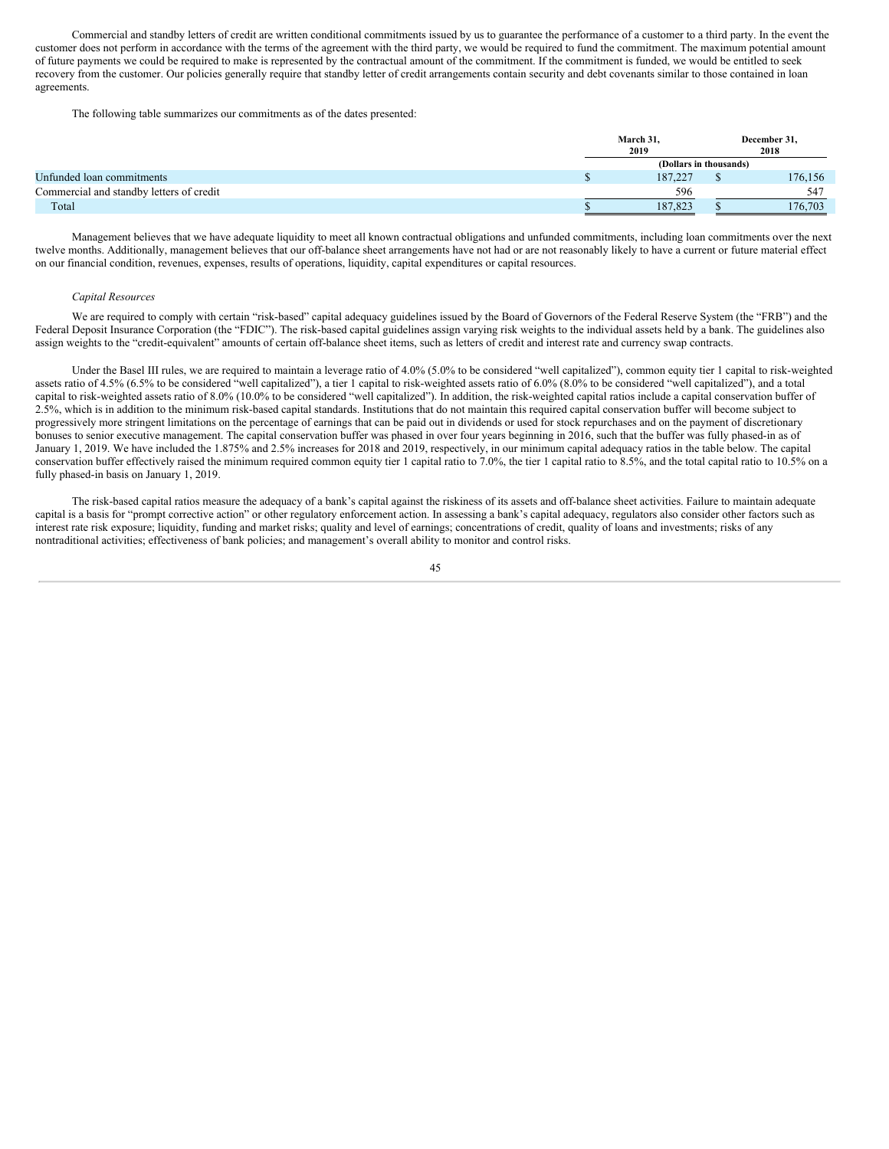Commercial and standby letters of credit are written conditional commitments issued by us to guarantee the performance of a customer to a third party. In the event the customer does not perform in accordance with the terms of the agreement with the third party, we would be required to fund the commitment. The maximum potential amount of future payments we could be required to make is represented by the contractual amount of the commitment. If the commitment is funded, we would be entitled to seek recovery from the customer. Our policies generally require that standby letter of credit arrangements contain security and debt covenants similar to those contained in loan agreements.

The following table summarizes our commitments as of the dates presented:

|                                          | March 31,              |  | December 31, |  |
|------------------------------------------|------------------------|--|--------------|--|
|                                          | 2019                   |  | 2018         |  |
|                                          | (Dollars in thousands) |  |              |  |
| Unfunded loan commitments                | 187.227                |  | 176,156      |  |
| Commercial and standby letters of credit | 596                    |  | 547          |  |
| Total                                    | 187.823                |  | 176,703      |  |

Management believes that we have adequate liquidity to meet all known contractual obligations and unfunded commitments, including loan commitments over the next twelve months. Additionally, management believes that our off-balance sheet arrangements have not had or are not reasonably likely to have a current or future material effect on our financial condition, revenues, expenses, results of operations, liquidity, capital expenditures or capital resources.

#### *Capital Resources*

We are required to comply with certain "risk-based" capital adequacy guidelines issued by the Board of Governors of the Federal Reserve System (the "FRB") and the Federal Deposit Insurance Corporation (the "FDIC"). The risk-based capital guidelines assign varying risk weights to the individual assets held by a bank. The guidelines also assign weights to the "credit-equivalent" amounts of certain off-balance sheet items, such as letters of credit and interest rate and currency swap contracts.

Under the Basel III rules, we are required to maintain a leverage ratio of 4.0% (5.0% to be considered "well capitalized"), common equity tier 1 capital to risk-weighted assets ratio of 4.5% (6.5% to be considered "well capitalized"), a tier 1 capital to risk-weighted assets ratio of 6.0% (8.0% to be considered "well capitalized"), and a total capital to risk-weighted assets ratio of 8.0% (10.0% to be considered "well capitalized"). In addition, the risk-weighted capital ratios include a capital conservation buffer of 2.5%, which is in addition to the minimum risk-based capital standards. Institutions that do not maintain this required capital conservation buffer will become subject to progressively more stringent limitations on the percentage of earnings that can be paid out in dividends or used for stock repurchases and on the payment of discretionary bonuses to senior executive management. The capital conservation buffer was phased in over four years beginning in 2016, such that the buffer was fully phased-in as of January 1, 2019. We have included the 1.875% and 2.5% increases for 2018 and 2019, respectively, in our minimum capital adequacy ratios in the table below. The capital conservation buffer effectively raised the minimum required common equity tier 1 capital ratio to 7.0%, the tier 1 capital ratio to 8.5%, and the total capital ratio to 10.5% on a fully phased-in basis on January 1, 2019.

The risk-based capital ratios measure the adequacy of a bank's capital against the riskiness of its assets and off-balance sheet activities. Failure to maintain adequate capital is a basis for "prompt corrective action" or other regulatory enforcement action. In assessing a bank's capital adequacy, regulators also consider other factors such as interest rate risk exposure; liquidity, funding and market risks; quality and level of earnings; concentrations of credit, quality of loans and investments; risks of any nontraditional activities; effectiveness of bank policies; and management's overall ability to monitor and control risks.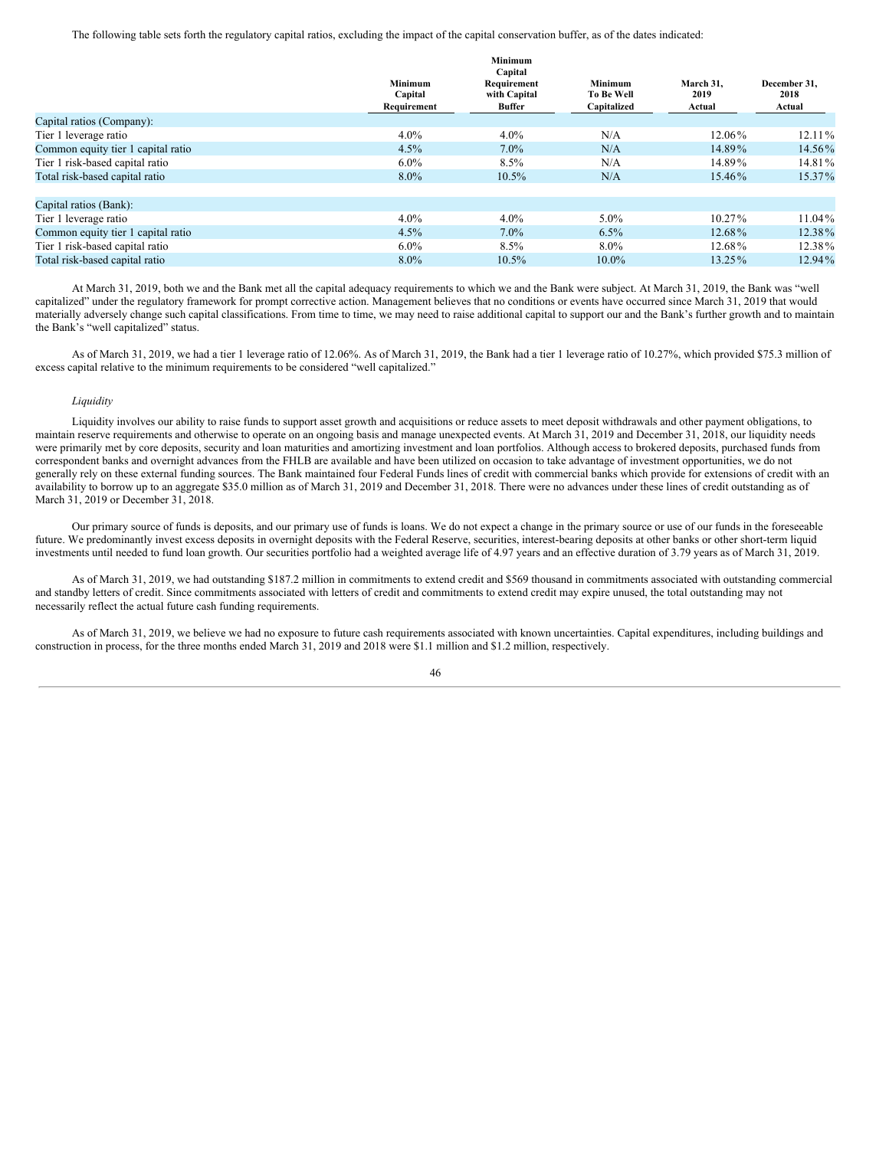The following table sets forth the regulatory capital ratios, excluding the impact of the capital conservation buffer, as of the dates indicated:

|                                    |                                          | Minimum<br>Capital                           |                                      |                             |                                |
|------------------------------------|------------------------------------------|----------------------------------------------|--------------------------------------|-----------------------------|--------------------------------|
|                                    | <b>Minimum</b><br>Capital<br>Requirement | Requirement<br>with Capital<br><b>Buffer</b> | Minimum<br>To Be Well<br>Capitalized | March 31,<br>2019<br>Actual | December 31,<br>2018<br>Actual |
| Capital ratios (Company):          |                                          |                                              |                                      |                             |                                |
| Tier 1 leverage ratio              | 4.0%                                     | $4.0\%$                                      | N/A                                  | 12.06%                      | $12.11\%$                      |
| Common equity tier 1 capital ratio | 4.5%                                     | $7.0\%$                                      | N/A                                  | 14.89%                      | 14.56%                         |
| Tier 1 risk-based capital ratio    | $6.0\%$                                  | 8.5%                                         | N/A                                  | 14.89%                      | 14.81%                         |
| Total risk-based capital ratio     | 8.0%                                     | 10.5%                                        | N/A                                  | 15.46%                      | 15.37%                         |
| Capital ratios (Bank):             |                                          |                                              |                                      |                             |                                |
| Tier 1 leverage ratio              | $4.0\%$                                  | $4.0\%$                                      | $5.0\%$                              | $10.27\%$                   | $11.04\%$                      |
| Common equity tier 1 capital ratio | 4.5%                                     | $7.0\%$                                      | 6.5%                                 | 12.68%                      | 12.38%                         |
| Tier 1 risk-based capital ratio    | $6.0\%$                                  | 8.5%                                         | $8.0\%$                              | 12.68%                      | 12.38%                         |
| Total risk-based capital ratio     | $8.0\%$                                  | $10.5\%$                                     | $10.0\%$                             | 13.25%                      | 12.94%                         |

At March 31, 2019, both we and the Bank met all the capital adequacy requirements to which we and the Bank were subject. At March 31, 2019, the Bank was "well capitalized" under the regulatory framework for prompt corrective action. Management believes that no conditions or events have occurred since March 31, 2019 that would materially adversely change such capital classifications. From time to time, we may need to raise additional capital to support our and the Bank's further growth and to maintain the Bank's "well capitalized" status.

As of March 31, 2019, we had a tier 1 leverage ratio of 12.06%. As of March 31, 2019, the Bank had a tier 1 leverage ratio of 10.27%, which provided \$75.3 million of excess capital relative to the minimum requirements to be considered "well capitalized."

#### *Liquidity*

Liquidity involves our ability to raise funds to support asset growth and acquisitions or reduce assets to meet deposit withdrawals and other payment obligations, to maintain reserve requirements and otherwise to operate on an ongoing basis and manage unexpected events. At March 31, 2019 and December 31, 2018, our liquidity needs were primarily met by core deposits, security and loan maturities and amortizing investment and loan portfolios. Although access to brokered deposits, purchased funds from correspondent banks and overnight advances from the FHLB are available and have been utilized on occasion to take advantage of investment opportunities, we do not generally rely on these external funding sources. The Bank maintained four Federal Funds lines of credit with commercial banks which provide for extensions of credit with an availability to borrow up to an aggregate \$35.0 million as of March 31, 2019 and December 31, 2018. There were no advances under these lines of credit outstanding as of March 31, 2019 or December 31, 2018.

Our primary source of funds is deposits, and our primary use of funds is loans. We do not expect a change in the primary source or use of our funds in the foreseeable future. We predominantly invest excess deposits in overnight deposits with the Federal Reserve, securities, interest-bearing deposits at other banks or other short-term liquid investments until needed to fund loan growth. Our securities portfolio had a weighted average life of 4.97 years and an effective duration of 3.79 years as of March 31, 2019.

As of March 31, 2019, we had outstanding \$187.2 million in commitments to extend credit and \$569 thousand in commitments associated with outstanding commercial and standby letters of credit. Since commitments associated with letters of credit and commitments to extend credit may expire unused, the total outstanding may not necessarily reflect the actual future cash funding requirements.

As of March 31, 2019, we believe we had no exposure to future cash requirements associated with known uncertainties. Capital expenditures, including buildings and construction in process, for the three months ended March 31, 2019 and 2018 were \$1.1 million and \$1.2 million, respectively.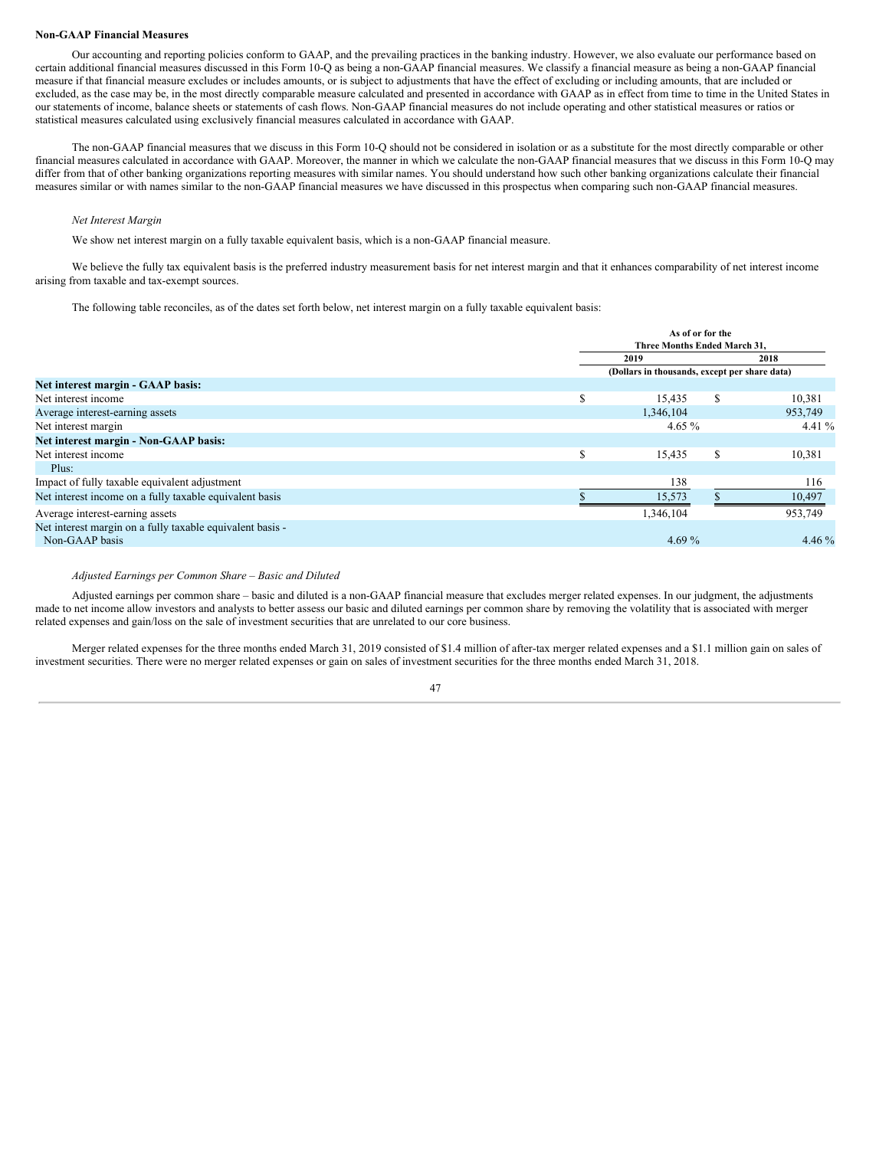#### **Non-GAAP Financial Measures**

Our accounting and reporting policies conform to GAAP, and the prevailing practices in the banking industry. However, we also evaluate our performance based on certain additional financial measures discussed in this Form 10-Q as being a non-GAAP financial measures. We classify a financial measure as being a non-GAAP financial measure if that financial measure excludes or includes amounts, or is subject to adjustments that have the effect of excluding or including amounts, that are included or excluded, as the case may be, in the most directly comparable measure calculated and presented in accordance with GAAP as in effect from time to time in the United States in our statements of income, balance sheets or statements of cash flows. Non-GAAP financial measures do not include operating and other statistical measures or ratios or statistical measures calculated using exclusively financial measures calculated in accordance with GAAP.

The non-GAAP financial measures that we discuss in this Form 10-Q should not be considered in isolation or as a substitute for the most directly comparable or other financial measures calculated in accordance with GAAP. Moreover, the manner in which we calculate the non-GAAP financial measures that we discuss in this Form 10-Q may differ from that of other banking organizations reporting measures with similar names. You should understand how such other banking organizations calculate their financial measures similar or with names similar to the non-GAAP financial measures we have discussed in this prospectus when comparing such non-GAAP financial measures.

#### *Net Interest Margin*

We show net interest margin on a fully taxable equivalent basis, which is a non-GAAP financial measure.

We believe the fully tax equivalent basis is the preferred industry measurement basis for net interest margin and that it enhances comparability of net interest income arising from taxable and tax-exempt sources.

The following table reconciles, as of the dates set forth below, net interest margin on a fully taxable equivalent basis:

|                                                           |   | As of or for the<br>Three Months Ended March 31. |   |          |
|-----------------------------------------------------------|---|--------------------------------------------------|---|----------|
|                                                           |   | 2019<br>2018                                     |   |          |
|                                                           |   | (Dollars in thousands, except per share data)    |   |          |
| Net interest margin - GAAP basis:                         |   |                                                  |   |          |
| Net interest income                                       | S | 15,435                                           | S | 10,381   |
| Average interest-earning assets                           |   | 1,346,104                                        |   | 953,749  |
| Net interest margin                                       |   | 4.65 $%$                                         |   | 4.41 $%$ |
| Net interest margin - Non-GAAP basis:                     |   |                                                  |   |          |
| Net interest income                                       | S | 15,435                                           | S | 10,381   |
| Plus:                                                     |   |                                                  |   |          |
| Impact of fully taxable equivalent adjustment             |   | 138                                              |   | 116      |
| Net interest income on a fully taxable equivalent basis   |   | 15,573                                           |   | 10,497   |
| Average interest-earning assets                           |   | 1,346,104                                        |   | 953,749  |
| Net interest margin on a fully taxable equivalent basis - |   |                                                  |   |          |
| Non-GAAP basis                                            |   | 4.69 $%$                                         |   | 4.46 $%$ |

*Adjusted Earnings per Common Share – Basic and Diluted*

Adjusted earnings per common share – basic and diluted is a non-GAAP financial measure that excludes merger related expenses. In our judgment, the adjustments made to net income allow investors and analysts to better assess our basic and diluted earnings per common share by removing the volatility that is associated with merger related expenses and gain/loss on the sale of investment securities that are unrelated to our core business.

Merger related expenses for the three months ended March 31, 2019 consisted of \$1.4 million of after-tax merger related expenses and a \$1.1 million gain on sales of investment securities. There were no merger related expenses or gain on sales of investment securities for the three months ended March 31, 2018.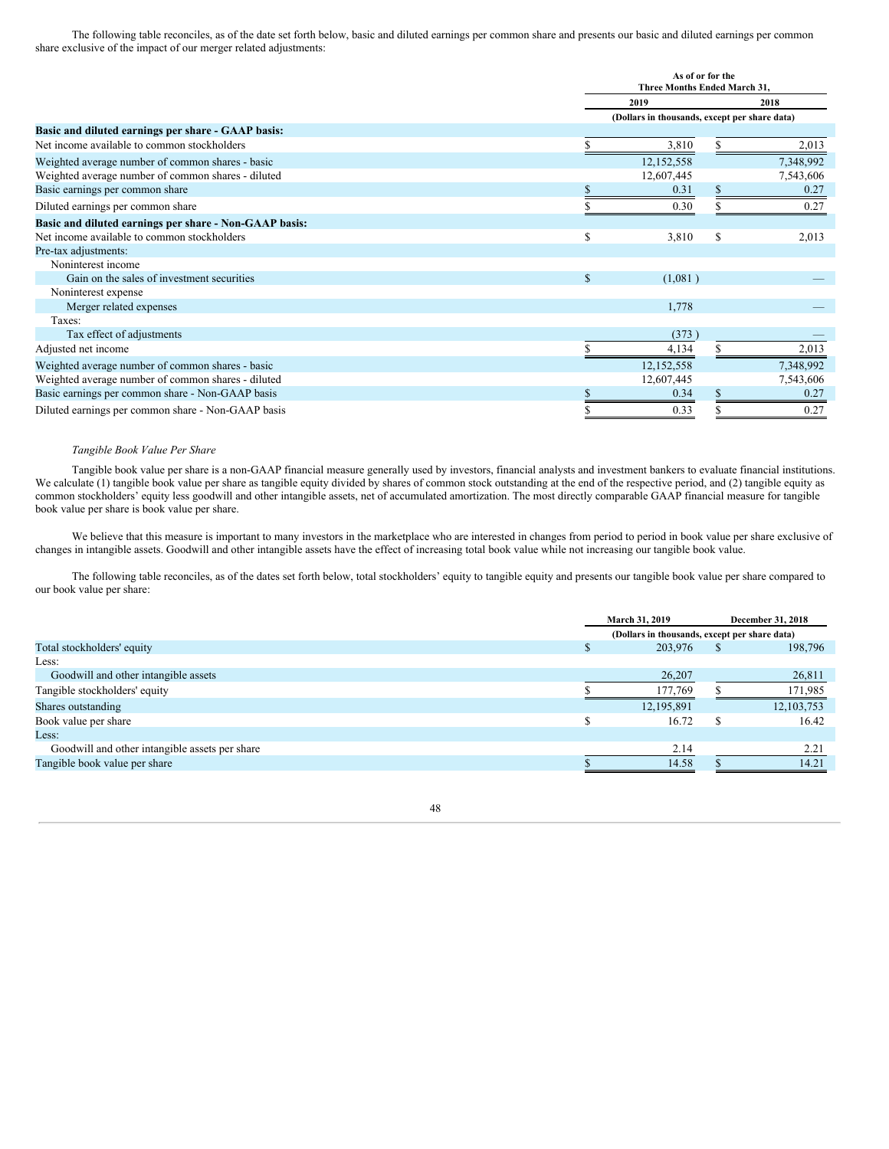The following table reconciles, as of the date set forth below, basic and diluted earnings per common share and presents our basic and diluted earnings per common share exclusive of the impact of our merger related adjustments:

|                                                        |               | As of or for the<br>Three Months Ended March 31, |     |           |
|--------------------------------------------------------|---------------|--------------------------------------------------|-----|-----------|
|                                                        |               | 2019                                             |     | 2018      |
|                                                        |               | (Dollars in thousands, except per share data)    |     |           |
| Basic and diluted earnings per share - GAAP basis:     |               |                                                  |     |           |
| Net income available to common stockholders            |               | 3,810                                            |     | 2,013     |
| Weighted average number of common shares - basic       |               | 12,152,558                                       |     | 7,348,992 |
| Weighted average number of common shares - diluted     |               | 12,607,445                                       |     | 7,543,606 |
| Basic earnings per common share                        |               | 0.31                                             |     | 0.27      |
| Diluted earnings per common share                      |               | 0.30                                             |     | 0.27      |
| Basic and diluted earnings per share - Non-GAAP basis: |               |                                                  |     |           |
| Net income available to common stockholders            | <sup>\$</sup> | 3,810                                            | \$. | 2,013     |
| Pre-tax adjustments:                                   |               |                                                  |     |           |
| Noninterest income                                     |               |                                                  |     |           |
| Gain on the sales of investment securities             | <sup>\$</sup> | (1,081)                                          |     |           |
| Noninterest expense                                    |               |                                                  |     |           |
| Merger related expenses                                |               | 1,778                                            |     |           |
| Taxes:                                                 |               |                                                  |     |           |
| Tax effect of adjustments                              |               | (373)                                            |     |           |
| Adjusted net income                                    |               | 4,134                                            |     | 2,013     |
| Weighted average number of common shares - basic       |               | 12,152,558                                       |     | 7,348,992 |
| Weighted average number of common shares - diluted     |               | 12,607,445                                       |     | 7,543,606 |
| Basic earnings per common share - Non-GAAP basis       |               | 0.34                                             |     | 0.27      |
| Diluted earnings per common share - Non-GAAP basis     |               | 0.33                                             |     | 0.27      |

#### *Tangible Book Value Per Share*

Tangible book value per share is a non-GAAP financial measure generally used by investors, financial analysts and investment bankers to evaluate financial institutions. We calculate (1) tangible book value per share as tangible equity divided by shares of common stock outstanding at the end of the respective period, and (2) tangible equity as common stockholders' equity less goodwill and other intangible assets, net of accumulated amortization. The most directly comparable GAAP financial measure for tangible book value per share is book value per share.

We believe that this measure is important to many investors in the marketplace who are interested in changes from period to period in book value per share exclusive of changes in intangible assets. Goodwill and other intangible assets have the effect of increasing total book value while not increasing our tangible book value.

The following table reconciles, as of the dates set forth below, total stockholders' equity to tangible equity and presents our tangible book value per share compared to our book value per share:

|                                                | March 31, 2019                                |  | December 31, 2018 |
|------------------------------------------------|-----------------------------------------------|--|-------------------|
|                                                | (Dollars in thousands, except per share data) |  |                   |
| Total stockholders' equity                     | 203,976                                       |  | 198,796           |
| Less:                                          |                                               |  |                   |
| Goodwill and other intangible assets           | 26,207                                        |  | 26,811            |
| Tangible stockholders' equity                  | 177,769                                       |  | 171,985           |
| Shares outstanding                             | 12,195,891                                    |  | 12, 103, 753      |
| Book value per share                           | 16.72                                         |  | 16.42             |
| Less:                                          |                                               |  |                   |
| Goodwill and other intangible assets per share | 2.14                                          |  | 2.21              |
| Tangible book value per share                  | 14.58                                         |  | 14.21             |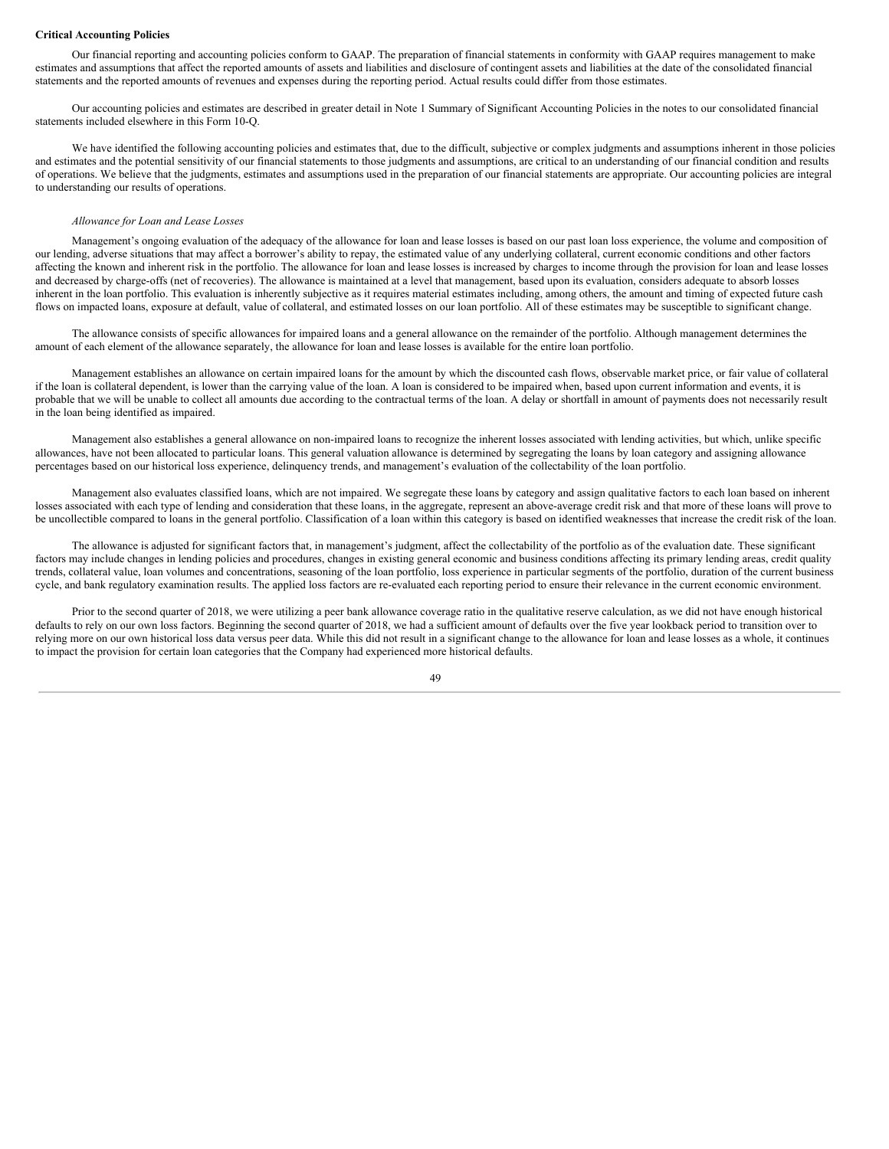#### **Critical Accounting Policies**

Our financial reporting and accounting policies conform to GAAP. The preparation of financial statements in conformity with GAAP requires management to make estimates and assumptions that affect the reported amounts of assets and liabilities and disclosure of contingent assets and liabilities at the date of the consolidated financial statements and the reported amounts of revenues and expenses during the reporting period. Actual results could differ from those estimates.

Our accounting policies and estimates are described in greater detail in Note 1 Summary of Significant Accounting Policies in the notes to our consolidated financial statements included elsewhere in this Form 10-Q.

We have identified the following accounting policies and estimates that, due to the difficult, subjective or complex judgments and assumptions inherent in those policies and estimates and the potential sensitivity of our financial statements to those judgments and assumptions, are critical to an understanding of our financial condition and results of operations. We believe that the judgments, estimates and assumptions used in the preparation of our financial statements are appropriate. Our accounting policies are integral to understanding our results of operations.

## *Allowance for Loan and Lease Losses*

Management's ongoing evaluation of the adequacy of the allowance for loan and lease losses is based on our past loan loss experience, the volume and composition of our lending, adverse situations that may affect a borrower's ability to repay, the estimated value of any underlying collateral, current economic conditions and other factors affecting the known and inherent risk in the portfolio. The allowance for loan and lease losses is increased by charges to income through the provision for loan and lease losses and decreased by charge-offs (net of recoveries). The allowance is maintained at a level that management, based upon its evaluation, considers adequate to absorb losses inherent in the loan portfolio. This evaluation is inherently subjective as it requires material estimates including, among others, the amount and timing of expected future cash flows on impacted loans, exposure at default, value of collateral, and estimated losses on our loan portfolio. All of these estimates may be susceptible to significant change.

The allowance consists of specific allowances for impaired loans and a general allowance on the remainder of the portfolio. Although management determines the amount of each element of the allowance separately, the allowance for loan and lease losses is available for the entire loan portfolio.

Management establishes an allowance on certain impaired loans for the amount by which the discounted cash flows, observable market price, or fair value of collateral if the loan is collateral dependent, is lower than the carrying value of the loan. A loan is considered to be impaired when, based upon current information and events, it is probable that we will be unable to collect all amounts due according to the contractual terms of the loan. A delay or shortfall in amount of payments does not necessarily result in the loan being identified as impaired.

Management also establishes a general allowance on non-impaired loans to recognize the inherent losses associated with lending activities, but which, unlike specific allowances, have not been allocated to particular loans. This general valuation allowance is determined by segregating the loans by loan category and assigning allowance percentages based on our historical loss experience, delinquency trends, and management's evaluation of the collectability of the loan portfolio.

Management also evaluates classified loans, which are not impaired. We segregate these loans by category and assign qualitative factors to each loan based on inherent losses associated with each type of lending and consideration that these loans, in the aggregate, represent an above-average credit risk and that more of these loans will prove to be uncollectible compared to loans in the general portfolio. Classification of a loan within this category is based on identified weaknesses that increase the credit risk of the loan.

The allowance is adjusted for significant factors that, in management's judgment, affect the collectability of the portfolio as of the evaluation date. These significant factors may include changes in lending policies and procedures, changes in existing general economic and business conditions affecting its primary lending areas, credit quality trends, collateral value, loan volumes and concentrations, seasoning of the loan portfolio, loss experience in particular segments of the portfolio, duration of the current business cycle, and bank regulatory examination results. The applied loss factors are re-evaluated each reporting period to ensure their relevance in the current economic environment.

Prior to the second quarter of 2018, we were utilizing a peer bank allowance coverage ratio in the qualitative reserve calculation, as we did not have enough historical defaults to rely on our own loss factors. Beginning the second quarter of 2018, we had a sufficient amount of defaults over the five year lookback period to transition over to relying more on our own historical loss data versus peer data. While this did not result in a significant change to the allowance for loan and lease losses as a whole, it continues to impact the provision for certain loan categories that the Company had experienced more historical defaults.

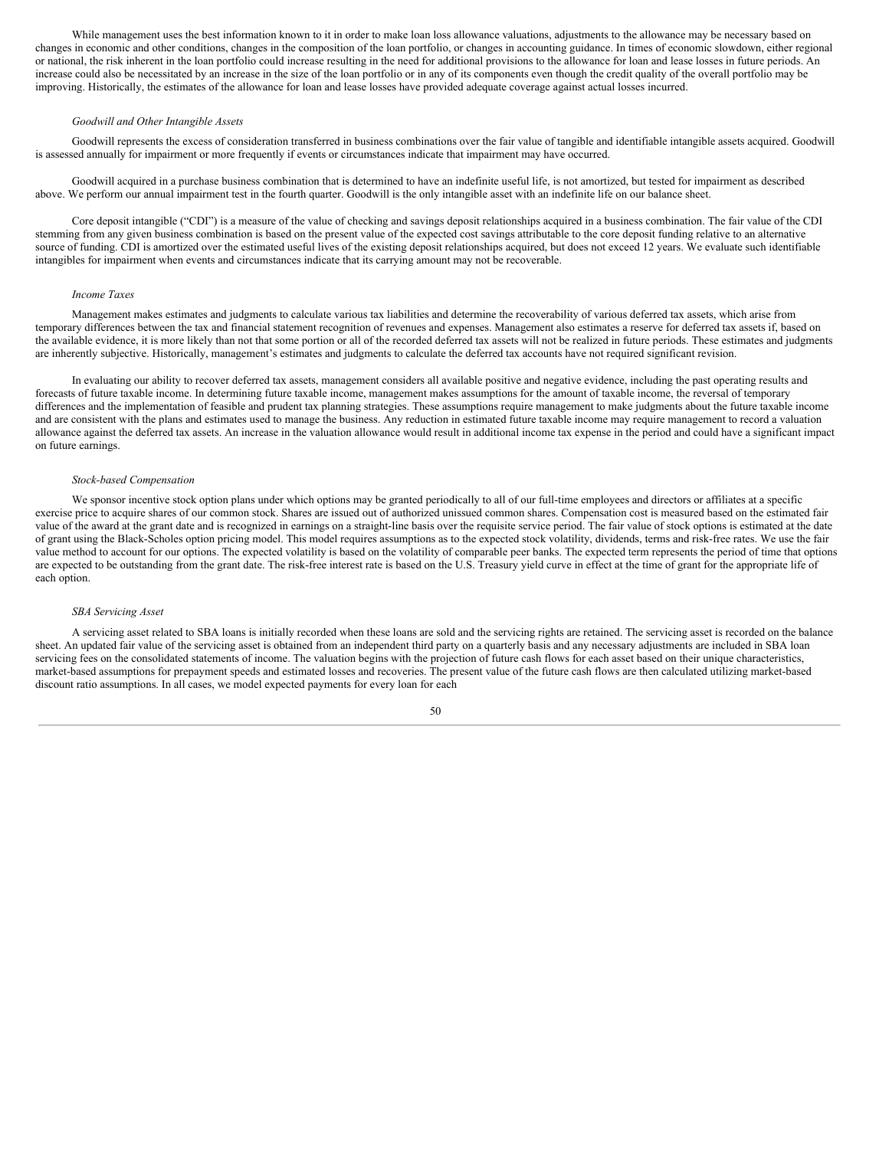While management uses the best information known to it in order to make loan loss allowance valuations, adjustments to the allowance may be necessary based on changes in economic and other conditions, changes in the composition of the loan portfolio, or changes in accounting guidance. In times of economic slowdown, either regional or national, the risk inherent in the loan portfolio could increase resulting in the need for additional provisions to the allowance for loan and lease losses in future periods. An increase could also be necessitated by an increase in the size of the loan portfolio or in any of its components even though the credit quality of the overall portfolio may be improving. Historically, the estimates of the allowance for loan and lease losses have provided adequate coverage against actual losses incurred.

#### *Goodwill and Other Intangible Assets*

Goodwill represents the excess of consideration transferred in business combinations over the fair value of tangible and identifiable intangible assets acquired. Goodwill is assessed annually for impairment or more frequently if events or circumstances indicate that impairment may have occurred.

Goodwill acquired in a purchase business combination that is determined to have an indefinite useful life, is not amortized, but tested for impairment as described above. We perform our annual impairment test in the fourth quarter. Goodwill is the only intangible asset with an indefinite life on our balance sheet.

Core deposit intangible ("CDI") is a measure of the value of checking and savings deposit relationships acquired in a business combination. The fair value of the CDI stemming from any given business combination is based on the present value of the expected cost savings attributable to the core deposit funding relative to an alternative source of funding. CDI is amortized over the estimated useful lives of the existing deposit relationships acquired, but does not exceed 12 years. We evaluate such identifiable intangibles for impairment when events and circumstances indicate that its carrying amount may not be recoverable.

#### *Income Taxes*

Management makes estimates and judgments to calculate various tax liabilities and determine the recoverability of various deferred tax assets, which arise from temporary differences between the tax and financial statement recognition of revenues and expenses. Management also estimates a reserve for deferred tax assets if, based on the available evidence, it is more likely than not that some portion or all of the recorded deferred tax assets will not be realized in future periods. These estimates and judgments are inherently subjective. Historically, management's estimates and judgments to calculate the deferred tax accounts have not required significant revision.

In evaluating our ability to recover deferred tax assets, management considers all available positive and negative evidence, including the past operating results and forecasts of future taxable income. In determining future taxable income, management makes assumptions for the amount of taxable income, the reversal of temporary differences and the implementation of feasible and prudent tax planning strategies. These assumptions require management to make judgments about the future taxable income and are consistent with the plans and estimates used to manage the business. Any reduction in estimated future taxable income may require management to record a valuation allowance against the deferred tax assets. An increase in the valuation allowance would result in additional income tax expense in the period and could have a significant impact on future earnings.

#### *Stock-based Compensation*

We sponsor incentive stock option plans under which options may be granted periodically to all of our full-time employees and directors or affiliates at a specific exercise price to acquire shares of our common stock. Shares are issued out of authorized unissued common shares. Compensation cost is measured based on the estimated fair value of the award at the grant date and is recognized in earnings on a straight-line basis over the requisite service period. The fair value of stock options is estimated at the date of grant using the Black-Scholes option pricing model. This model requires assumptions as to the expected stock volatility, dividends, terms and risk-free rates. We use the fair value method to account for our options. The expected volatility is based on the volatility of comparable peer banks. The expected term represents the period of time that options are expected to be outstanding from the grant date. The risk-free interest rate is based on the U.S. Treasury yield curve in effect at the time of grant for the appropriate life of each option.

#### *SBA Servicing Asset*

A servicing asset related to SBA loans is initially recorded when these loans are sold and the servicing rights are retained. The servicing asset is recorded on the balance sheet. An updated fair value of the servicing asset is obtained from an independent third party on a quarterly basis and any necessary adjustments are included in SBA loan servicing fees on the consolidated statements of income. The valuation begins with the projection of future cash flows for each asset based on their unique characteristics, market-based assumptions for prepayment speeds and estimated losses and recoveries. The present value of the future cash flows are then calculated utilizing market-based discount ratio assumptions. In all cases, we model expected payments for every loan for each

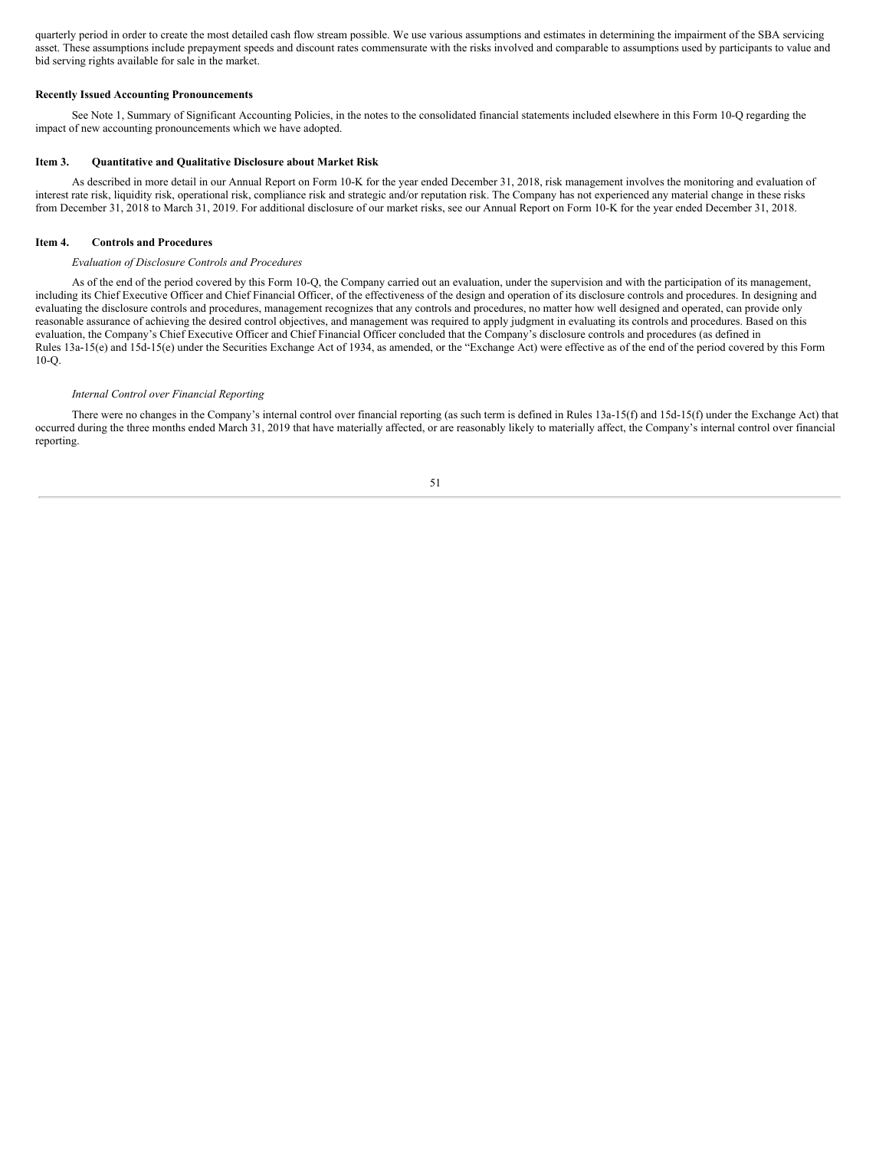quarterly period in order to create the most detailed cash flow stream possible. We use various assumptions and estimates in determining the impairment of the SBA servicing asset. These assumptions include prepayment speeds and discount rates commensurate with the risks involved and comparable to assumptions used by participants to value and bid serving rights available for sale in the market.

## **Recently Issued Accounting Pronouncements**

See Note 1, Summary of Significant Accounting Policies, in the notes to the consolidated financial statements included elsewhere in this Form 10-Q regarding the impact of new accounting pronouncements which we have adopted.

#### <span id="page-50-0"></span>**Item 3. Quantitative and Qualitative Disclosure about Market Risk**

As described in more detail in our Annual Report on Form 10-K for the year ended December 31, 2018, risk management involves the monitoring and evaluation of interest rate risk, liquidity risk, operational risk, compliance risk and strategic and/or reputation risk. The Company has not experienced any material change in these risks from December 31, 2018 to March 31, 2019. For additional disclosure of our market risks, see our Annual Report on Form 10-K for the year ended December 31, 2018.

## <span id="page-50-1"></span>**Item 4. Controls and Procedures**

## *Evaluation of Disclosure Controls and Procedures*

As of the end of the period covered by this Form 10-Q, the Company carried out an evaluation, under the supervision and with the participation of its management, including its Chief Executive Officer and Chief Financial Officer, of the effectiveness of the design and operation of its disclosure controls and procedures. In designing and evaluating the disclosure controls and procedures, management recognizes that any controls and procedures, no matter how well designed and operated, can provide only reasonable assurance of achieving the desired control objectives, and management was required to apply judgment in evaluating its controls and procedures. Based on this evaluation, the Company's Chief Executive Officer and Chief Financial Officer concluded that the Company's disclosure controls and procedures (as defined in Rules 13a-15(e) and 15d-15(e) under the Securities Exchange Act of 1934, as amended, or the "Exchange Act) were effective as of the end of the period covered by this Form 10-Q.

#### *Internal Control over Financial Reporting*

There were no changes in the Company's internal control over financial reporting (as such term is defined in Rules 13a-15(f) and 15d-15(f) under the Exchange Act) that occurred during the three months ended March 31, 2019 that have materially affected, or are reasonably likely to materially affect, the Company's internal control over financial reporting.

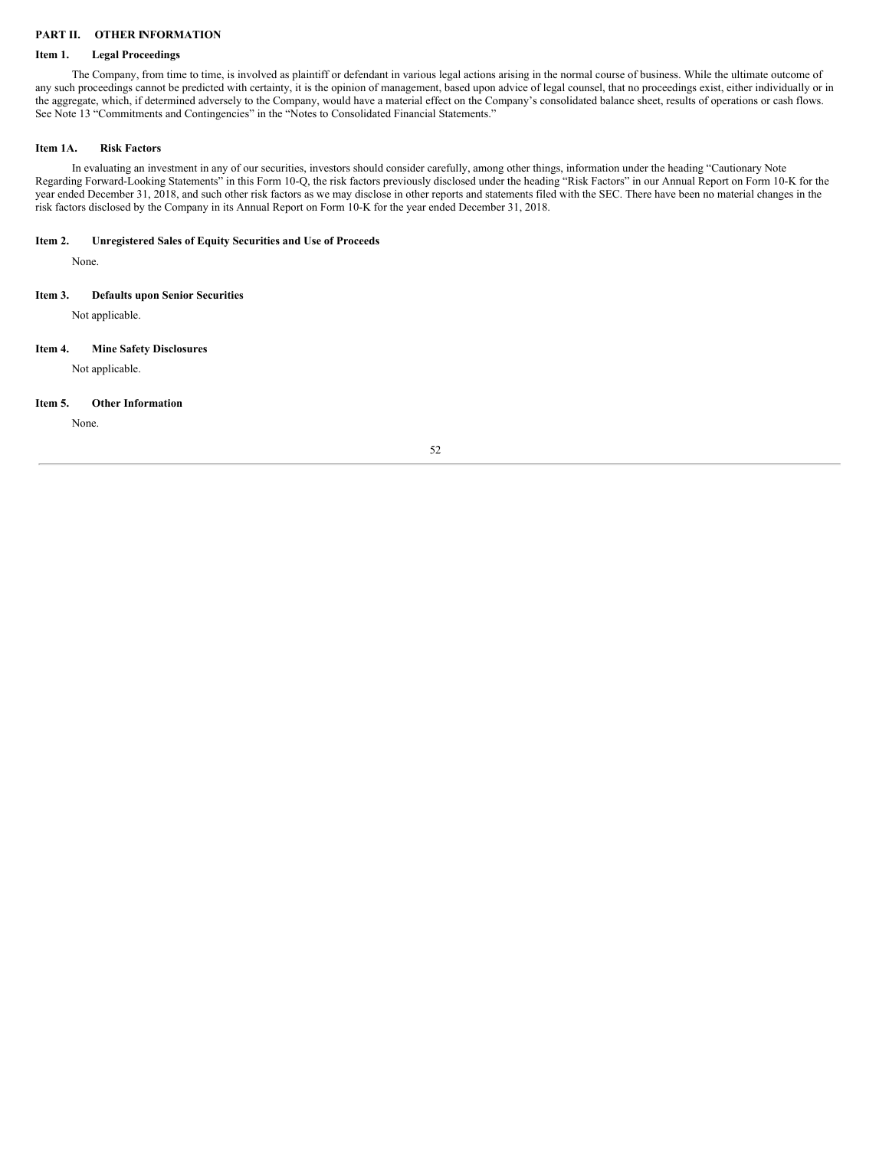## <span id="page-51-0"></span>**PART II. OTHER INFORMATION**

## <span id="page-51-1"></span>**Item 1. Legal Proceedings**

The Company, from time to time, is involved as plaintiff or defendant in various legal actions arising in the normal course of business. While the ultimate outcome of any such proceedings cannot be predicted with certainty, it is the opinion of management, based upon advice of legal counsel, that no proceedings exist, either individually or in the aggregate, which, if determined adversely to the Company, would have a material effect on the Company's consolidated balance sheet, results of operations or cash flows. See Note 13 "Commitments and Contingencies" in the "Notes to Consolidated Financial Statements."

## <span id="page-51-2"></span>**Item 1A. Risk Factors**

In evaluating an investment in any of our securities, investors should consider carefully, among other things, information under the heading "Cautionary Note Regarding Forward-Looking Statements" in this Form 10-Q, the risk factors previously disclosed under the heading "Risk Factors" in our Annual Report on Form 10-K for the year ended December 31, 2018, and such other risk factors as we may disclose in other reports and statements filed with the SEC. There have been no material changes in the risk factors disclosed by the Company in its Annual Report on Form 10-K for the year ended December 31, 2018.

## <span id="page-51-3"></span>**Item 2. Unregistered Sales of Equity Securities and Use of Proceeds**

None.

## <span id="page-51-4"></span>**Item 3. Defaults upon Senior Securities**

Not applicable.

## <span id="page-51-5"></span>**Item 4. Mine Safety Disclosures**

Not applicable.

#### <span id="page-51-6"></span>**Item 5. Other Information**

None.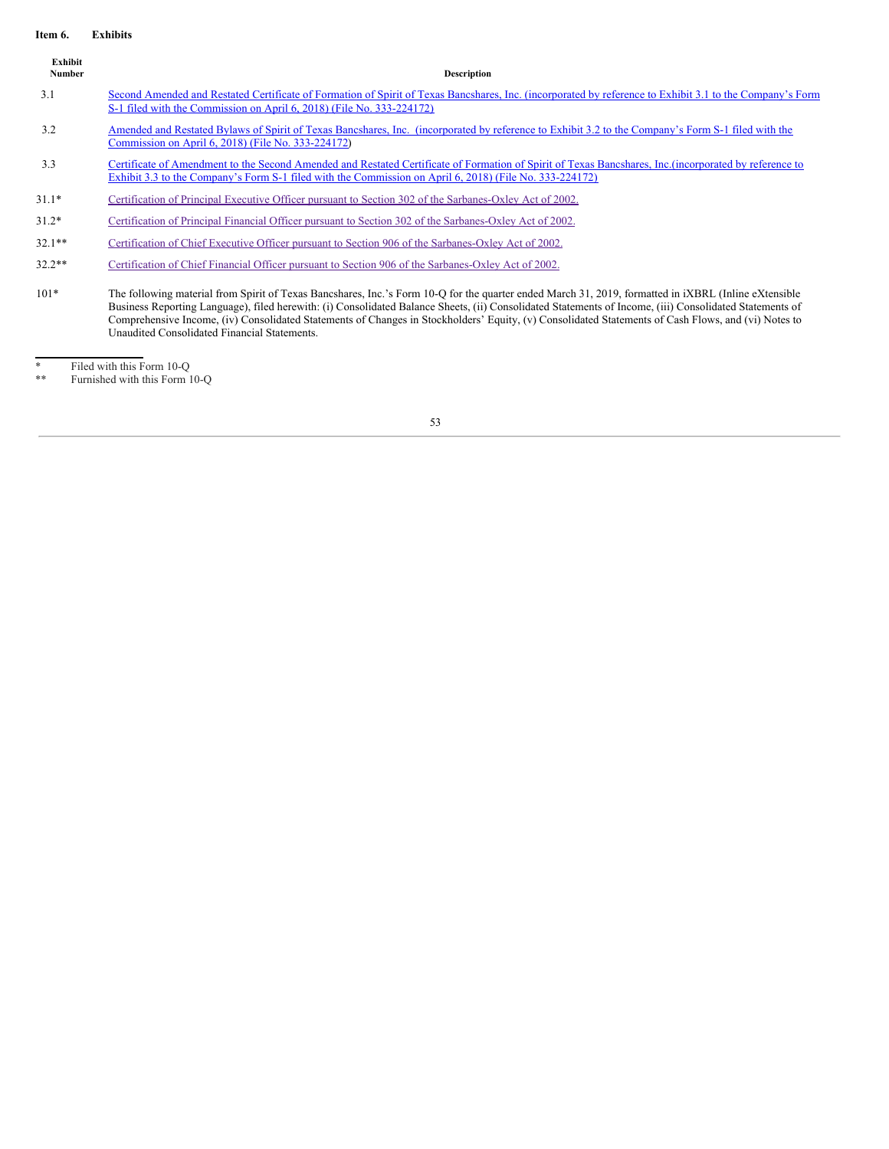## <span id="page-52-0"></span>**Item 6. Exhibits**

| Exhibit<br>Number | <b>Description</b>                                                                                                                                                                                                                                                                                                                                                                                                                                                                                                            |
|-------------------|-------------------------------------------------------------------------------------------------------------------------------------------------------------------------------------------------------------------------------------------------------------------------------------------------------------------------------------------------------------------------------------------------------------------------------------------------------------------------------------------------------------------------------|
| 3.1               | Second Amended and Restated Certificate of Formation of Spirit of Texas Bancshares, Inc. (incorporated by reference to Exhibit 3.1 to the Company's Form<br>S-1 filed with the Commission on April 6, 2018) (File No. 333-224172)                                                                                                                                                                                                                                                                                             |
| 3.2               | Amended and Restated Bylaws of Spirit of Texas Bancshares, Inc. (incorporated by reference to Exhibit 3.2 to the Company's Form S-1 filed with the<br>Commission on April 6, 2018) (File No. 333-224172)                                                                                                                                                                                                                                                                                                                      |
| 3.3               | Certificate of Amendment to the Second Amended and Restated Certificate of Formation of Spirit of Texas Bancshares, Inc. (incorporated by reference to<br>Exhibit 3.3 to the Company's Form S-1 filed with the Commission on April 6, 2018) (File No. 333-224172)                                                                                                                                                                                                                                                             |
| $31.1*$           | Certification of Principal Executive Officer pursuant to Section 302 of the Sarbanes-Oxley Act of 2002.                                                                                                                                                                                                                                                                                                                                                                                                                       |
| $31.2*$           | Certification of Principal Financial Officer pursuant to Section 302 of the Sarbanes-Oxley Act of 2002.                                                                                                                                                                                                                                                                                                                                                                                                                       |
| $32.1**$          | Certification of Chief Executive Officer pursuant to Section 906 of the Sarbanes-Oxley Act of 2002.                                                                                                                                                                                                                                                                                                                                                                                                                           |
| $32.2**$          | Certification of Chief Financial Officer pursuant to Section 906 of the Sarbanes-Oxley Act of 2002.                                                                                                                                                                                                                                                                                                                                                                                                                           |
| $101*$            | The following material from Spirit of Texas Bancshares, Inc.'s Form 10-Q for the quarter ended March 31, 2019, formatted in <i>iXBRL</i> (Inline eXtensible<br>Business Reporting Language), filed herewith: (i) Consolidated Balance Sheets, (ii) Consolidated Statements of Income, (iii) Consolidated Statements of<br>Comprehensive Income, (iv) Consolidated Statements of Changes in Stockholders' Equity, (v) Consolidated Statements of Cash Flows, and (vi) Notes to<br>Unaudited Consolidated Financial Statements. |

\* Filed with this Form 10-Q

\*\* Furnished with this Form 10-Q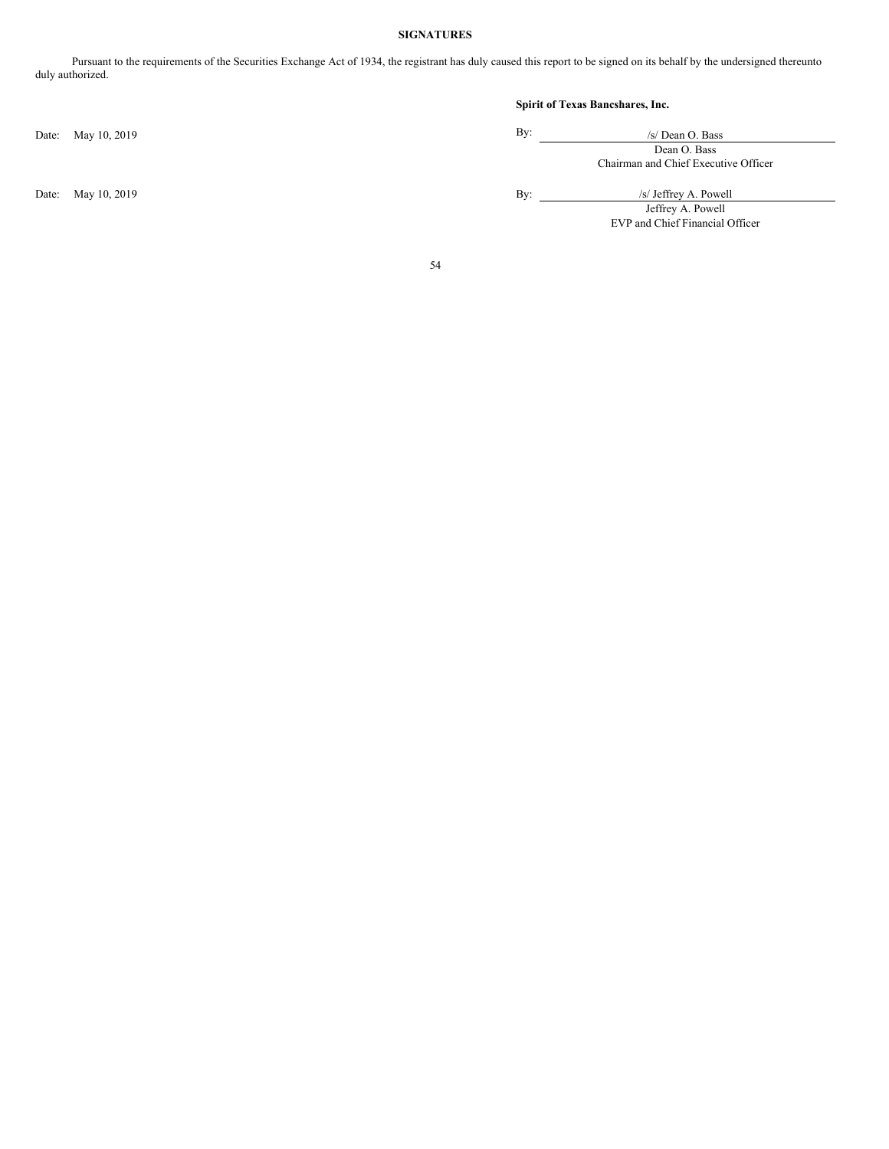## **SIGNATURES**

<span id="page-53-0"></span>Pursuant to the requirements of the Securities Exchange Act of 1934, the registrant has duly caused this report to be signed on its behalf by the undersigned thereunto duly authorized.

Date: May 10, 2019 By:

## **Spirit of Texas Bancshares, Inc.**

| /s/ Dean O. Bass                     |
|--------------------------------------|
| Dean O. Bass                         |
| Chairman and Chief Executive Officer |

Date: May 10, 2019 By: /s/ Jeffrey A. Powell Jeffrey A. Powell

EVP and Chief Financial Officer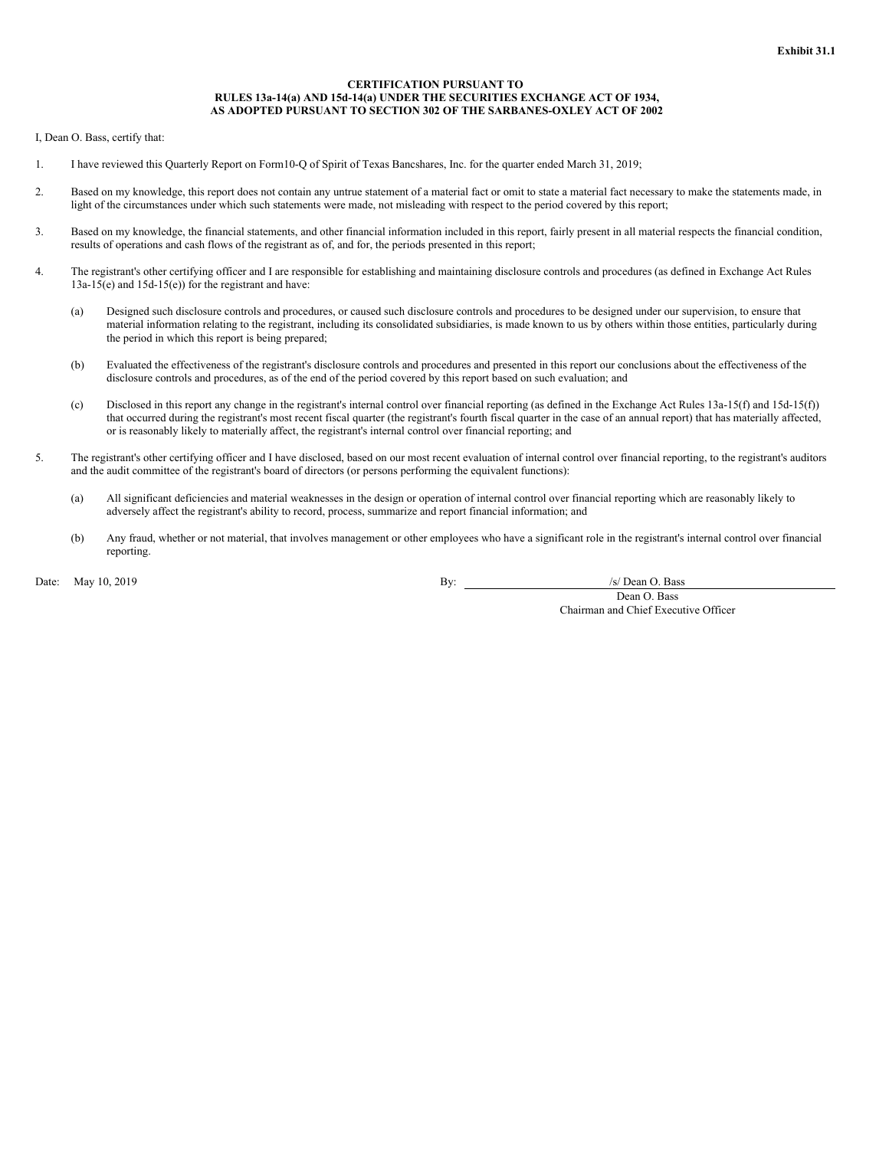#### **CERTIFICATION PURSUANT TO RULES 13a-14(a) AND 15d-14(a) UNDER THE SECURITIES EXCHANGE ACT OF 1934, AS ADOPTED PURSUANT TO SECTION 302 OF THE SARBANES-OXLEY ACT OF 2002**

<span id="page-54-0"></span>I, Dean O. Bass, certify that:

- 1. I have reviewed this Quarterly Report on Form10-Q of Spirit of Texas Bancshares, Inc. for the quarter ended March 31, 2019;
- 2. Based on my knowledge, this report does not contain any untrue statement of a material fact or omit to state a material fact necessary to make the statements made, in light of the circumstances under which such statements were made, not misleading with respect to the period covered by this report;
- 3. Based on my knowledge, the financial statements, and other financial information included in this report, fairly present in all material respects the financial condition, results of operations and cash flows of the registrant as of, and for, the periods presented in this report;
- 4. The registrant's other certifying officer and I are responsible for establishing and maintaining disclosure controls and procedures (as defined in Exchange Act Rules 13a-15(e) and 15d-15(e)) for the registrant and have:
	- (a) Designed such disclosure controls and procedures, or caused such disclosure controls and procedures to be designed under our supervision, to ensure that material information relating to the registrant, including its consolidated subsidiaries, is made known to us by others within those entities, particularly during the period in which this report is being prepared;
	- (b) Evaluated the effectiveness of the registrant's disclosure controls and procedures and presented in this report our conclusions about the effectiveness of the disclosure controls and procedures, as of the end of the period covered by this report based on such evaluation; and
	- (c) Disclosed in this report any change in the registrant's internal control over financial reporting (as defined in the Exchange Act Rules 13a-15(f) and 15d-15(f)) that occurred during the registrant's most recent fiscal quarter (the registrant's fourth fiscal quarter in the case of an annual report) that has materially affected, or is reasonably likely to materially affect, the registrant's internal control over financial reporting; and
- 5. The registrant's other certifying officer and I have disclosed, based on our most recent evaluation of internal control over financial reporting, to the registrant's auditors and the audit committee of the registrant's board of directors (or persons performing the equivalent functions):
	- (a) All significant deficiencies and material weaknesses in the design or operation of internal control over financial reporting which are reasonably likely to adversely affect the registrant's ability to record, process, summarize and report financial information; and
	- (b) Any fraud, whether or not material, that involves management or other employees who have a significant role in the registrant's internal control over financial reporting.

Date: May 10, 2019 **By:** /s/ Dean O. Bass

Dean O. Bass Chairman and Chief Executive Officer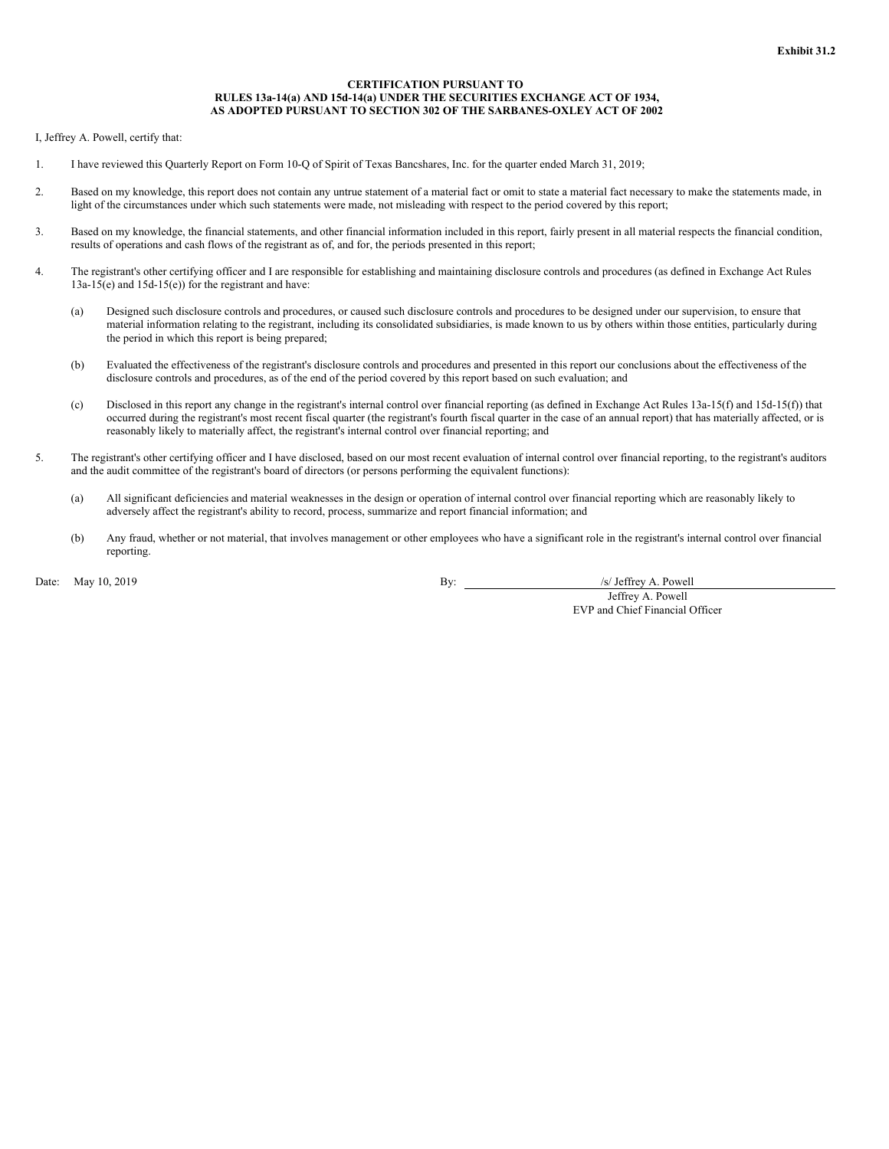#### **CERTIFICATION PURSUANT TO RULES 13a-14(a) AND 15d-14(a) UNDER THE SECURITIES EXCHANGE ACT OF 1934, AS ADOPTED PURSUANT TO SECTION 302 OF THE SARBANES-OXLEY ACT OF 2002**

<span id="page-55-0"></span>I, Jeffrey A. Powell, certify that:

- 1. I have reviewed this Quarterly Report on Form 10-Q of Spirit of Texas Bancshares, Inc. for the quarter ended March 31, 2019;
- 2. Based on my knowledge, this report does not contain any untrue statement of a material fact or omit to state a material fact necessary to make the statements made, in light of the circumstances under which such statements were made, not misleading with respect to the period covered by this report;
- 3. Based on my knowledge, the financial statements, and other financial information included in this report, fairly present in all material respects the financial condition, results of operations and cash flows of the registrant as of, and for, the periods presented in this report;
- 4. The registrant's other certifying officer and I are responsible for establishing and maintaining disclosure controls and procedures (as defined in Exchange Act Rules 13a-15(e) and 15d-15(e)) for the registrant and have:
	- (a) Designed such disclosure controls and procedures, or caused such disclosure controls and procedures to be designed under our supervision, to ensure that material information relating to the registrant, including its consolidated subsidiaries, is made known to us by others within those entities, particularly during the period in which this report is being prepared;
	- (b) Evaluated the effectiveness of the registrant's disclosure controls and procedures and presented in this report our conclusions about the effectiveness of the disclosure controls and procedures, as of the end of the period covered by this report based on such evaluation; and
	- (c) Disclosed in this report any change in the registrant's internal control over financial reporting (as defined in Exchange Act Rules 13a-15(f) and 15d-15(f)) that occurred during the registrant's most recent fiscal quarter (the registrant's fourth fiscal quarter in the case of an annual report) that has materially affected, or is reasonably likely to materially affect, the registrant's internal control over financial reporting; and
- 5. The registrant's other certifying officer and I have disclosed, based on our most recent evaluation of internal control over financial reporting, to the registrant's auditors and the audit committee of the registrant's board of directors (or persons performing the equivalent functions):
	- (a) All significant deficiencies and material weaknesses in the design or operation of internal control over financial reporting which are reasonably likely to adversely affect the registrant's ability to record, process, summarize and report financial information; and
	- (b) Any fraud, whether or not material, that involves management or other employees who have a significant role in the registrant's internal control over financial reporting.

Date: May 10, 2019 **By:** /s/ Jeffrey A. Powell

Jeffrey A. Powell EVP and Chief Financial Officer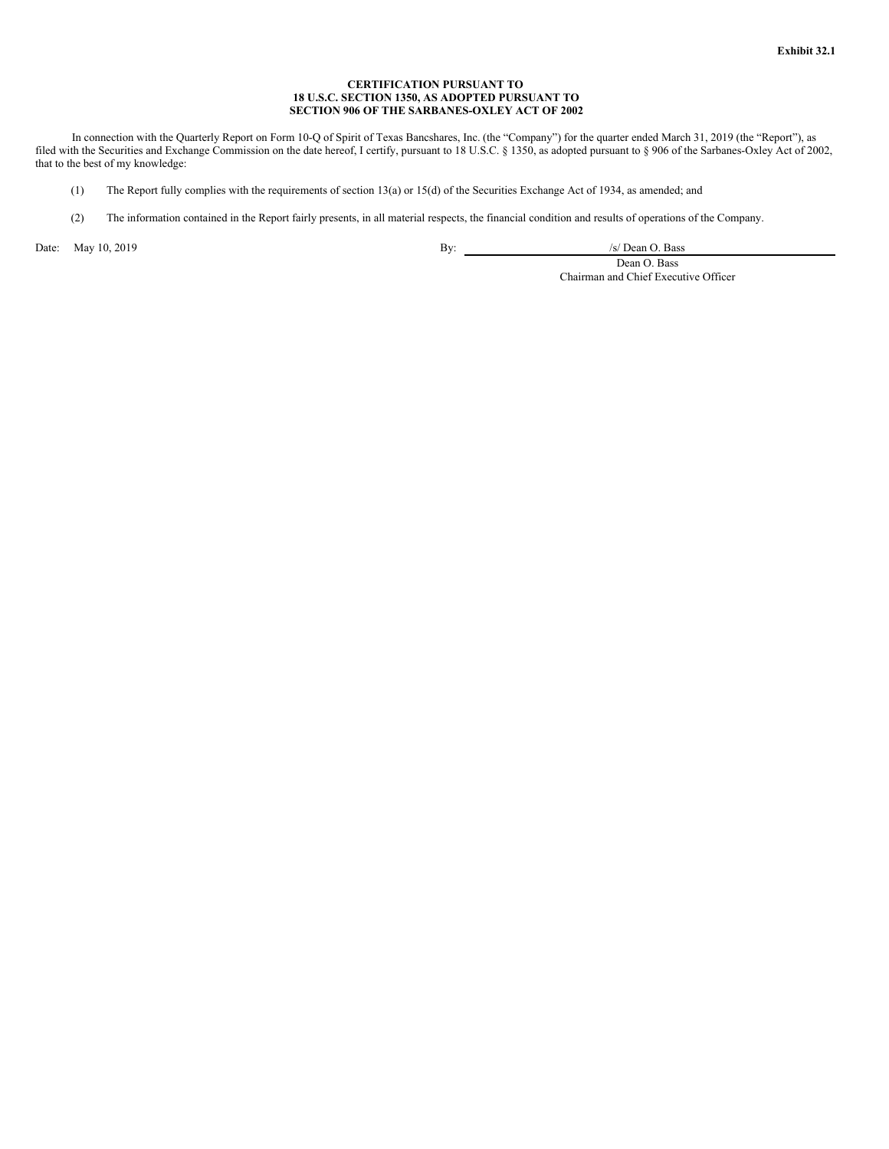## **CERTIFICATION PURSUANT TO 18 U.S.C. SECTION 1350, AS ADOPTED PURSUANT TO SECTION 906 OF THE SARBANES-OXLEY ACT OF 2002**

<span id="page-56-0"></span>In connection with the Quarterly Report on Form 10-Q of Spirit of Texas Bancshares, Inc. (the "Company") for the quarter ended March 31, 2019 (the "Report"), as filed with the Securities and Exchange Commission on the date hereof, I certify, pursuant to 18 U.S.C. § 1350, as adopted pursuant to § 906 of the Sarbanes-Oxley Act of 2002, that to the best of my knowledge:

- (1) The Report fully complies with the requirements of section 13(a) or 15(d) of the Securities Exchange Act of 1934, as amended; and
- (2) The information contained in the Report fairly presents, in all material respects, the financial condition and results of operations of the Company.

Date: May 10, 2019 <br>
By: /s/ Dean O. Bass

Dean O. Bass Chairman and Chief Executive Officer